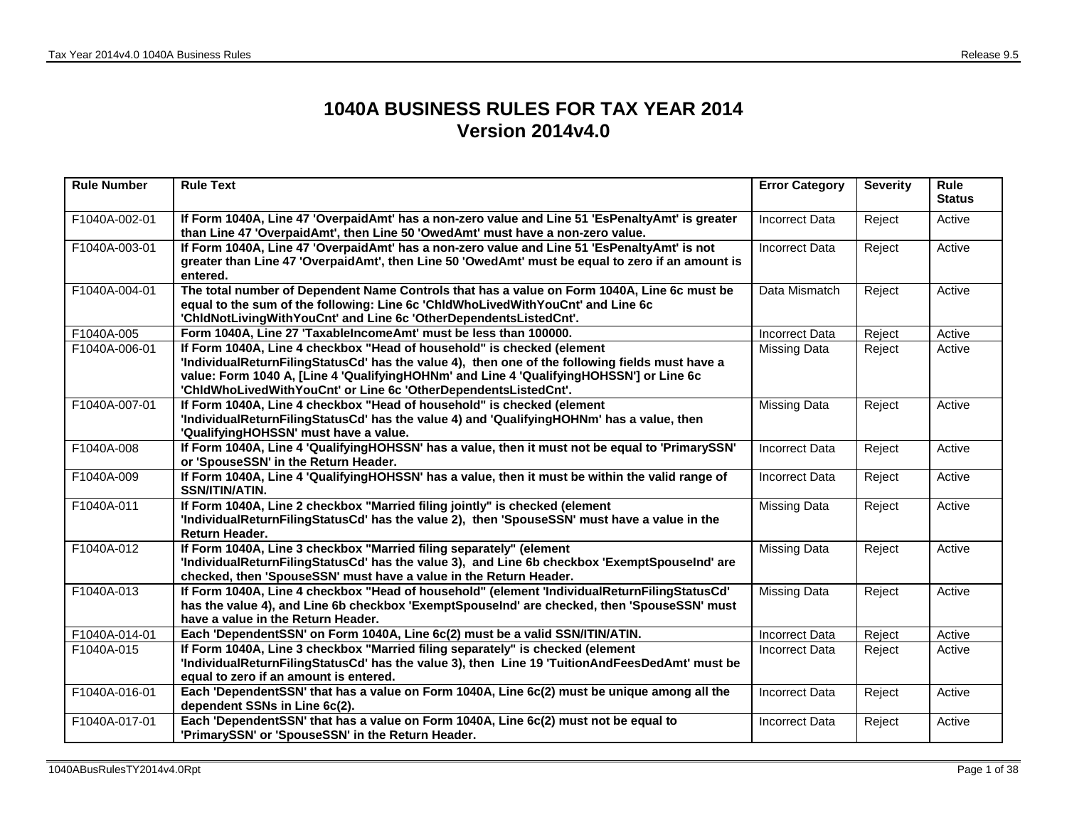## **1040A BUSINESS RULES FOR TAX YEAR 2014 Version 2014v4.0**

| <b>Rule Number</b> | <b>Rule Text</b>                                                                                                                                                                                                                                                                                                                        | <b>Error Category</b> | <b>Severity</b> | Rule<br><b>Status</b> |
|--------------------|-----------------------------------------------------------------------------------------------------------------------------------------------------------------------------------------------------------------------------------------------------------------------------------------------------------------------------------------|-----------------------|-----------------|-----------------------|
| F1040A-002-01      | If Form 1040A, Line 47 'OverpaidAmt' has a non-zero value and Line 51 'EsPenaltyAmt' is greater<br>than Line 47 'OverpaidAmt', then Line 50 'OwedAmt' must have a non-zero value.                                                                                                                                                       | <b>Incorrect Data</b> | Reject          | Active                |
| F1040A-003-01      | If Form 1040A, Line 47 'OverpaidAmt' has a non-zero value and Line 51 'EsPenaltyAmt' is not<br>greater than Line 47 'OverpaidAmt', then Line 50 'OwedAmt' must be equal to zero if an amount is<br>entered.                                                                                                                             | <b>Incorrect Data</b> | Reject          | Active                |
| F1040A-004-01      | The total number of Dependent Name Controls that has a value on Form 1040A, Line 6c must be<br>equal to the sum of the following: Line 6c 'ChldWhoLivedWithYouCnt' and Line 6c<br>'ChidNotLivingWithYouCnt' and Line 6c 'OtherDependentsListedCnt'.                                                                                     | Data Mismatch         | Reject          | Active                |
| F1040A-005         | Form 1040A, Line 27 'TaxableIncomeAmt' must be less than 100000.                                                                                                                                                                                                                                                                        | <b>Incorrect Data</b> | Reject          | Active                |
| F1040A-006-01      | If Form 1040A, Line 4 checkbox "Head of household" is checked (element<br>'IndividualReturnFilingStatusCd' has the value 4), then one of the following fields must have a<br>value: Form 1040 A, [Line 4 'QualifyingHOHNm' and Line 4 'QualifyingHOHSSN'] or Line 6c<br>'ChidWhoLivedWithYouCnt' or Line 6c 'OtherDependentsListedCnt'. | <b>Missing Data</b>   | Reject          | Active                |
| F1040A-007-01      | If Form 1040A, Line 4 checkbox "Head of household" is checked (element<br>'IndividualReturnFilingStatusCd' has the value 4) and 'QualifyingHOHNm' has a value, then<br>'QualifyingHOHSSN' must have a value.                                                                                                                            | <b>Missing Data</b>   | Reject          | Active                |
| F1040A-008         | If Form 1040A, Line 4 'QualifyingHOHSSN' has a value, then it must not be equal to 'PrimarySSN'<br>or 'SpouseSSN' in the Return Header.                                                                                                                                                                                                 | <b>Incorrect Data</b> | Reject          | Active                |
| F1040A-009         | If Form 1040A, Line 4 'QualifyingHOHSSN' has a value, then it must be within the valid range of<br><b>SSN/ITIN/ATIN.</b>                                                                                                                                                                                                                | <b>Incorrect Data</b> | Reject          | Active                |
| F1040A-011         | If Form 1040A, Line 2 checkbox "Married filing jointly" is checked (element<br>'IndividualReturnFilingStatusCd' has the value 2), then 'SpouseSSN' must have a value in the<br>Return Header.                                                                                                                                           | <b>Missing Data</b>   | Reject          | Active                |
| F1040A-012         | If Form 1040A, Line 3 checkbox "Married filing separately" (element<br>'IndividualReturnFilingStatusCd' has the value 3), and Line 6b checkbox 'ExemptSpouseInd' are<br>checked, then 'SpouseSSN' must have a value in the Return Header.                                                                                               | <b>Missing Data</b>   | Reject          | Active                |
| F1040A-013         | If Form 1040A, Line 4 checkbox "Head of household" (element 'IndividualReturnFilingStatusCd'<br>has the value 4), and Line 6b checkbox 'ExemptSpouseInd' are checked, then 'SpouseSSN' must<br>have a value in the Return Header.                                                                                                       | <b>Missing Data</b>   | Reject          | Active                |
| F1040A-014-01      | Each 'DependentSSN' on Form 1040A, Line 6c(2) must be a valid SSN/ITIN/ATIN.                                                                                                                                                                                                                                                            | <b>Incorrect Data</b> | Reject          | Active                |
| F1040A-015         | If Form 1040A, Line 3 checkbox "Married filing separately" is checked (element<br>'IndividualReturnFilingStatusCd' has the value 3), then Line 19 'TuitionAndFeesDedAmt' must be<br>equal to zero if an amount is entered.                                                                                                              | <b>Incorrect Data</b> | Reject          | Active                |
| F1040A-016-01      | Each 'DependentSSN' that has a value on Form 1040A, Line 6c(2) must be unique among all the<br>dependent SSNs in Line 6c(2).                                                                                                                                                                                                            | <b>Incorrect Data</b> | Reject          | Active                |
| F1040A-017-01      | Each 'DependentSSN' that has a value on Form 1040A, Line 6c(2) must not be equal to<br>'PrimarySSN' or 'SpouseSSN' in the Return Header.                                                                                                                                                                                                | <b>Incorrect Data</b> | Reject          | Active                |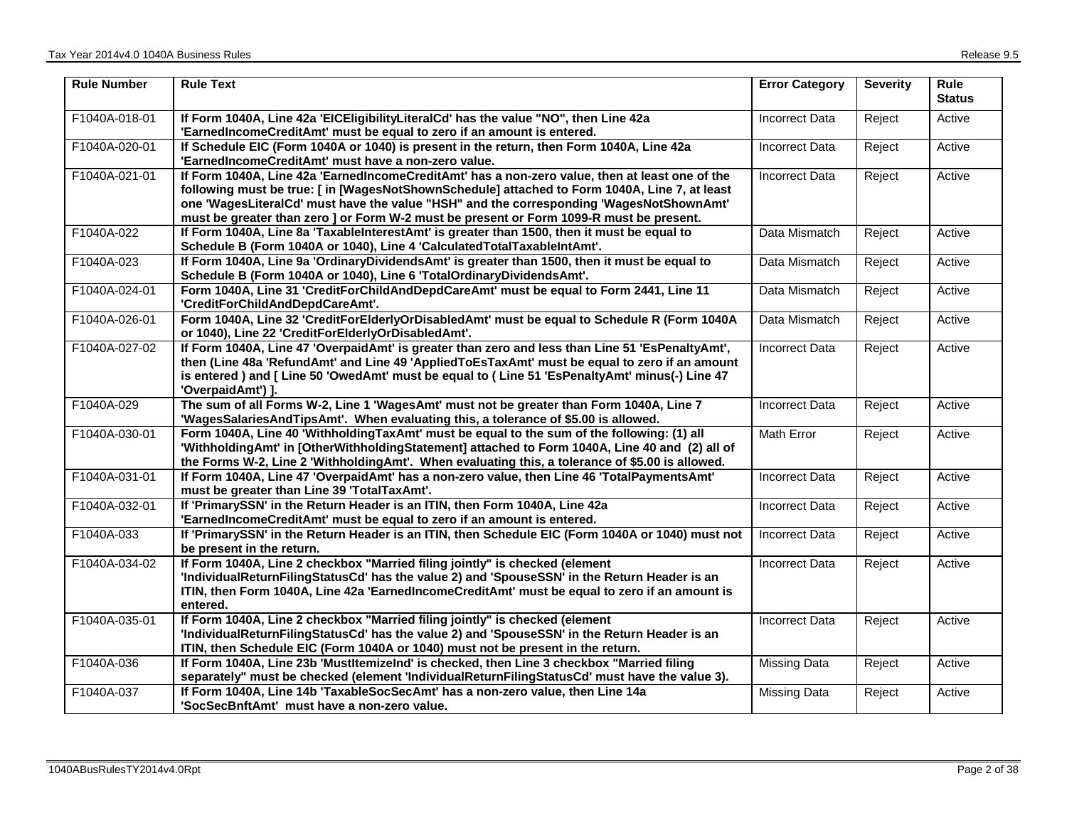| <b>Rule Number</b> | <b>Rule Text</b>                                                                                                                                                                                                                                                                                                                                                                     | <b>Error Category</b> | <b>Severity</b> | Rule<br><b>Status</b> |
|--------------------|--------------------------------------------------------------------------------------------------------------------------------------------------------------------------------------------------------------------------------------------------------------------------------------------------------------------------------------------------------------------------------------|-----------------------|-----------------|-----------------------|
| F1040A-018-01      | If Form 1040A, Line 42a 'EICEligibilityLiteralCd' has the value "NO", then Line 42a<br>'EarnedIncomeCreditAmt' must be equal to zero if an amount is entered.                                                                                                                                                                                                                        | <b>Incorrect Data</b> | Reject          | Active                |
| F1040A-020-01      | If Schedule EIC (Form 1040A or 1040) is present in the return, then Form 1040A, Line 42a<br>'EarnedIncomeCreditAmt' must have a non-zero value.                                                                                                                                                                                                                                      | <b>Incorrect Data</b> | Reject          | Active                |
| F1040A-021-01      | If Form 1040A, Line 42a 'EarnedIncomeCreditAmt' has a non-zero value, then at least one of the<br>following must be true: [in [WagesNotShownSchedule] attached to Form 1040A, Line 7, at least<br>one 'WagesLiteralCd' must have the value "HSH" and the corresponding 'WagesNotShownAmt'<br>must be greater than zero ] or Form W-2 must be present or Form 1099-R must be present. | <b>Incorrect Data</b> | Reject          | Active                |
| F1040A-022         | If Form 1040A, Line 8a 'TaxableInterestAmt' is greater than 1500, then it must be equal to<br>Schedule B (Form 1040A or 1040), Line 4 'CalculatedTotalTaxableIntAmt'.                                                                                                                                                                                                                | Data Mismatch         | Reject          | Active                |
| F1040A-023         | If Form 1040A, Line 9a 'OrdinaryDividendsAmt' is greater than 1500, then it must be equal to<br>Schedule B (Form 1040A or 1040), Line 6 'TotalOrdinaryDividendsAmt'.                                                                                                                                                                                                                 | Data Mismatch         | Reject          | Active                |
| F1040A-024-01      | Form 1040A, Line 31 'CreditForChildAndDepdCareAmt' must be equal to Form 2441, Line 11<br>'CreditForChildAndDepdCareAmt'.                                                                                                                                                                                                                                                            | Data Mismatch         | Reject          | Active                |
| F1040A-026-01      | Form 1040A, Line 32 'CreditForElderlyOrDisabledAmt' must be equal to Schedule R (Form 1040A<br>or 1040), Line 22 'CreditForElderlyOrDisabledAmt'.                                                                                                                                                                                                                                    | Data Mismatch         | Reject          | Active                |
| F1040A-027-02      | If Form 1040A, Line 47 'OverpaidAmt' is greater than zero and less than Line 51 'EsPenaltyAmt',<br>then (Line 48a 'RefundAmt' and Line 49 'AppliedToEsTaxAmt' must be equal to zero if an amount<br>is entered) and [ Line 50 'OwedAmt' must be equal to ( Line 51 'EsPenaltyAmt' minus(-) Line 47<br>'OverpaidAmt') ].                                                              | <b>Incorrect Data</b> | Reject          | Active                |
| F1040A-029         | The sum of all Forms W-2, Line 1 'WagesAmt' must not be greater than Form 1040A, Line 7<br>'WagesSalariesAndTipsAmt'. When evaluating this, a tolerance of \$5.00 is allowed.                                                                                                                                                                                                        | <b>Incorrect Data</b> | Reject          | Active                |
| F1040A-030-01      | Form 1040A, Line 40 'WithholdingTaxAmt' must be equal to the sum of the following: (1) all<br>'WithholdingAmt' in [OtherWithholdingStatement] attached to Form 1040A, Line 40 and (2) all of<br>the Forms W-2, Line 2 'WithholdingAmt'. When evaluating this, a tolerance of \$5.00 is allowed.                                                                                      | <b>Math Error</b>     | Reject          | Active                |
| F1040A-031-01      | If Form 1040A, Line 47 'OverpaidAmt' has a non-zero value, then Line 46 'TotalPaymentsAmt'<br>must be greater than Line 39 'TotalTaxAmt'.                                                                                                                                                                                                                                            | <b>Incorrect Data</b> | Reject          | Active                |
| F1040A-032-01      | If 'PrimarySSN' in the Return Header is an ITIN, then Form 1040A, Line 42a<br>'EarnedIncomeCreditAmt' must be equal to zero if an amount is entered.                                                                                                                                                                                                                                 | <b>Incorrect Data</b> | Reject          | Active                |
| F1040A-033         | If 'PrimarySSN' in the Return Header is an ITIN, then Schedule EIC (Form 1040A or 1040) must not<br>be present in the return.                                                                                                                                                                                                                                                        | <b>Incorrect Data</b> | Reject          | Active                |
| F1040A-034-02      | If Form 1040A, Line 2 checkbox "Married filing jointly" is checked (element<br>'IndividualReturnFilingStatusCd' has the value 2) and 'SpouseSSN' in the Return Header is an<br>ITIN, then Form 1040A, Line 42a 'EarnedIncomeCreditAmt' must be equal to zero if an amount is<br>entered.                                                                                             | <b>Incorrect Data</b> | Reject          | Active                |
| F1040A-035-01      | If Form 1040A, Line 2 checkbox "Married filing jointly" is checked (element<br>'IndividualReturnFilingStatusCd' has the value 2) and 'SpouseSSN' in the Return Header is an<br>ITIN, then Schedule EIC (Form 1040A or 1040) must not be present in the return.                                                                                                                       | <b>Incorrect Data</b> | Reject          | Active                |
| F1040A-036         | If Form 1040A, Line 23b 'MustItemizeInd' is checked, then Line 3 checkbox "Married filing<br>separately" must be checked (element 'IndividualReturnFilingStatusCd' must have the value 3).                                                                                                                                                                                           | <b>Missing Data</b>   | Reject          | Active                |
| F1040A-037         | If Form 1040A, Line 14b 'TaxableSocSecAmt' has a non-zero value, then Line 14a<br>'SocSecBnftAmt' must have a non-zero value.                                                                                                                                                                                                                                                        | <b>Missing Data</b>   | Reject          | Active                |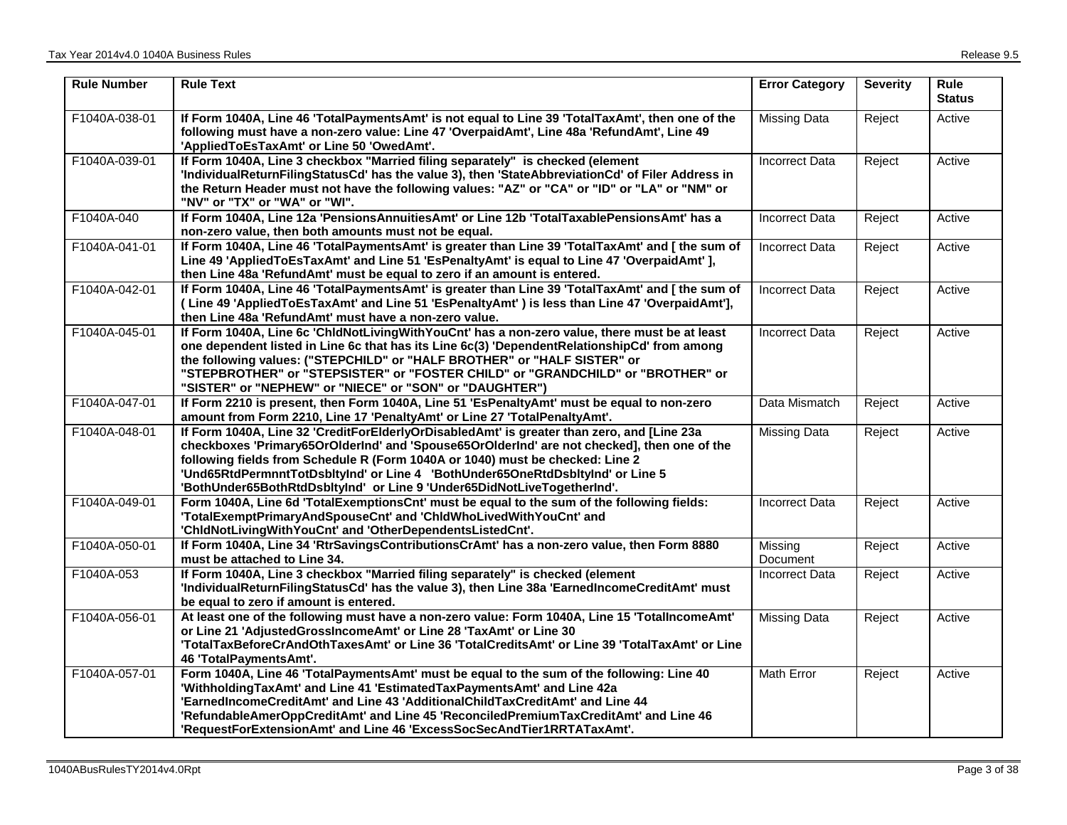| <b>Rule Number</b> | <b>Rule Text</b>                                                                                                                                                                                                                                                                                                                                                                                                                        | <b>Error Category</b> | <b>Severity</b> | <b>Rule</b><br><b>Status</b> |
|--------------------|-----------------------------------------------------------------------------------------------------------------------------------------------------------------------------------------------------------------------------------------------------------------------------------------------------------------------------------------------------------------------------------------------------------------------------------------|-----------------------|-----------------|------------------------------|
| F1040A-038-01      | If Form 1040A, Line 46 'TotalPaymentsAmt' is not equal to Line 39 'TotalTaxAmt', then one of the<br>following must have a non-zero value: Line 47 'OverpaidAmt', Line 48a 'RefundAmt', Line 49<br>'AppliedToEsTaxAmt' or Line 50 'OwedAmt'.                                                                                                                                                                                             | <b>Missing Data</b>   | Reject          | Active                       |
| F1040A-039-01      | If Form 1040A, Line 3 checkbox "Married filing separately" is checked (element<br>'IndividualReturnFilingStatusCd' has the value 3), then 'StateAbbreviationCd' of Filer Address in<br>the Return Header must not have the following values: "AZ" or "CA" or "ID" or "LA" or "NM" or<br>"NV" or "TX" or "WA" or "WI".                                                                                                                   | <b>Incorrect Data</b> | Reject          | Active                       |
| F1040A-040         | If Form 1040A, Line 12a 'PensionsAnnuitiesAmt' or Line 12b 'TotalTaxablePensionsAmt' has a<br>non-zero value, then both amounts must not be equal.                                                                                                                                                                                                                                                                                      | <b>Incorrect Data</b> | Reject          | Active                       |
| F1040A-041-01      | If Form 1040A, Line 46 'TotalPaymentsAmt' is greater than Line 39 'TotalTaxAmt' and [ the sum of<br>Line 49 'AppliedToEsTaxAmt' and Line 51 'EsPenaltyAmt' is equal to Line 47 'OverpaidAmt' ],<br>then Line 48a 'RefundAmt' must be equal to zero if an amount is entered.                                                                                                                                                             | <b>Incorrect Data</b> | Reject          | Active                       |
| F1040A-042-01      | If Form 1040A, Line 46 'TotalPaymentsAmt' is greater than Line 39 'TotalTaxAmt' and [ the sum of<br>(Line 49 'AppliedToEsTaxAmt' and Line 51 'EsPenaltyAmt') is less than Line 47 'OverpaidAmt'],<br>then Line 48a 'RefundAmt' must have a non-zero value.                                                                                                                                                                              | <b>Incorrect Data</b> | Reject          | Active                       |
| F1040A-045-01      | If Form 1040A, Line 6c 'ChldNotLivingWithYouCnt' has a non-zero value, there must be at least<br>one dependent listed in Line 6c that has its Line 6c(3) 'DependentRelationshipCd' from among<br>the following values: ("STEPCHILD" or "HALF BROTHER" or "HALF SISTER" or<br>"STEPBROTHER" or "STEPSISTER" or "FOSTER CHILD" or "GRANDCHILD" or "BROTHER" or<br>"SISTER" or "NEPHEW" or "NIECE" or "SON" or "DAUGHTER")                 | <b>Incorrect Data</b> | Reject          | Active                       |
| F1040A-047-01      | If Form 2210 is present, then Form 1040A, Line 51 'EsPenaltyAmt' must be equal to non-zero<br>amount from Form 2210, Line 17 'PenaltyAmt' or Line 27 'TotalPenaltyAmt'.                                                                                                                                                                                                                                                                 | Data Mismatch         | Reject          | Active                       |
| F1040A-048-01      | If Form 1040A, Line 32 'CreditForElderlyOrDisabledAmt' is greater than zero, and [Line 23a<br>checkboxes 'Primary65OrOlderInd' and 'Spouse65OrOlderInd' are not checked], then one of the<br>following fields from Schedule R (Form 1040A or 1040) must be checked: Line 2<br>'Und65RtdPermnntTotDsbltyInd' or Line 4 'BothUnder65OneRtdDsbltyInd' or Line 5<br>'BothUnder65BothRtdDsbltyInd' or Line 9 'Under65DidNotLiveTogetherInd'. | Missing Data          | Reject          | Active                       |
| F1040A-049-01      | Form 1040A, Line 6d 'TotalExemptionsCnt' must be equal to the sum of the following fields:<br>'TotalExemptPrimaryAndSpouseCnt' and 'ChldWhoLivedWithYouCnt' and<br>'ChidNotLivingWithYouCnt' and 'OtherDependentsListedCnt'.                                                                                                                                                                                                            | <b>Incorrect Data</b> | Reject          | Active                       |
| F1040A-050-01      | If Form 1040A, Line 34 'RtrSavingsContributionsCrAmt' has a non-zero value, then Form 8880<br>must be attached to Line 34.                                                                                                                                                                                                                                                                                                              | Missing<br>Document   | Reject          | Active                       |
| F1040A-053         | If Form 1040A, Line 3 checkbox "Married filing separately" is checked (element<br>'IndividualReturnFilingStatusCd' has the value 3), then Line 38a 'EarnedIncomeCreditAmt' must<br>be equal to zero if amount is entered.                                                                                                                                                                                                               | <b>Incorrect Data</b> | Reject          | Active                       |
| F1040A-056-01      | At least one of the following must have a non-zero value: Form 1040A, Line 15 'TotalIncomeAmt'<br>or Line 21 'AdjustedGrossIncomeAmt' or Line 28 'TaxAmt' or Line 30<br>'TotalTaxBeforeCrAndOthTaxesAmt' or Line 36 'TotalCreditsAmt' or Line 39 'TotalTaxAmt' or Line<br>46 'TotalPaymentsAmt'.                                                                                                                                        | <b>Missing Data</b>   | Reject          | Active                       |
| F1040A-057-01      | Form 1040A, Line 46 'TotalPaymentsAmt' must be equal to the sum of the following: Line 40<br>'WithholdingTaxAmt' and Line 41 'EstimatedTaxPaymentsAmt' and Line 42a<br>'EarnedIncomeCreditAmt' and Line 43 'AdditionalChildTaxCreditAmt' and Line 44<br>'RefundableAmerOppCreditAmt' and Line 45 'ReconciledPremiumTaxCreditAmt' and Line 46<br>'RequestForExtensionAmt' and Line 46 'ExcessSocSecAndTier1RRTATaxAmt'.                  | <b>Math Error</b>     | Reject          | Active                       |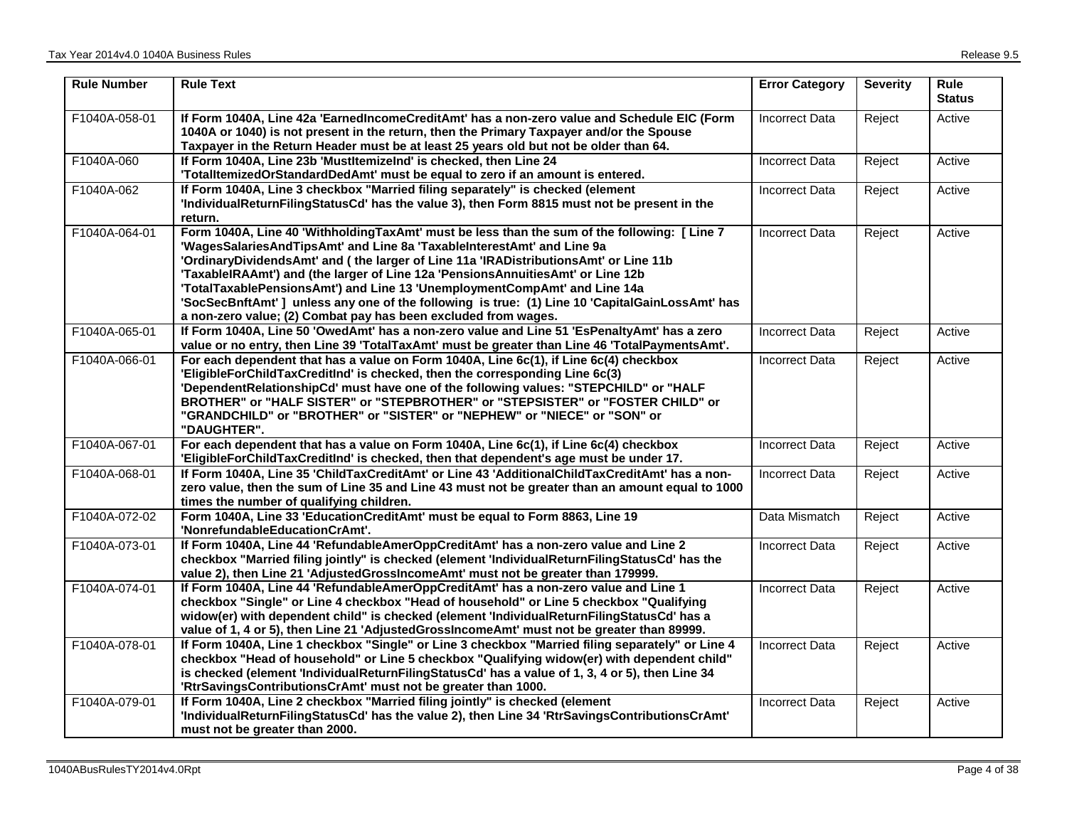| <b>Rule Number</b> | <b>Rule Text</b>                                                                                                                                                                                                                                                                                                                                                                                                                                                                                                                                                                                  | <b>Error Category</b> | <b>Severity</b> | Rule<br><b>Status</b> |
|--------------------|---------------------------------------------------------------------------------------------------------------------------------------------------------------------------------------------------------------------------------------------------------------------------------------------------------------------------------------------------------------------------------------------------------------------------------------------------------------------------------------------------------------------------------------------------------------------------------------------------|-----------------------|-----------------|-----------------------|
| F1040A-058-01      | If Form 1040A, Line 42a 'EarnedIncomeCreditAmt' has a non-zero value and Schedule EIC (Form<br>1040A or 1040) is not present in the return, then the Primary Taxpayer and/or the Spouse<br>Taxpayer in the Return Header must be at least 25 years old but not be older than 64.                                                                                                                                                                                                                                                                                                                  | <b>Incorrect Data</b> | Reject          | Active                |
| F1040A-060         | If Form 1040A, Line 23b 'MustItemizeInd' is checked, then Line 24<br>'TotalltemizedOrStandardDedAmt' must be equal to zero if an amount is entered.                                                                                                                                                                                                                                                                                                                                                                                                                                               | <b>Incorrect Data</b> | Reject          | Active                |
| F1040A-062         | If Form 1040A, Line 3 checkbox "Married filing separately" is checked (element<br>'IndividualReturnFilingStatusCd' has the value 3), then Form 8815 must not be present in the<br>return.                                                                                                                                                                                                                                                                                                                                                                                                         | <b>Incorrect Data</b> | Reject          | Active                |
| F1040A-064-01      | Form 1040A, Line 40 'WithholdingTaxAmt' must be less than the sum of the following: [Line 7<br>'WagesSalariesAndTipsAmt' and Line 8a 'TaxableInterestAmt' and Line 9a<br>'OrdinaryDividendsAmt' and (the larger of Line 11a 'IRADistributionsAmt' or Line 11b<br>'TaxableIRAAmt') and (the larger of Line 12a 'PensionsAnnuitiesAmt' or Line 12b<br>'TotalTaxablePensionsAmt') and Line 13 'UnemploymentCompAmt' and Line 14a<br>'SocSecBnftAmt'] unless any one of the following is true: (1) Line 10 'CapitalGainLossAmt' has<br>a non-zero value; (2) Combat pay has been excluded from wages. | <b>Incorrect Data</b> | Reject          | Active                |
| F1040A-065-01      | If Form 1040A, Line 50 'OwedAmt' has a non-zero value and Line 51 'EsPenaltyAmt' has a zero<br>value or no entry, then Line 39 'TotalTaxAmt' must be greater than Line 46 'TotalPaymentsAmt'.                                                                                                                                                                                                                                                                                                                                                                                                     | <b>Incorrect Data</b> | Reject          | Active                |
| F1040A-066-01      | For each dependent that has a value on Form 1040A, Line 6c(1), if Line 6c(4) checkbox<br>'EligibleForChildTaxCreditInd' is checked, then the corresponding Line 6c(3)<br>'DependentRelationshipCd' must have one of the following values: "STEPCHILD" or "HALF<br>BROTHER" or "HALF SISTER" or "STEPBROTHER" or "STEPSISTER" or "FOSTER CHILD" or<br>"GRANDCHILD" or "BROTHER" or "SISTER" or "NEPHEW" or "NIECE" or "SON" or<br>"DAUGHTER".                                                                                                                                                      | <b>Incorrect Data</b> | Reject          | Active                |
| F1040A-067-01      | For each dependent that has a value on Form 1040A, Line 6c(1), if Line 6c(4) checkbox<br>'EligibleForChildTaxCreditInd' is checked, then that dependent's age must be under 17.                                                                                                                                                                                                                                                                                                                                                                                                                   | <b>Incorrect Data</b> | Reject          | Active                |
| F1040A-068-01      | If Form 1040A, Line 35 'ChildTaxCreditAmt' or Line 43 'AdditionalChildTaxCreditAmt' has a non-<br>zero value, then the sum of Line 35 and Line 43 must not be greater than an amount equal to 1000<br>times the number of qualifying children.                                                                                                                                                                                                                                                                                                                                                    | <b>Incorrect Data</b> | Reject          | Active                |
| F1040A-072-02      | Form 1040A, Line 33 'EducationCreditAmt' must be equal to Form 8863, Line 19<br>'NonrefundableEducationCrAmt'.                                                                                                                                                                                                                                                                                                                                                                                                                                                                                    | Data Mismatch         | Reject          | Active                |
| F1040A-073-01      | If Form 1040A, Line 44 'RefundableAmerOppCreditAmt' has a non-zero value and Line 2<br>checkbox "Married filing jointly" is checked (element 'IndividualReturnFilingStatusCd' has the<br>value 2), then Line 21 'AdjustedGrossIncomeAmt' must not be greater than 179999.                                                                                                                                                                                                                                                                                                                         | <b>Incorrect Data</b> | Reject          | Active                |
| F1040A-074-01      | If Form 1040A, Line 44 'RefundableAmerOppCreditAmt' has a non-zero value and Line 1<br>checkbox "Single" or Line 4 checkbox "Head of household" or Line 5 checkbox "Qualifying<br>widow(er) with dependent child" is checked (element 'IndividualReturnFilingStatusCd' has a<br>value of 1, 4 or 5), then Line 21 'AdjustedGrossIncomeAmt' must not be greater than 89999.                                                                                                                                                                                                                        | Incorrect Data        | Reject          | Active                |
| F1040A-078-01      | If Form 1040A, Line 1 checkbox "Single" or Line 3 checkbox "Married filing separately" or Line 4<br>checkbox "Head of household" or Line 5 checkbox "Qualifying widow(er) with dependent child"<br>is checked (element 'IndividualReturnFilingStatusCd' has a value of 1, 3, 4 or 5), then Line 34<br>'RtrSavingsContributionsCrAmt' must not be greater than 1000.                                                                                                                                                                                                                               | <b>Incorrect Data</b> | Reject          | Active                |
| F1040A-079-01      | If Form 1040A, Line 2 checkbox "Married filing jointly" is checked (element<br>'IndividualReturnFilingStatusCd' has the value 2), then Line 34 'RtrSavingsContributionsCrAmt'<br>must not be greater than 2000.                                                                                                                                                                                                                                                                                                                                                                                   | <b>Incorrect Data</b> | Reject          | Active                |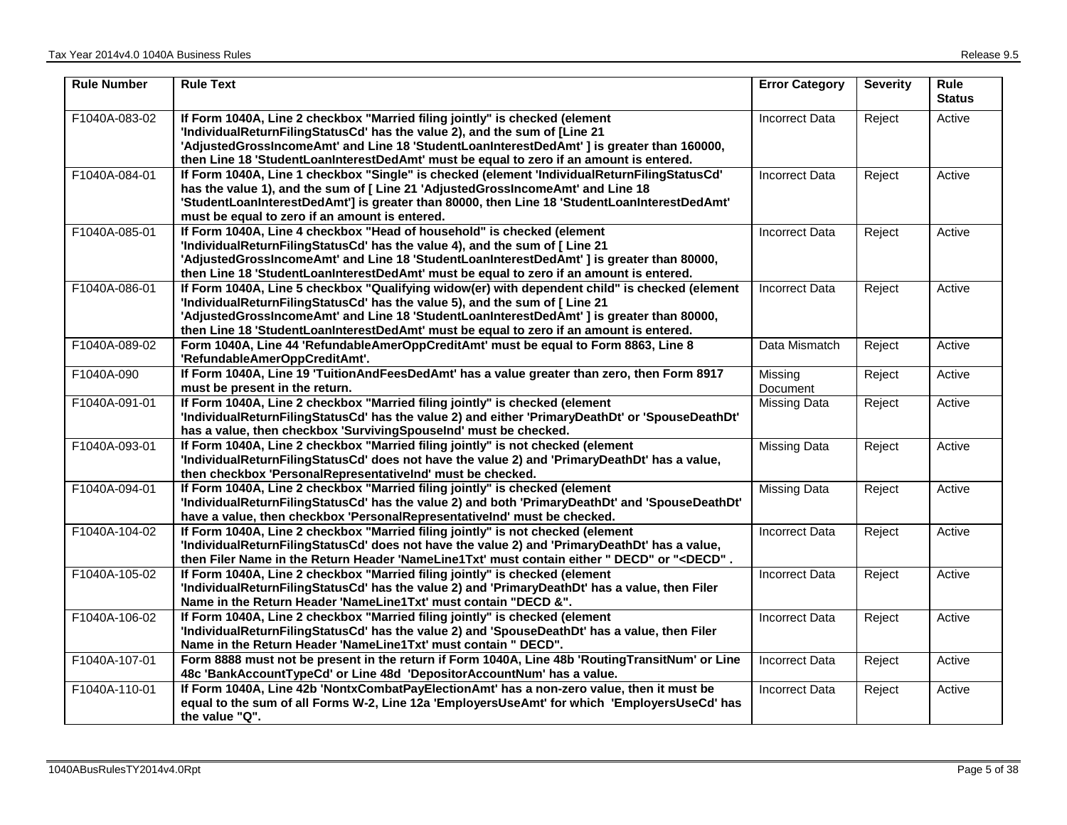| <b>Rule Number</b> | <b>Rule Text</b>                                                                                                                                                                                                                                                                                                                                                      | <b>Error Category</b> | <b>Severity</b> | <b>Rule</b><br><b>Status</b> |
|--------------------|-----------------------------------------------------------------------------------------------------------------------------------------------------------------------------------------------------------------------------------------------------------------------------------------------------------------------------------------------------------------------|-----------------------|-----------------|------------------------------|
| F1040A-083-02      | If Form 1040A, Line 2 checkbox "Married filing jointly" is checked (element<br>'IndividualReturnFilingStatusCd' has the value 2), and the sum of [Line 21<br>'AdjustedGrossIncomeAmt' and Line 18 'StudentLoanInterestDedAmt' ] is greater than 160000,<br>then Line 18 'StudentLoanInterestDedAmt' must be equal to zero if an amount is entered.                    | <b>Incorrect Data</b> | Reject          | Active                       |
| F1040A-084-01      | If Form 1040A, Line 1 checkbox "Single" is checked (element 'IndividualReturnFilingStatusCd'<br>has the value 1), and the sum of [ Line 21 'AdjustedGrossIncomeAmt' and Line 18<br>'StudentLoanInterestDedAmt'] is greater than 80000, then Line 18 'StudentLoanInterestDedAmt'<br>must be equal to zero if an amount is entered.                                     | <b>Incorrect Data</b> | Reject          | Active                       |
| F1040A-085-01      | If Form 1040A, Line 4 checkbox "Head of household" is checked (element<br>'IndividualReturnFilingStatusCd' has the value 4), and the sum of [ Line 21<br>'AdjustedGrossIncomeAmt' and Line 18 'StudentLoanInterestDedAmt' ] is greater than 80000,<br>then Line 18 'StudentLoanInterestDedAmt' must be equal to zero if an amount is entered.                         | <b>Incorrect Data</b> | Reject          | Active                       |
| F1040A-086-01      | If Form 1040A, Line 5 checkbox "Qualifying widow(er) with dependent child" is checked (element<br>'IndividualReturnFilingStatusCd' has the value 5), and the sum of [ Line 21<br>'AdjustedGrossIncomeAmt' and Line 18 'StudentLoanInterestDedAmt' ] is greater than 80000,<br>then Line 18 'StudentLoanInterestDedAmt' must be equal to zero if an amount is entered. | <b>Incorrect Data</b> | Reject          | Active                       |
| F1040A-089-02      | Form 1040A, Line 44 'RefundableAmerOppCreditAmt' must be equal to Form 8863, Line 8<br>'RefundableAmerOppCreditAmt'.                                                                                                                                                                                                                                                  | Data Mismatch         | Reject          | Active                       |
| F1040A-090         | If Form 1040A, Line 19 'TuitionAndFeesDedAmt' has a value greater than zero, then Form 8917<br>must be present in the return.                                                                                                                                                                                                                                         | Missing<br>Document   | Reject          | Active                       |
| F1040A-091-01      | If Form 1040A, Line 2 checkbox "Married filing jointly" is checked (element<br>'IndividualReturnFilingStatusCd' has the value 2) and either 'PrimaryDeathDt' or 'SpouseDeathDt'<br>has a value, then checkbox 'SurvivingSpouseInd' must be checked.                                                                                                                   | <b>Missing Data</b>   | Reject          | Active                       |
| F1040A-093-01      | If Form 1040A, Line 2 checkbox "Married filing jointly" is not checked (element<br>'IndividualReturnFilingStatusCd' does not have the value 2) and 'PrimaryDeathDt' has a value,<br>then checkbox 'PersonalRepresentativelnd' must be checked.                                                                                                                        | <b>Missing Data</b>   | Reject          | Active                       |
| F1040A-094-01      | If Form 1040A, Line 2 checkbox "Married filing jointly" is checked (element<br>'IndividualReturnFilingStatusCd' has the value 2) and both 'PrimaryDeathDt' and 'SpouseDeathDt'<br>have a value, then checkbox 'PersonalRepresentativelnd' must be checked.                                                                                                            | <b>Missing Data</b>   | Reject          | Active                       |
| F1040A-104-02      | If Form 1040A, Line 2 checkbox "Married filing jointly" is not checked (element<br>'IndividualReturnFilingStatusCd' does not have the value 2) and 'PrimaryDeathDt' has a value,<br>then Filer Name in the Return Header 'NameLine1Txt' must contain either " DECD" or " <decd".< th=""><th><b>Incorrect Data</b></th><th>Reject</th><th>Active</th></decd".<>        | <b>Incorrect Data</b> | Reject          | Active                       |
| F1040A-105-02      | If Form 1040A, Line 2 checkbox "Married filing jointly" is checked (element<br>'IndividualReturnFilingStatusCd' has the value 2) and 'PrimaryDeathDt' has a value, then Filer<br>Name in the Return Header 'NameLine1Txt' must contain "DECD &".                                                                                                                      | <b>Incorrect Data</b> | Reject          | Active                       |
| F1040A-106-02      | If Form 1040A, Line 2 checkbox "Married filing jointly" is checked (element<br>'IndividualReturnFilingStatusCd' has the value 2) and 'SpouseDeathDt' has a value, then Filer<br>Name in the Return Header 'NameLine1Txt' must contain " DECD".                                                                                                                        | <b>Incorrect Data</b> | Reject          | Active                       |
| F1040A-107-01      | Form 8888 must not be present in the return if Form 1040A, Line 48b 'RoutingTransitNum' or Line<br>48c 'BankAccountTypeCd' or Line 48d 'DepositorAccountNum' has a value.                                                                                                                                                                                             | <b>Incorrect Data</b> | Reject          | Active                       |
| F1040A-110-01      | If Form 1040A, Line 42b 'NontxCombatPayElectionAmt' has a non-zero value, then it must be<br>equal to the sum of all Forms W-2, Line 12a 'EmployersUseAmt' for which 'EmployersUseCd' has<br>the value "Q".                                                                                                                                                           | <b>Incorrect Data</b> | Reject          | Active                       |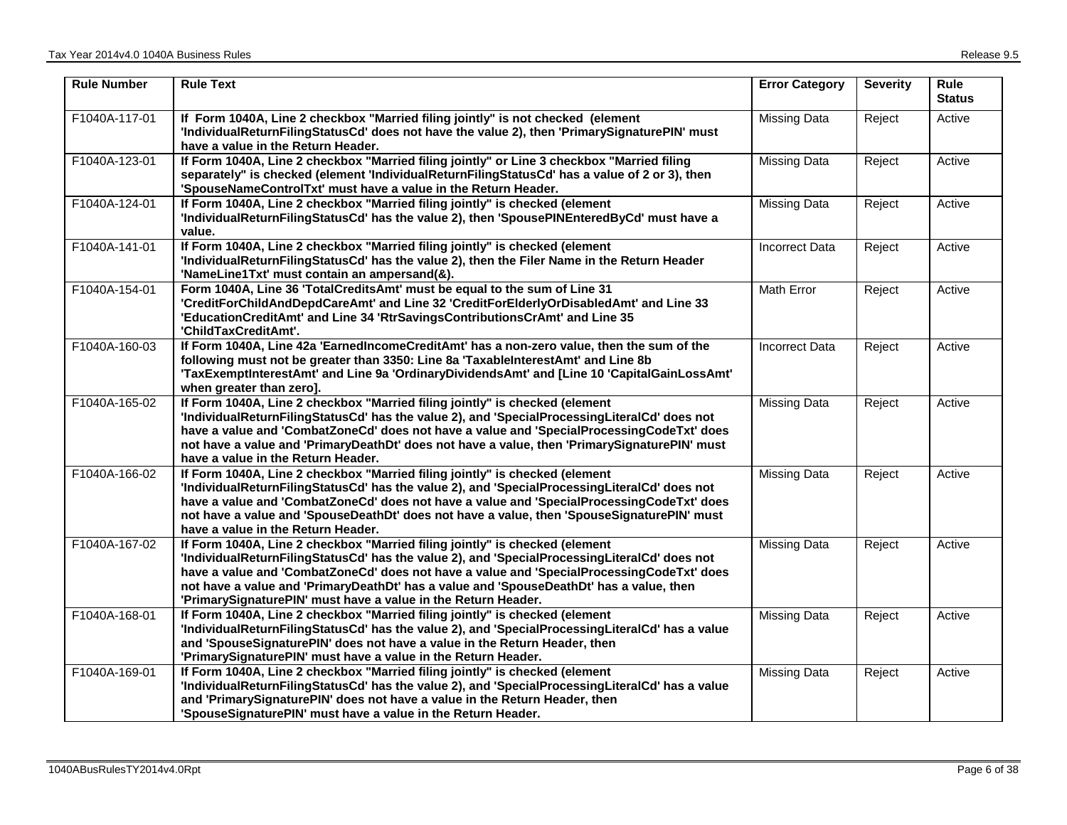| <b>Rule Number</b> | <b>Rule Text</b>                                                                                                                                                                                                                                                                                                                                                                                                                     | <b>Error Category</b> | <b>Severity</b> | <b>Rule</b><br><b>Status</b> |
|--------------------|--------------------------------------------------------------------------------------------------------------------------------------------------------------------------------------------------------------------------------------------------------------------------------------------------------------------------------------------------------------------------------------------------------------------------------------|-----------------------|-----------------|------------------------------|
| F1040A-117-01      | If Form 1040A, Line 2 checkbox "Married filing jointly" is not checked (element<br>'IndividualReturnFilingStatusCd' does not have the value 2), then 'PrimarySignaturePIN' must<br>have a value in the Return Header.                                                                                                                                                                                                                | Missing Data          | Reject          | Active                       |
| F1040A-123-01      | If Form 1040A, Line 2 checkbox "Married filing jointly" or Line 3 checkbox "Married filing<br>separately" is checked (element 'IndividualReturnFilingStatusCd' has a value of 2 or 3), then<br>'SpouseNameControlTxt' must have a value in the Return Header.                                                                                                                                                                        | <b>Missing Data</b>   | Reject          | Active                       |
| F1040A-124-01      | If Form 1040A, Line 2 checkbox "Married filing jointly" is checked (element<br>'IndividualReturnFilingStatusCd' has the value 2), then 'SpousePINEnteredByCd' must have a<br>value.                                                                                                                                                                                                                                                  | Missing Data          | Reject          | Active                       |
| F1040A-141-01      | If Form 1040A, Line 2 checkbox "Married filing jointly" is checked (element<br>'IndividualReturnFilingStatusCd' has the value 2), then the Filer Name in the Return Header<br>'NameLine1Txt' must contain an ampersand(&).                                                                                                                                                                                                           | <b>Incorrect Data</b> | Reject          | Active                       |
| F1040A-154-01      | Form 1040A, Line 36 'TotalCreditsAmt' must be equal to the sum of Line 31<br>'CreditForChildAndDepdCareAmt' and Line 32 'CreditForElderlyOrDisabledAmt' and Line 33<br>'EducationCreditAmt' and Line 34 'RtrSavingsContributionsCrAmt' and Line 35<br>'ChildTaxCreditAmt'.                                                                                                                                                           | Math Error            | Reject          | Active                       |
| F1040A-160-03      | If Form 1040A, Line 42a 'EarnedIncomeCreditAmt' has a non-zero value, then the sum of the<br>following must not be greater than 3350: Line 8a 'TaxableInterestAmt' and Line 8b<br>'TaxExemptInterestAmt' and Line 9a 'OrdinaryDividendsAmt' and [Line 10 'CapitalGainLossAmt'<br>when greater than zero].                                                                                                                            | <b>Incorrect Data</b> | Reject          | Active                       |
| F1040A-165-02      | If Form 1040A, Line 2 checkbox "Married filing jointly" is checked (element<br>'IndividualReturnFilingStatusCd' has the value 2), and 'SpecialProcessingLiteralCd' does not<br>have a value and 'CombatZoneCd' does not have a value and 'SpecialProcessingCodeTxt' does<br>not have a value and 'PrimaryDeathDt' does not have a value, then 'PrimarySignaturePIN' must<br>have a value in the Return Header.                       | <b>Missing Data</b>   | Reject          | Active                       |
| F1040A-166-02      | If Form 1040A, Line 2 checkbox "Married filing jointly" is checked (element<br>'IndividualReturnFilingStatusCd' has the value 2), and 'SpecialProcessingLiteralCd' does not<br>have a value and 'CombatZoneCd' does not have a value and 'SpecialProcessingCodeTxt' does<br>not have a value and 'SpouseDeathDt' does not have a value, then 'SpouseSignaturePIN' must<br>have a value in the Return Header.                         | <b>Missing Data</b>   | Reject          | Active                       |
| F1040A-167-02      | If Form 1040A, Line 2 checkbox "Married filing jointly" is checked (element<br>'IndividualReturnFilingStatusCd' has the value 2), and 'SpecialProcessingLiteralCd' does not<br>have a value and 'CombatZoneCd' does not have a value and 'SpecialProcessingCodeTxt' does<br>not have a value and 'PrimaryDeathDt' has a value and 'SpouseDeathDt' has a value, then<br>'PrimarySignaturePIN' must have a value in the Return Header. | <b>Missing Data</b>   | Reject          | Active                       |
| F1040A-168-01      | If Form 1040A, Line 2 checkbox "Married filing jointly" is checked (element<br>'IndividualReturnFilingStatusCd' has the value 2), and 'SpecialProcessingLiteralCd' has a value<br>and 'SpouseSignaturePIN' does not have a value in the Return Header, then<br>'PrimarySignaturePIN' must have a value in the Return Header.                                                                                                         | <b>Missing Data</b>   | Reject          | Active                       |
| F1040A-169-01      | If Form 1040A, Line 2 checkbox "Married filing jointly" is checked (element<br>'IndividualReturnFilingStatusCd' has the value 2), and 'SpecialProcessingLiteralCd' has a value<br>and 'PrimarySignaturePIN' does not have a value in the Return Header, then<br>'SpouseSignaturePIN' must have a value in the Return Header.                                                                                                         | <b>Missing Data</b>   | Reject          | Active                       |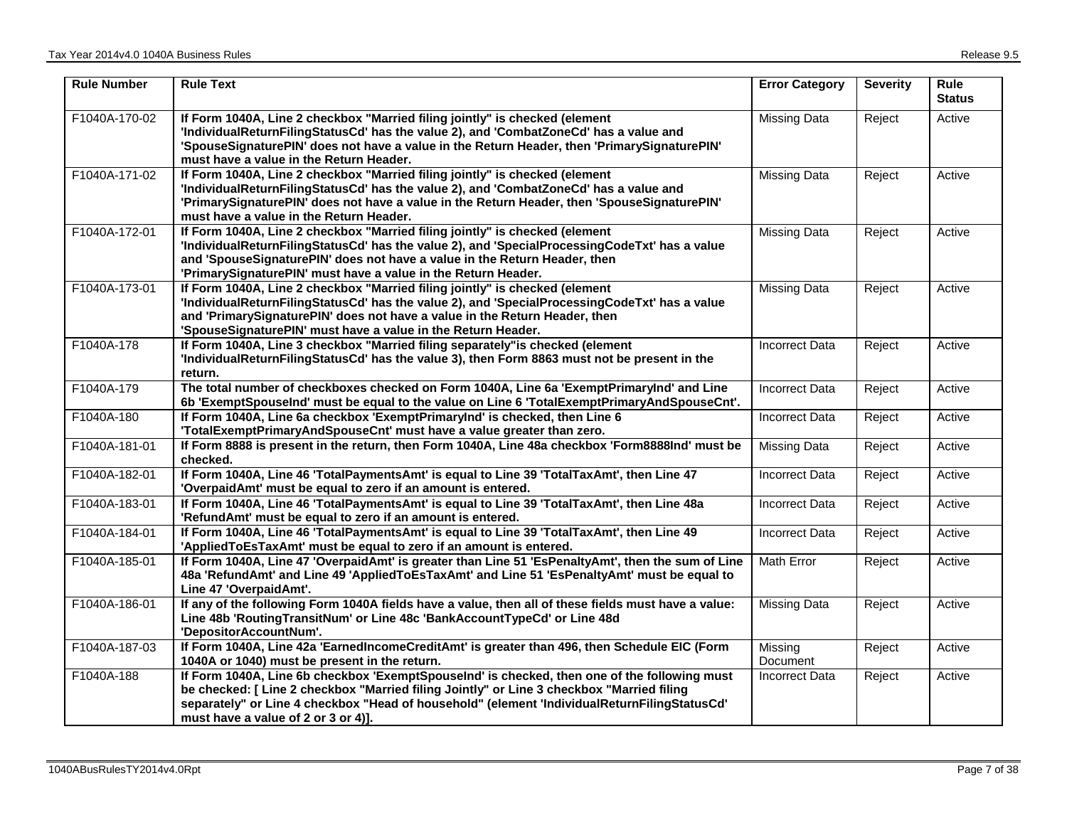| <b>Rule Number</b> | <b>Rule Text</b>                                                                                                                                                                                                                                                                                                                | <b>Error Category</b> | <b>Severity</b> | <b>Rule</b><br><b>Status</b> |
|--------------------|---------------------------------------------------------------------------------------------------------------------------------------------------------------------------------------------------------------------------------------------------------------------------------------------------------------------------------|-----------------------|-----------------|------------------------------|
| F1040A-170-02      | If Form 1040A, Line 2 checkbox "Married filing jointly" is checked (element<br>'IndividualReturnFilingStatusCd' has the value 2), and 'CombatZoneCd' has a value and<br>'SpouseSignaturePIN' does not have a value in the Return Header, then 'PrimarySignaturePIN'<br>must have a value in the Return Header.                  | <b>Missing Data</b>   | Reject          | Active                       |
| F1040A-171-02      | If Form 1040A, Line 2 checkbox "Married filing jointly" is checked (element<br>'IndividualReturnFilingStatusCd' has the value 2), and 'CombatZoneCd' has a value and<br>'PrimarySignaturePIN' does not have a value in the Return Header, then 'SpouseSignaturePIN'<br>must have a value in the Return Header.                  | <b>Missing Data</b>   | Reject          | Active                       |
| F1040A-172-01      | If Form 1040A, Line 2 checkbox "Married filing jointly" is checked (element<br>'IndividualReturnFilingStatusCd' has the value 2), and 'SpecialProcessingCodeTxt' has a value<br>and 'SpouseSignaturePIN' does not have a value in the Return Header, then<br>'PrimarySignaturePIN' must have a value in the Return Header.      | <b>Missing Data</b>   | Reject          | Active                       |
| F1040A-173-01      | If Form 1040A, Line 2 checkbox "Married filing jointly" is checked (element<br>'IndividualReturnFilingStatusCd' has the value 2), and 'SpecialProcessingCodeTxt' has a value<br>and 'PrimarySignaturePIN' does not have a value in the Return Header, then<br>'SpouseSignaturePIN' must have a value in the Return Header.      | <b>Missing Data</b>   | Reject          | Active                       |
| F1040A-178         | If Form 1040A, Line 3 checkbox "Married filing separately" is checked (element<br>'IndividualReturnFilingStatusCd' has the value 3), then Form 8863 must not be present in the<br>return.                                                                                                                                       | <b>Incorrect Data</b> | Reject          | Active                       |
| F1040A-179         | The total number of checkboxes checked on Form 1040A, Line 6a 'ExemptPrimaryInd' and Line<br>6b 'ExemptSpouseInd' must be equal to the value on Line 6 'TotalExemptPrimaryAndSpouseCnt'.                                                                                                                                        | <b>Incorrect Data</b> | Reject          | Active                       |
| F1040A-180         | If Form 1040A, Line 6a checkbox 'ExemptPrimaryInd' is checked, then Line 6<br>'TotalExemptPrimaryAndSpouseCnt' must have a value greater than zero.                                                                                                                                                                             | <b>Incorrect Data</b> | Reject          | Active                       |
| F1040A-181-01      | If Form 8888 is present in the return, then Form 1040A, Line 48a checkbox 'Form8888Ind' must be<br>checked.                                                                                                                                                                                                                     | <b>Missing Data</b>   | Reject          | Active                       |
| F1040A-182-01      | If Form 1040A, Line 46 'TotalPaymentsAmt' is equal to Line 39 'TotalTaxAmt', then Line 47<br>'OverpaidAmt' must be equal to zero if an amount is entered.                                                                                                                                                                       | <b>Incorrect Data</b> | Reject          | Active                       |
| F1040A-183-01      | If Form 1040A, Line 46 'TotalPaymentsAmt' is equal to Line 39 'TotalTaxAmt', then Line 48a<br>'RefundAmt' must be equal to zero if an amount is entered.                                                                                                                                                                        | <b>Incorrect Data</b> | Reject          | Active                       |
| F1040A-184-01      | If Form 1040A, Line 46 'TotalPaymentsAmt' is equal to Line 39 'TotalTaxAmt', then Line 49<br>'AppliedToEsTaxAmt' must be equal to zero if an amount is entered.                                                                                                                                                                 | <b>Incorrect Data</b> | Reject          | Active                       |
| F1040A-185-01      | If Form 1040A, Line 47 'OverpaidAmt' is greater than Line 51 'EsPenaltyAmt', then the sum of Line<br>48a 'RefundAmt' and Line 49 'AppliedToEsTaxAmt' and Line 51 'EsPenaltyAmt' must be equal to<br>Line 47 'OverpaidAmt'.                                                                                                      | <b>Math Error</b>     | Reject          | Active                       |
| F1040A-186-01      | If any of the following Form 1040A fields have a value, then all of these fields must have a value:<br>Line 48b 'RoutingTransitNum' or Line 48c 'BankAccountTypeCd' or Line 48d<br>'DepositorAccountNum'.                                                                                                                       | <b>Missing Data</b>   | Reject          | Active                       |
| F1040A-187-03      | If Form 1040A, Line 42a 'EarnedIncomeCreditAmt' is greater than 496, then Schedule EIC (Form<br>1040A or 1040) must be present in the return.                                                                                                                                                                                   | Missing<br>Document   | Reject          | Active                       |
| F1040A-188         | If Form 1040A, Line 6b checkbox 'ExemptSpouseInd' is checked, then one of the following must<br>be checked: [Line 2 checkbox "Married filing Jointly" or Line 3 checkbox "Married filing<br>separately" or Line 4 checkbox "Head of household" (element 'IndividualReturnFilingStatusCd'<br>must have a value of 2 or 3 or 4)]. | <b>Incorrect Data</b> | Reject          | Active                       |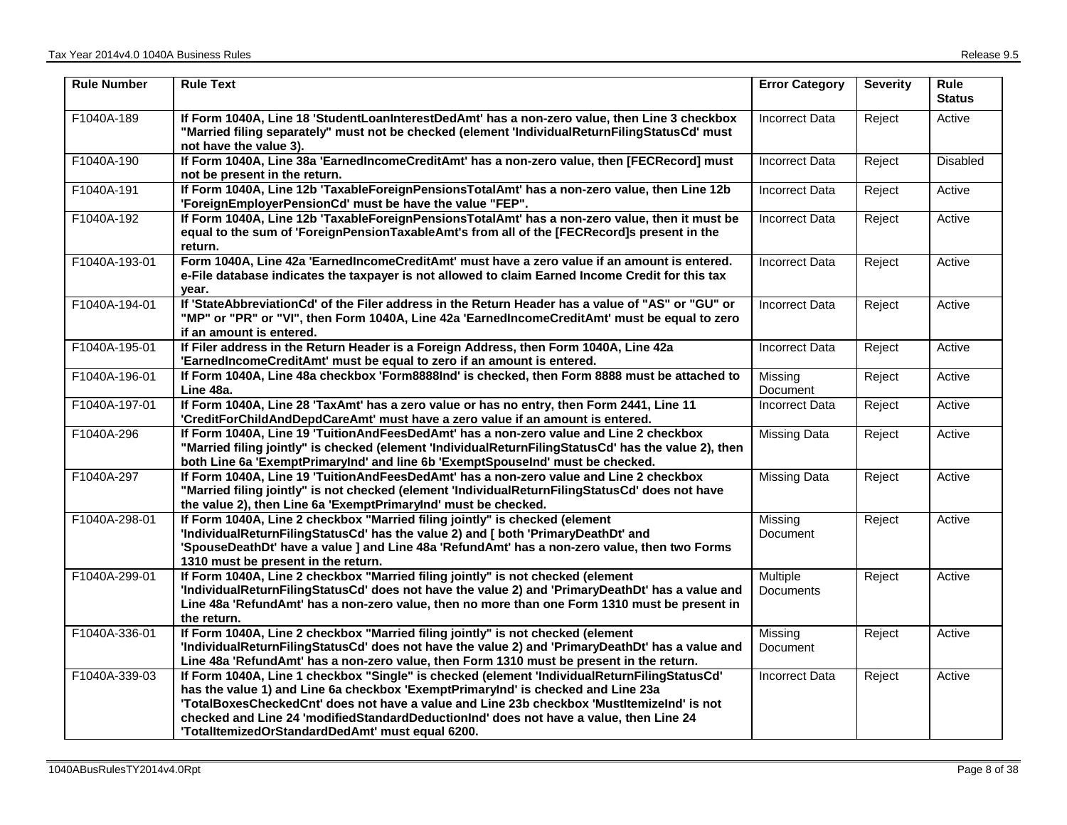| <b>Rule Number</b> | <b>Rule Text</b>                                                                                                                                                                                                                                                                                                                                                                                                             | <b>Error Category</b> | <b>Severity</b> | <b>Rule</b><br><b>Status</b> |
|--------------------|------------------------------------------------------------------------------------------------------------------------------------------------------------------------------------------------------------------------------------------------------------------------------------------------------------------------------------------------------------------------------------------------------------------------------|-----------------------|-----------------|------------------------------|
| F1040A-189         | If Form 1040A, Line 18 'StudentLoanInterestDedAmt' has a non-zero value, then Line 3 checkbox<br>"Married filing separately" must not be checked (element 'IndividualReturnFilingStatusCd' must<br>not have the value 3).                                                                                                                                                                                                    | <b>Incorrect Data</b> | Reject          | Active                       |
| F1040A-190         | If Form 1040A, Line 38a 'EarnedIncomeCreditAmt' has a non-zero value, then [FECRecord] must<br>not be present in the return.                                                                                                                                                                                                                                                                                                 | <b>Incorrect Data</b> | Reject          | <b>Disabled</b>              |
| F1040A-191         | If Form 1040A, Line 12b 'TaxableForeignPensionsTotalAmt' has a non-zero value, then Line 12b<br>'ForeignEmployerPensionCd' must be have the value "FEP".                                                                                                                                                                                                                                                                     | <b>Incorrect Data</b> | Reject          | Active                       |
| F1040A-192         | If Form 1040A, Line 12b 'TaxableForeignPensionsTotalAmt' has a non-zero value, then it must be<br>equal to the sum of 'ForeignPensionTaxableAmt's from all of the [FECRecord]s present in the<br>return.                                                                                                                                                                                                                     | <b>Incorrect Data</b> | Reject          | Active                       |
| F1040A-193-01      | Form 1040A, Line 42a 'EarnedIncomeCreditAmt' must have a zero value if an amount is entered.<br>e-File database indicates the taxpayer is not allowed to claim Earned Income Credit for this tax<br>year.                                                                                                                                                                                                                    | <b>Incorrect Data</b> | Reject          | Active                       |
| F1040A-194-01      | If 'StateAbbreviationCd' of the Filer address in the Return Header has a value of "AS" or "GU" or<br>"MP" or "PR" or "VI", then Form 1040A, Line 42a 'EarnedIncomeCreditAmt' must be equal to zero<br>if an amount is entered.                                                                                                                                                                                               | <b>Incorrect Data</b> | Reject          | Active                       |
| F1040A-195-01      | If Filer address in the Return Header is a Foreign Address, then Form 1040A, Line 42a<br>'EarnedIncomeCreditAmt' must be equal to zero if an amount is entered.                                                                                                                                                                                                                                                              | <b>Incorrect Data</b> | Reject          | Active                       |
| F1040A-196-01      | If Form 1040A, Line 48a checkbox 'Form8888Ind' is checked, then Form 8888 must be attached to<br>Line 48a.                                                                                                                                                                                                                                                                                                                   | Missing<br>Document   | Reject          | Active                       |
| F1040A-197-01      | If Form 1040A, Line 28 'TaxAmt' has a zero value or has no entry, then Form 2441, Line 11<br>'CreditForChildAndDepdCareAmt' must have a zero value if an amount is entered.                                                                                                                                                                                                                                                  | <b>Incorrect Data</b> | Reject          | Active                       |
| F1040A-296         | If Form 1040A, Line 19 'TuitionAndFeesDedAmt' has a non-zero value and Line 2 checkbox<br>"Married filing jointly" is checked (element 'IndividualReturnFilingStatusCd' has the value 2), then<br>both Line 6a 'ExemptPrimaryInd' and line 6b 'ExemptSpouseInd' must be checked.                                                                                                                                             | <b>Missing Data</b>   | Reject          | Active                       |
| F1040A-297         | If Form 1040A, Line 19 'TuitionAndFeesDedAmt' has a non-zero value and Line 2 checkbox<br>"Married filing jointly" is not checked (element 'IndividualReturnFilingStatusCd' does not have<br>the value 2), then Line 6a 'ExemptPrimaryInd' must be checked.                                                                                                                                                                  | <b>Missing Data</b>   | Reject          | Active                       |
| F1040A-298-01      | If Form 1040A, Line 2 checkbox "Married filing jointly" is checked (element<br>'IndividualReturnFilingStatusCd' has the value 2) and [ both 'PrimaryDeathDt' and<br>'SpouseDeathDt' have a value ] and Line 48a 'RefundAmt' has a non-zero value, then two Forms<br>1310 must be present in the return.                                                                                                                      | Missing<br>Document   | Reject          | Active                       |
| F1040A-299-01      | If Form 1040A, Line 2 checkbox "Married filing jointly" is not checked (element<br>'IndividualReturnFilingStatusCd' does not have the value 2) and 'PrimaryDeathDt' has a value and<br>Line 48a 'RefundAmt' has a non-zero value, then no more than one Form 1310 must be present in<br>the return.                                                                                                                          | Multiple<br>Documents | Reject          | Active                       |
| F1040A-336-01      | If Form 1040A, Line 2 checkbox "Married filing jointly" is not checked (element<br>'IndividualReturnFilingStatusCd' does not have the value 2) and 'PrimaryDeathDt' has a value and<br>Line 48a 'RefundAmt' has a non-zero value, then Form 1310 must be present in the return.                                                                                                                                              | Missing<br>Document   | Reject          | Active                       |
| F1040A-339-03      | If Form 1040A, Line 1 checkbox "Single" is checked (element 'IndividualReturnFilingStatusCd'<br>has the value 1) and Line 6a checkbox 'ExemptPrimaryInd' is checked and Line 23a<br>'TotalBoxesCheckedCnt' does not have a value and Line 23b checkbox 'MustItemizeInd' is not<br>checked and Line 24 'modifiedStandardDeductionInd' does not have a value, then Line 24<br>'TotalltemizedOrStandardDedAmt' must equal 6200. | <b>Incorrect Data</b> | Reject          | Active                       |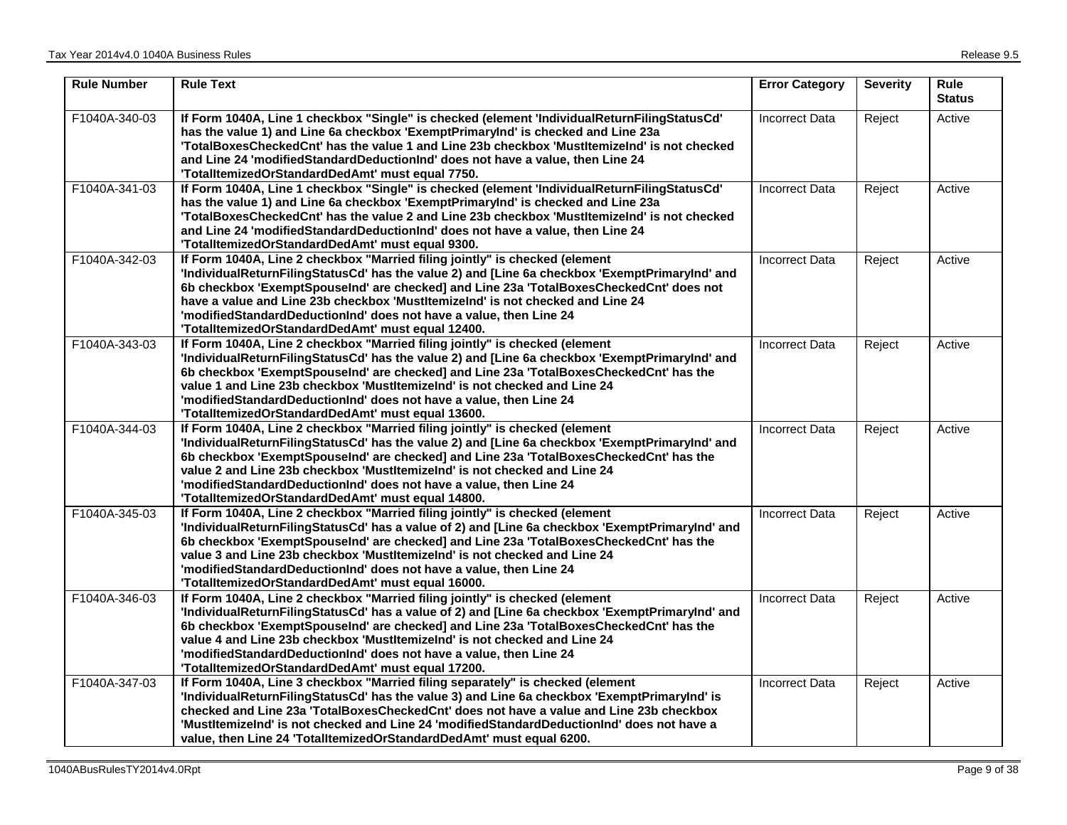| <b>Rule Number</b> | <b>Rule Text</b>                                                                                                                                                                                                                                                                                                                                                                                                                                                                      | <b>Error Category</b> | <b>Severity</b> | <b>Rule</b><br><b>Status</b> |
|--------------------|---------------------------------------------------------------------------------------------------------------------------------------------------------------------------------------------------------------------------------------------------------------------------------------------------------------------------------------------------------------------------------------------------------------------------------------------------------------------------------------|-----------------------|-----------------|------------------------------|
| F1040A-340-03      | If Form 1040A, Line 1 checkbox "Single" is checked (element 'IndividualReturnFilingStatusCd'<br>has the value 1) and Line 6a checkbox 'ExemptPrimaryInd' is checked and Line 23a<br>'TotalBoxesCheckedCnt' has the value 1 and Line 23b checkbox 'MustItemizeInd' is not checked<br>and Line 24 'modifiedStandardDeductionInd' does not have a value, then Line 24<br>'TotalltemizedOrStandardDedAmt' must equal 7750.                                                                | <b>Incorrect Data</b> | Reject          | Active                       |
| F1040A-341-03      | If Form 1040A, Line 1 checkbox "Single" is checked (element 'IndividualReturnFilingStatusCd'<br>has the value 1) and Line 6a checkbox 'ExemptPrimaryInd' is checked and Line 23a<br>'TotalBoxesCheckedCnt' has the value 2 and Line 23b checkbox 'MustItemizeInd' is not checked<br>and Line 24 'modifiedStandardDeductionInd' does not have a value, then Line 24<br>'TotalltemizedOrStandardDedAmt' must equal 9300.                                                                | <b>Incorrect Data</b> | Reject          | Active                       |
| F1040A-342-03      | If Form 1040A, Line 2 checkbox "Married filing jointly" is checked (element<br>'IndividualReturnFilingStatusCd' has the value 2) and [Line 6a checkbox 'ExemptPrimaryInd' and<br>6b checkbox 'ExemptSpouseInd' are checked] and Line 23a 'TotalBoxesCheckedCnt' does not<br>have a value and Line 23b checkbox 'MustItemizelnd' is not checked and Line 24<br>'modifiedStandardDeductionInd' does not have a value, then Line 24<br>'TotalltemizedOrStandardDedAmt' must equal 12400. | <b>Incorrect Data</b> | Reject          | Active                       |
| F1040A-343-03      | If Form 1040A, Line 2 checkbox "Married filing jointly" is checked (element<br>'IndividualReturnFilingStatusCd' has the value 2) and [Line 6a checkbox 'ExemptPrimaryInd' and<br>6b checkbox 'ExemptSpouseInd' are checked] and Line 23a 'TotalBoxesCheckedCnt' has the<br>value 1 and Line 23b checkbox 'MustItemizeInd' is not checked and Line 24<br>'modifiedStandardDeductionInd' does not have a value, then Line 24<br>'TotalltemizedOrStandardDedAmt' must equal 13600.       | <b>Incorrect Data</b> | Reject          | Active                       |
| F1040A-344-03      | If Form 1040A, Line 2 checkbox "Married filing jointly" is checked (element<br>'IndividualReturnFilingStatusCd' has the value 2) and [Line 6a checkbox 'ExemptPrimaryInd' and<br>6b checkbox 'ExemptSpouseInd' are checked] and Line 23a 'TotalBoxesCheckedCnt' has the<br>value 2 and Line 23b checkbox 'MustItemizelnd' is not checked and Line 24<br>'modifiedStandardDeductionInd' does not have a value, then Line 24<br>'TotalltemizedOrStandardDedAmt' must equal 14800.       | Incorrect Data        | Reject          | Active                       |
| F1040A-345-03      | If Form 1040A, Line 2 checkbox "Married filing jointly" is checked (element<br>'IndividualReturnFilingStatusCd' has a value of 2) and [Line 6a checkbox 'ExemptPrimaryInd' and<br>6b checkbox 'ExemptSpouseInd' are checked] and Line 23a 'TotalBoxesCheckedCnt' has the<br>value 3 and Line 23b checkbox 'MustItemizelnd' is not checked and Line 24<br>'modifiedStandardDeductionInd' does not have a value, then Line 24<br>'TotalltemizedOrStandardDedAmt' must equal 16000.      | <b>Incorrect Data</b> | Reject          | Active                       |
| F1040A-346-03      | If Form 1040A, Line 2 checkbox "Married filing jointly" is checked (element<br>'IndividualReturnFilingStatusCd' has a value of 2) and [Line 6a checkbox 'ExemptPrimaryInd' and<br>6b checkbox 'ExemptSpouseInd' are checked] and Line 23a 'TotalBoxesCheckedCnt' has the<br>value 4 and Line 23b checkbox 'Mustltemizelnd' is not checked and Line 24<br>'modifiedStandardDeductionInd' does not have a value, then Line 24<br>'TotalltemizedOrStandardDedAmt' must equal 17200.      | <b>Incorrect Data</b> | Reject          | Active                       |
| F1040A-347-03      | If Form 1040A, Line 3 checkbox "Married filing separately" is checked (element<br>'IndividualReturnFilingStatusCd' has the value 3) and Line 6a checkbox 'ExemptPrimaryInd' is<br>checked and Line 23a 'TotalBoxesCheckedCnt' does not have a value and Line 23b checkbox<br>'MustItemizeInd' is not checked and Line 24 'modifiedStandardDeductionInd' does not have a<br>value, then Line 24 'TotalItemizedOrStandardDedAmt' must equal 6200.                                       | <b>Incorrect Data</b> | Reject          | Active                       |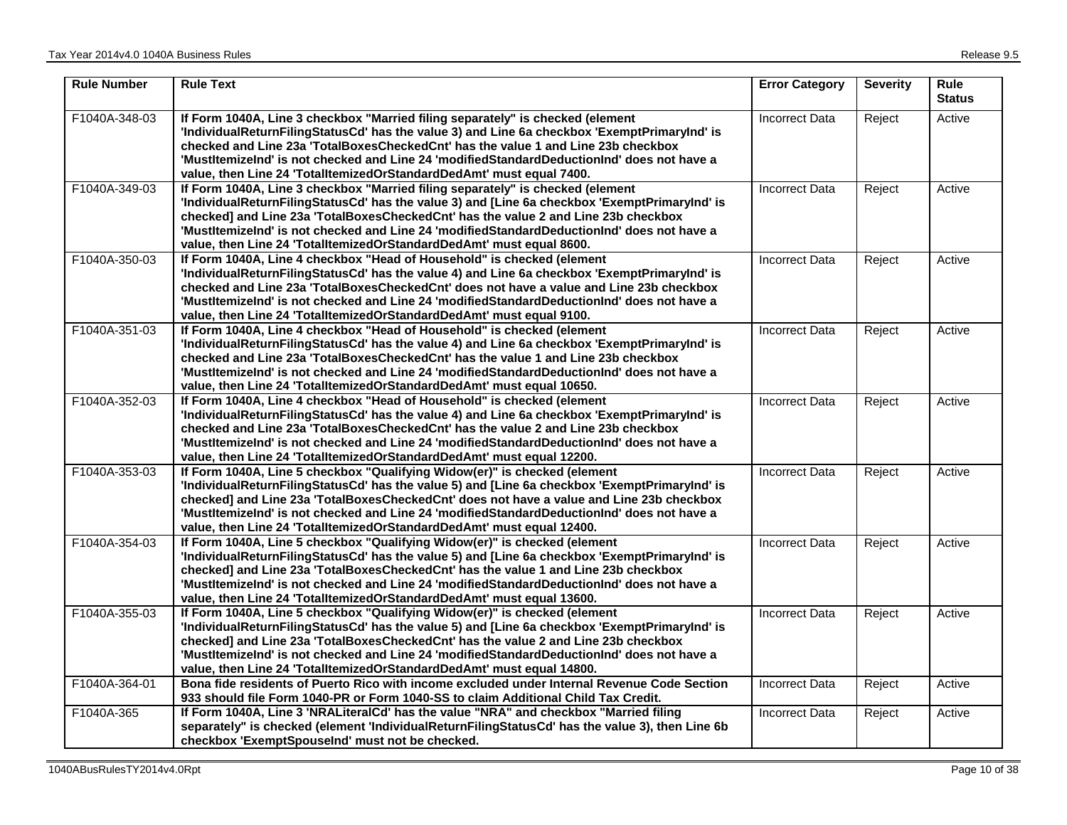| <b>Rule Number</b> | <b>Rule Text</b>                                                                                                                                                                                                                                                                                                                                                                                                                              | <b>Error Category</b> | <b>Severity</b> | <b>Rule</b><br><b>Status</b> |
|--------------------|-----------------------------------------------------------------------------------------------------------------------------------------------------------------------------------------------------------------------------------------------------------------------------------------------------------------------------------------------------------------------------------------------------------------------------------------------|-----------------------|-----------------|------------------------------|
| F1040A-348-03      | If Form 1040A, Line 3 checkbox "Married filing separately" is checked (element<br>'IndividualReturnFilingStatusCd' has the value 3) and Line 6a checkbox 'ExemptPrimaryInd' is<br>checked and Line 23a TotalBoxesCheckedCnt' has the value 1 and Line 23b checkbox<br>'MustItemizeInd' is not checked and Line 24 'modifiedStandardDeductionInd' does not have a<br>value, then Line 24 'TotalItemizedOrStandardDedAmt' must equal 7400.      | <b>Incorrect Data</b> | Reject          | Active                       |
| F1040A-349-03      | If Form 1040A, Line 3 checkbox "Married filing separately" is checked (element<br>'IndividualReturnFilingStatusCd' has the value 3) and [Line 6a checkbox 'ExemptPrimaryInd' is<br>checked] and Line 23a 'TotalBoxesCheckedCnt' has the value 2 and Line 23b checkbox<br>'MustItemizeInd' is not checked and Line 24 'modifiedStandardDeductionInd' does not have a<br>value, then Line 24 'TotalItemizedOrStandardDedAmt' must equal 8600.   | <b>Incorrect Data</b> | Reject          | Active                       |
| F1040A-350-03      | If Form 1040A, Line 4 checkbox "Head of Household" is checked (element<br>'IndividualReturnFilingStatusCd' has the value 4) and Line 6a checkbox 'ExemptPrimaryInd' is<br>checked and Line 23a 'TotalBoxesCheckedCnt' does not have a value and Line 23b checkbox<br>'MustItemizeInd' is not checked and Line 24 'modifiedStandardDeductionInd' does not have a<br>value, then Line 24 'TotalItemizedOrStandardDedAmt' must equal 9100.       | <b>Incorrect Data</b> | Reject          | Active                       |
| F1040A-351-03      | If Form 1040A, Line 4 checkbox "Head of Household" is checked (element<br>'IndividualReturnFilingStatusCd' has the value 4) and Line 6a checkbox 'ExemptPrimaryInd' is<br>checked and Line 23a 'TotalBoxesCheckedCnt' has the value 1 and Line 23b checkbox<br>'MustItemizeInd' is not checked and Line 24 'modifiedStandardDeductionInd' does not have a<br>value, then Line 24 'TotalItemizedOrStandardDedAmt' must equal 10650.            | <b>Incorrect Data</b> | Reject          | Active                       |
| F1040A-352-03      | If Form 1040A, Line 4 checkbox "Head of Household" is checked (element<br>'IndividualReturnFilingStatusCd' has the value 4) and Line 6a checkbox 'ExemptPrimaryInd' is<br>checked and Line 23a TotalBoxesCheckedCnt' has the value 2 and Line 23b checkbox<br>'MustItemizeInd' is not checked and Line 24 'modifiedStandardDeductionInd' does not have a<br>value, then Line 24 'TotalItemizedOrStandardDedAmt' must equal 12200.             | <b>Incorrect Data</b> | Reject          | Active                       |
| F1040A-353-03      | If Form 1040A, Line 5 checkbox "Qualifying Widow(er)" is checked (element<br>'IndividualReturnFilingStatusCd' has the value 5) and [Line 6a checkbox 'ExemptPrimaryInd' is<br>checked] and Line 23a 'TotalBoxesCheckedCnt' does not have a value and Line 23b checkbox<br>'MustItemizeInd' is not checked and Line 24 'modifiedStandardDeductionInd' does not have a<br>value, then Line 24 'TotalItemizedOrStandardDedAmt' must equal 12400. | <b>Incorrect Data</b> | Reject          | Active                       |
| F1040A-354-03      | If Form 1040A, Line 5 checkbox "Qualifying Widow(er)" is checked (element<br>'IndividualReturnFilingStatusCd' has the value 5) and [Line 6a checkbox 'ExemptPrimaryInd' is<br>checked] and Line 23a 'TotalBoxesCheckedCnt' has the value 1 and Line 23b checkbox<br>'MustItemizeInd' is not checked and Line 24 'modifiedStandardDeductionInd' does not have a<br>value, then Line 24 'TotalItemizedOrStandardDedAmt' must equal 13600.       | <b>Incorrect Data</b> | Reject          | Active                       |
| F1040A-355-03      | If Form 1040A, Line 5 checkbox "Qualifying Widow(er)" is checked (element<br>'IndividualReturnFilingStatusCd' has the value 5) and [Line 6a checkbox 'ExemptPrimaryInd' is<br>checked] and Line 23a 'TotalBoxesCheckedCnt' has the value 2 and Line 23b checkbox<br>'MustItemizeInd' is not checked and Line 24 'modifiedStandardDeductionInd' does not have a<br>value, then Line 24 'TotalItemizedOrStandardDedAmt' must equal 14800.       | <b>Incorrect Data</b> | Reject          | Active                       |
| F1040A-364-01      | Bona fide residents of Puerto Rico with income excluded under Internal Revenue Code Section<br>933 should file Form 1040-PR or Form 1040-SS to claim Additional Child Tax Credit.                                                                                                                                                                                                                                                             | <b>Incorrect Data</b> | Reject          | Active                       |
| F1040A-365         | If Form 1040A, Line 3 'NRALiteralCd' has the value "NRA" and checkbox "Married filing<br>separately" is checked (element 'IndividualReturnFilingStatusCd' has the value 3), then Line 6b<br>checkbox 'ExemptSpouseInd' must not be checked.                                                                                                                                                                                                   | <b>Incorrect Data</b> | Reject          | Active                       |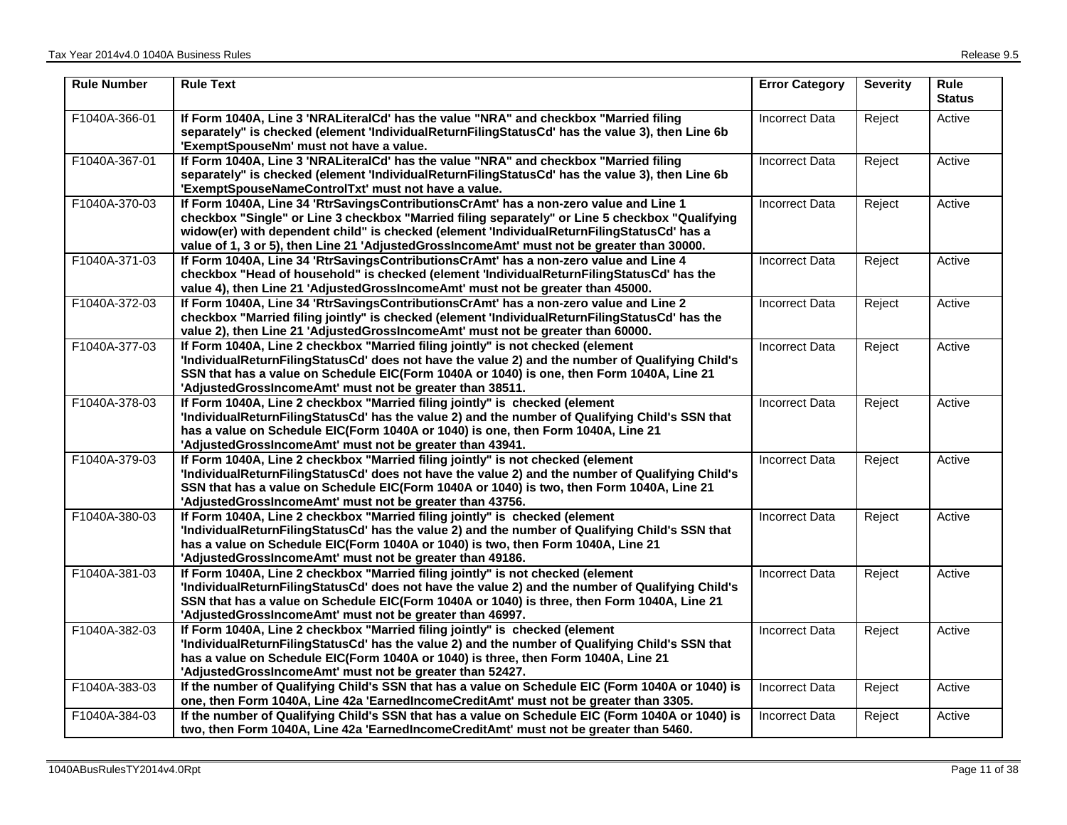| <b>Rule Number</b> | <b>Rule Text</b>                                                                                                                                                                                                                                                                                                                                                                     | <b>Error Category</b> | <b>Severity</b> | <b>Rule</b><br><b>Status</b> |
|--------------------|--------------------------------------------------------------------------------------------------------------------------------------------------------------------------------------------------------------------------------------------------------------------------------------------------------------------------------------------------------------------------------------|-----------------------|-----------------|------------------------------|
| F1040A-366-01      | If Form 1040A, Line 3 'NRALiteralCd' has the value "NRA" and checkbox "Married filing<br>separately" is checked (element 'IndividualReturnFilingStatusCd' has the value 3), then Line 6b<br>'ExemptSpouseNm' must not have a value.                                                                                                                                                  | <b>Incorrect Data</b> | Reject          | Active                       |
| F1040A-367-01      | If Form 1040A, Line 3 'NRALiteralCd' has the value "NRA" and checkbox "Married filing<br>separately" is checked (element 'IndividualReturnFilingStatusCd' has the value 3), then Line 6b<br>'ExemptSpouseNameControlTxt' must not have a value.                                                                                                                                      | <b>Incorrect Data</b> | Reject          | Active                       |
| F1040A-370-03      | If Form 1040A, Line 34 'RtrSavingsContributionsCrAmt' has a non-zero value and Line 1<br>checkbox "Single" or Line 3 checkbox "Married filing separately" or Line 5 checkbox "Qualifying<br>widow(er) with dependent child" is checked (element 'IndividualReturnFilingStatusCd' has a<br>value of 1, 3 or 5), then Line 21 'AdjustedGrossIncomeAmt' must not be greater than 30000. | <b>Incorrect Data</b> | Reject          | Active                       |
| F1040A-371-03      | If Form 1040A, Line 34 'RtrSavingsContributionsCrAmt' has a non-zero value and Line 4<br>checkbox "Head of household" is checked (element 'IndividualReturnFilingStatusCd' has the<br>value 4), then Line 21 'AdjustedGrossIncomeAmt' must not be greater than 45000.                                                                                                                | <b>Incorrect Data</b> | Reject          | Active                       |
| F1040A-372-03      | If Form 1040A, Line 34 'RtrSavingsContributionsCrAmt' has a non-zero value and Line 2<br>checkbox "Married filing jointly" is checked (element 'IndividualReturnFilingStatusCd' has the<br>value 2), then Line 21 'AdjustedGrossIncomeAmt' must not be greater than 60000.                                                                                                           | <b>Incorrect Data</b> | Reject          | Active                       |
| F1040A-377-03      | If Form 1040A, Line 2 checkbox "Married filing jointly" is not checked (element<br>'IndividualReturnFilingStatusCd' does not have the value 2) and the number of Qualifying Child's<br>SSN that has a value on Schedule EIC(Form 1040A or 1040) is one, then Form 1040A, Line 21<br>'AdjustedGrossIncomeAmt' must not be greater than 38511.                                         | <b>Incorrect Data</b> | Reject          | Active                       |
| F1040A-378-03      | If Form 1040A, Line 2 checkbox "Married filing jointly" is checked (element<br>'IndividualReturnFilingStatusCd' has the value 2) and the number of Qualifying Child's SSN that<br>has a value on Schedule EIC(Form 1040A or 1040) is one, then Form 1040A, Line 21<br>'AdjustedGrossIncomeAmt' must not be greater than 43941.                                                       | <b>Incorrect Data</b> | Reject          | Active                       |
| F1040A-379-03      | If Form 1040A, Line 2 checkbox "Married filing jointly" is not checked (element<br>'IndividualReturnFilingStatusCd' does not have the value 2) and the number of Qualifying Child's<br>SSN that has a value on Schedule EIC(Form 1040A or 1040) is two, then Form 1040A, Line 21<br>'AdjustedGrossIncomeAmt' must not be greater than 43756.                                         | <b>Incorrect Data</b> | Reject          | Active                       |
| F1040A-380-03      | If Form 1040A, Line 2 checkbox "Married filing jointly" is checked (element<br>'IndividualReturnFilingStatusCd' has the value 2) and the number of Qualifying Child's SSN that<br>has a value on Schedule EIC(Form 1040A or 1040) is two, then Form 1040A, Line 21<br>'AdjustedGrossIncomeAmt' must not be greater than 49186.                                                       | <b>Incorrect Data</b> | Reject          | Active                       |
| F1040A-381-03      | If Form 1040A, Line 2 checkbox "Married filing jointly" is not checked (element<br>'IndividualReturnFilingStatusCd' does not have the value 2) and the number of Qualifying Child's<br>SSN that has a value on Schedule EIC(Form 1040A or 1040) is three, then Form 1040A, Line 21<br>'AdjustedGrossIncomeAmt' must not be greater than 46997.                                       | <b>Incorrect Data</b> | Reject          | Active                       |
| F1040A-382-03      | If Form 1040A, Line 2 checkbox "Married filing jointly" is checked (element<br>'IndividualReturnFilingStatusCd' has the value 2) and the number of Qualifying Child's SSN that<br>has a value on Schedule EIC(Form 1040A or 1040) is three, then Form 1040A, Line 21<br>'AdjustedGrossIncomeAmt' must not be greater than 52427.                                                     | <b>Incorrect Data</b> | Reject          | Active                       |
| F1040A-383-03      | If the number of Qualifying Child's SSN that has a value on Schedule EIC (Form 1040A or 1040) is<br>one, then Form 1040A, Line 42a 'EarnedIncomeCreditAmt' must not be greater than 3305.                                                                                                                                                                                            | <b>Incorrect Data</b> | Reject          | Active                       |
| F1040A-384-03      | If the number of Qualifying Child's SSN that has a value on Schedule EIC (Form 1040A or 1040) is<br>two, then Form 1040A, Line 42a 'EarnedIncomeCreditAmt' must not be greater than 5460.                                                                                                                                                                                            | <b>Incorrect Data</b> | Reject          | Active                       |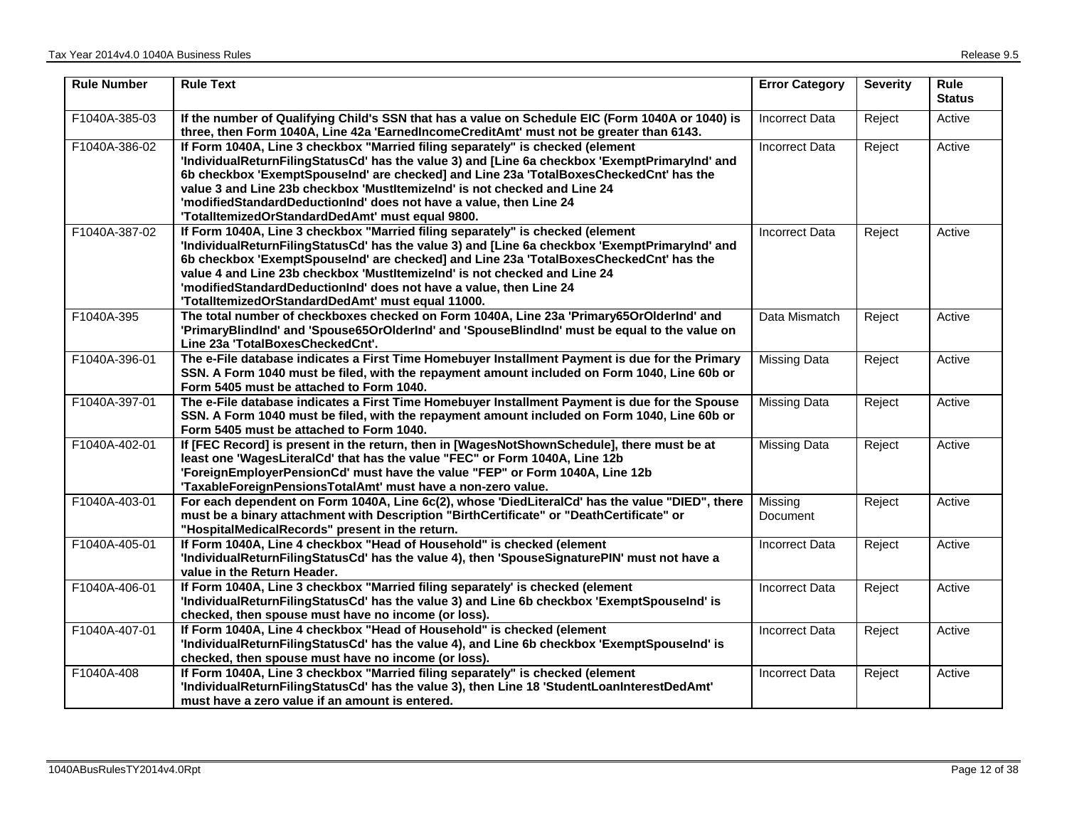| <b>Rule Number</b> | <b>Rule Text</b>                                                                                                                                                                                                                                                                                                                                                                                                                                                                   | <b>Error Category</b> | <b>Severity</b> | <b>Rule</b><br><b>Status</b> |
|--------------------|------------------------------------------------------------------------------------------------------------------------------------------------------------------------------------------------------------------------------------------------------------------------------------------------------------------------------------------------------------------------------------------------------------------------------------------------------------------------------------|-----------------------|-----------------|------------------------------|
| F1040A-385-03      | If the number of Qualifying Child's SSN that has a value on Schedule EIC (Form 1040A or 1040) is<br>three, then Form 1040A, Line 42a 'EarnedIncomeCreditAmt' must not be greater than 6143.                                                                                                                                                                                                                                                                                        | <b>Incorrect Data</b> | Reject          | Active                       |
| F1040A-386-02      | If Form 1040A, Line 3 checkbox "Married filing separately" is checked (element<br>'IndividualReturnFilingStatusCd' has the value 3) and [Line 6a checkbox 'ExemptPrimaryInd' and<br>6b checkbox 'ExemptSpouseInd' are checked] and Line 23a 'TotalBoxesCheckedCnt' has the<br>value 3 and Line 23b checkbox 'Mustltemizelnd' is not checked and Line 24<br>'modifiedStandardDeductionInd' does not have a value, then Line 24<br>'TotalltemizedOrStandardDedAmt' must equal 9800.  | <b>Incorrect Data</b> | Reject          | Active                       |
| F1040A-387-02      | If Form 1040A, Line 3 checkbox "Married filing separately" is checked (element<br>'IndividualReturnFilingStatusCd' has the value 3) and [Line 6a checkbox 'ExemptPrimaryInd' and<br>6b checkbox 'ExemptSpouseInd' are checked] and Line 23a 'TotalBoxesCheckedCnt' has the<br>value 4 and Line 23b checkbox 'Mustltemizelnd' is not checked and Line 24<br>'modifiedStandardDeductionInd' does not have a value, then Line 24<br>'TotalltemizedOrStandardDedAmt' must equal 11000. | <b>Incorrect Data</b> | Reject          | Active                       |
| F1040A-395         | The total number of checkboxes checked on Form 1040A, Line 23a 'Primary65OrOlderInd' and<br>'PrimaryBlindInd' and 'Spouse65OrOlderInd' and 'SpouseBlindInd' must be equal to the value on<br>Line 23a 'TotalBoxesCheckedCnt'.                                                                                                                                                                                                                                                      | Data Mismatch         | Reject          | Active                       |
| F1040A-396-01      | The e-File database indicates a First Time Homebuyer Installment Payment is due for the Primary<br>SSN. A Form 1040 must be filed, with the repayment amount included on Form 1040, Line 60b or<br>Form 5405 must be attached to Form 1040.                                                                                                                                                                                                                                        | <b>Missing Data</b>   | Reject          | Active                       |
| F1040A-397-01      | The e-File database indicates a First Time Homebuyer Installment Payment is due for the Spouse<br>SSN. A Form 1040 must be filed, with the repayment amount included on Form 1040, Line 60b or<br>Form 5405 must be attached to Form 1040.                                                                                                                                                                                                                                         | <b>Missing Data</b>   | Reject          | Active                       |
| F1040A-402-01      | If [FEC Record] is present in the return, then in [WagesNotShownSchedule], there must be at<br>least one 'WagesLiteralCd' that has the value "FEC" or Form 1040A, Line 12b<br>'ForeignEmployerPensionCd' must have the value "FEP" or Form 1040A, Line 12b<br>'TaxableForeignPensionsTotalAmt' must have a non-zero value.                                                                                                                                                         | <b>Missing Data</b>   | Reject          | Active                       |
| F1040A-403-01      | For each dependent on Form 1040A, Line 6c(2), whose 'DiedLiteralCd' has the value "DIED", there<br>must be a binary attachment with Description "BirthCertificate" or "DeathCertificate" or<br>"HospitalMedicalRecords" present in the return.                                                                                                                                                                                                                                     | Missing<br>Document   | Reject          | Active                       |
| F1040A-405-01      | If Form 1040A, Line 4 checkbox "Head of Household" is checked (element<br>'IndividualReturnFilingStatusCd' has the value 4), then 'SpouseSignaturePIN' must not have a<br>value in the Return Header.                                                                                                                                                                                                                                                                              | <b>Incorrect Data</b> | Reject          | Active                       |
| F1040A-406-01      | If Form 1040A, Line 3 checkbox "Married filing separately' is checked (element<br>'IndividualReturnFilingStatusCd' has the value 3) and Line 6b checkbox 'ExemptSpouseInd' is<br>checked, then spouse must have no income (or loss).                                                                                                                                                                                                                                               | <b>Incorrect Data</b> | Reject          | Active                       |
| F1040A-407-01      | If Form 1040A, Line 4 checkbox "Head of Household" is checked (element<br>'IndividualReturnFilingStatusCd' has the value 4), and Line 6b checkbox 'ExemptSpouseInd' is<br>checked, then spouse must have no income (or loss).                                                                                                                                                                                                                                                      | <b>Incorrect Data</b> | Reject          | Active                       |
| F1040A-408         | If Form 1040A, Line 3 checkbox "Married filing separately" is checked (element<br>'IndividualReturnFilingStatusCd' has the value 3), then Line 18 'StudentLoanInterestDedAmt'<br>must have a zero value if an amount is entered.                                                                                                                                                                                                                                                   | <b>Incorrect Data</b> | Reject          | Active                       |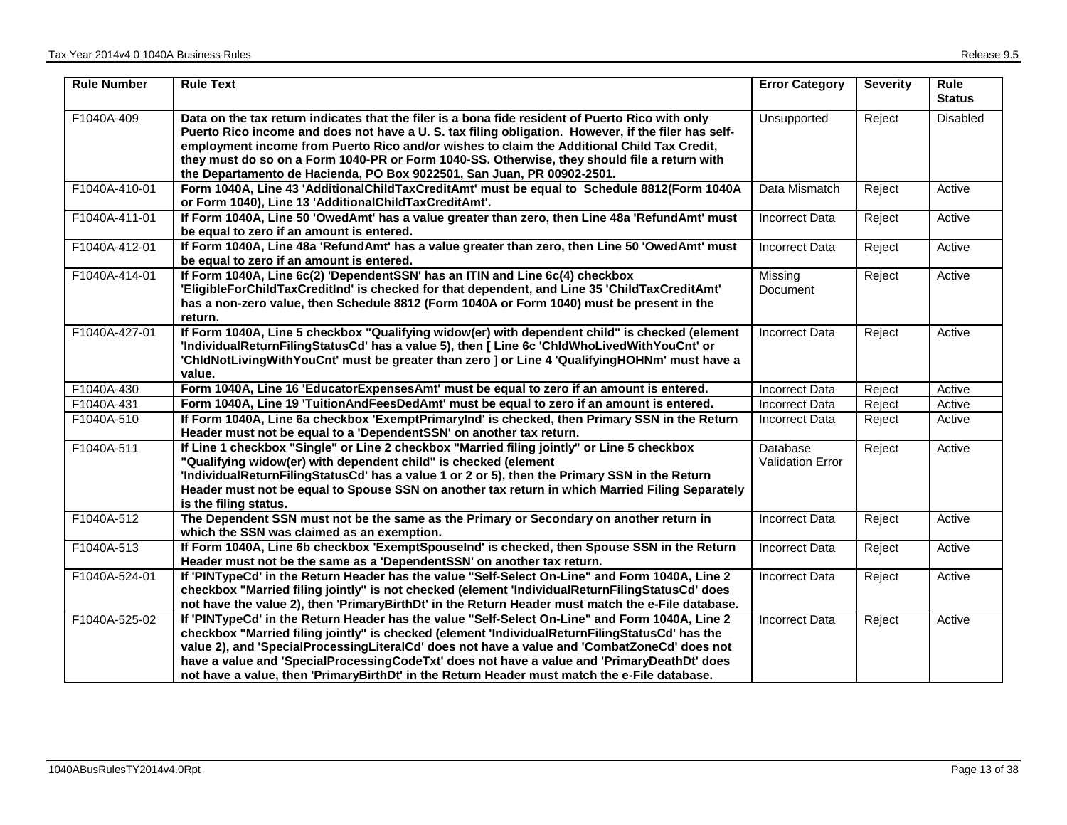| <b>Rule Number</b> | <b>Rule Text</b>                                                                                                                                                                                                                                                                                                                                                                                                                                                                                | <b>Error Category</b>               | <b>Severity</b> | Rule<br><b>Status</b> |
|--------------------|-------------------------------------------------------------------------------------------------------------------------------------------------------------------------------------------------------------------------------------------------------------------------------------------------------------------------------------------------------------------------------------------------------------------------------------------------------------------------------------------------|-------------------------------------|-----------------|-----------------------|
| F1040A-409         | Data on the tax return indicates that the filer is a bona fide resident of Puerto Rico with only<br>Puerto Rico income and does not have a U. S. tax filing obligation. However, if the filer has self-<br>employment income from Puerto Rico and/or wishes to claim the Additional Child Tax Credit,<br>they must do so on a Form 1040-PR or Form 1040-SS. Otherwise, they should file a return with<br>the Departamento de Hacienda, PO Box 9022501, San Juan, PR 00902-2501.                 | Unsupported                         | Reject          | Disabled              |
| F1040A-410-01      | Form 1040A, Line 43 'AdditionalChildTaxCreditAmt' must be equal to Schedule 8812(Form 1040A<br>or Form 1040), Line 13 'AdditionalChildTaxCreditAmt'.                                                                                                                                                                                                                                                                                                                                            | Data Mismatch                       | Reject          | Active                |
| F1040A-411-01      | If Form 1040A, Line 50 'OwedAmt' has a value greater than zero, then Line 48a 'RefundAmt' must<br>be equal to zero if an amount is entered.                                                                                                                                                                                                                                                                                                                                                     | <b>Incorrect Data</b>               | Reject          | Active                |
| F1040A-412-01      | If Form 1040A, Line 48a 'RefundAmt' has a value greater than zero, then Line 50 'OwedAmt' must<br>be equal to zero if an amount is entered.                                                                                                                                                                                                                                                                                                                                                     | <b>Incorrect Data</b>               | Reject          | Active                |
| F1040A-414-01      | If Form 1040A, Line 6c(2) 'DependentSSN' has an ITIN and Line 6c(4) checkbox<br>'EligibleForChildTaxCreditInd' is checked for that dependent, and Line 35 'ChildTaxCreditAmt'<br>has a non-zero value, then Schedule 8812 (Form 1040A or Form 1040) must be present in the<br>return.                                                                                                                                                                                                           | Missing<br>Document                 | Reject          | Active                |
| F1040A-427-01      | If Form 1040A, Line 5 checkbox "Qualifying widow(er) with dependent child" is checked (element<br>'IndividualReturnFilingStatusCd' has a value 5), then [ Line 6c 'ChldWhoLivedWithYouCnt' or<br>'ChldNotLivingWithYouCnt' must be greater than zero ] or Line 4 'QualifyingHOHNm' must have a<br>value.                                                                                                                                                                                        | <b>Incorrect Data</b>               | Reject          | Active                |
| F1040A-430         | Form 1040A, Line 16 'EducatorExpensesAmt' must be equal to zero if an amount is entered.                                                                                                                                                                                                                                                                                                                                                                                                        | <b>Incorrect Data</b>               | Reject          | Active                |
| F1040A-431         | Form 1040A, Line 19 'TuitionAndFeesDedAmt' must be equal to zero if an amount is entered.                                                                                                                                                                                                                                                                                                                                                                                                       | <b>Incorrect Data</b>               | Reject          | Active                |
| F1040A-510         | If Form 1040A, Line 6a checkbox 'ExemptPrimaryInd' is checked, then Primary SSN in the Return<br>Header must not be equal to a 'DependentSSN' on another tax return.                                                                                                                                                                                                                                                                                                                            | Incorrect Data                      | Reject          | Active                |
| F1040A-511         | If Line 1 checkbox "Single" or Line 2 checkbox "Married filing jointly" or Line 5 checkbox<br>"Qualifying widow(er) with dependent child" is checked (element<br>'IndividualReturnFilingStatusCd' has a value 1 or 2 or 5), then the Primary SSN in the Return<br>Header must not be equal to Spouse SSN on another tax return in which Married Filing Separately<br>is the filing status.                                                                                                      | Database<br><b>Validation Error</b> | Reject          | Active                |
| F1040A-512         | The Dependent SSN must not be the same as the Primary or Secondary on another return in<br>which the SSN was claimed as an exemption.                                                                                                                                                                                                                                                                                                                                                           | <b>Incorrect Data</b>               | Reject          | Active                |
| F1040A-513         | If Form 1040A, Line 6b checkbox 'ExemptSpouseInd' is checked, then Spouse SSN in the Return<br>Header must not be the same as a 'DependentSSN' on another tax return.                                                                                                                                                                                                                                                                                                                           | <b>Incorrect Data</b>               | Reject          | Active                |
| F1040A-524-01      | If 'PINTypeCd' in the Return Header has the value "Self-Select On-Line" and Form 1040A, Line 2<br>checkbox "Married filing jointly" is not checked (element 'IndividualReturnFilingStatusCd' does<br>not have the value 2), then 'PrimaryBirthDt' in the Return Header must match the e-File database.                                                                                                                                                                                          | <b>Incorrect Data</b>               | Reject          | Active                |
| F1040A-525-02      | If 'PINTypeCd' in the Return Header has the value "Self-Select On-Line" and Form 1040A, Line 2<br>checkbox "Married filing jointly" is checked (element 'IndividualReturnFilingStatusCd' has the<br>value 2), and 'SpecialProcessingLiteralCd' does not have a value and 'CombatZoneCd' does not<br>have a value and 'SpecialProcessingCodeTxt' does not have a value and 'PrimaryDeathDt' does<br>not have a value, then 'PrimaryBirthDt' in the Return Header must match the e-File database. | <b>Incorrect Data</b>               | Reject          | Active                |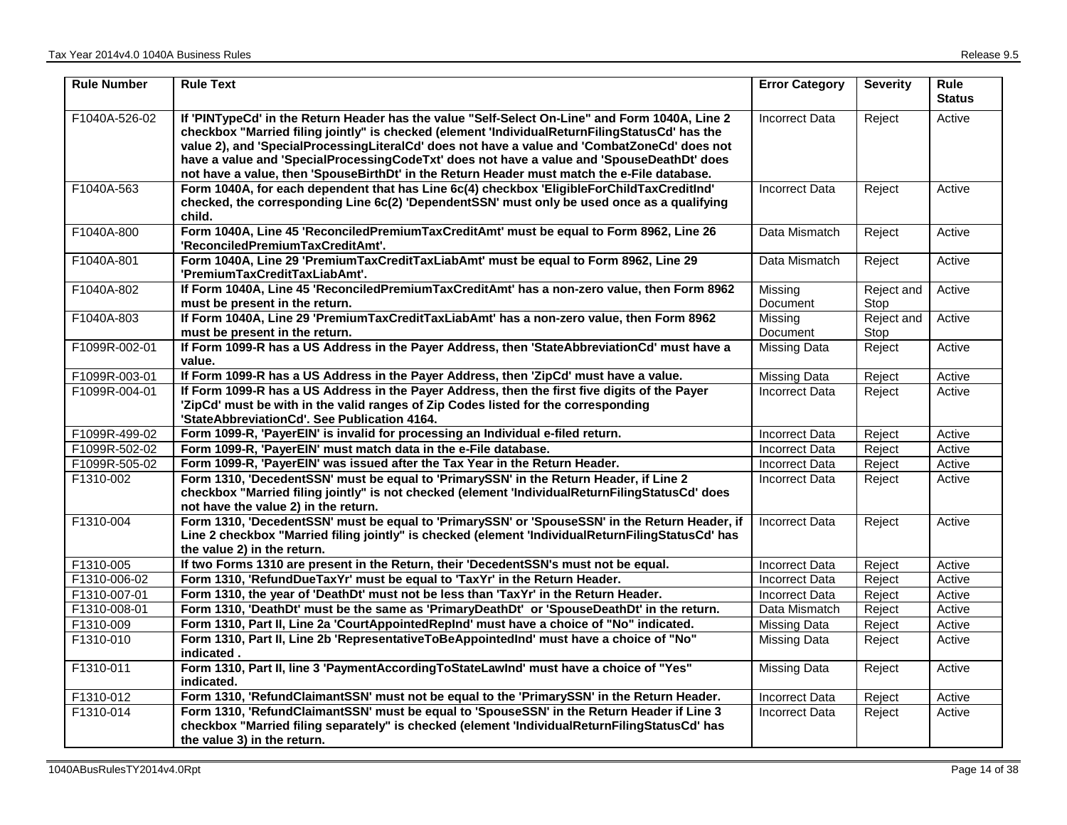| <b>Rule Number</b> | <b>Rule Text</b>                                                                                                                                                                                                                                                                                                                                                                                                                                                                              | <b>Error Category</b> | <b>Severity</b>    | <b>Rule</b><br><b>Status</b> |
|--------------------|-----------------------------------------------------------------------------------------------------------------------------------------------------------------------------------------------------------------------------------------------------------------------------------------------------------------------------------------------------------------------------------------------------------------------------------------------------------------------------------------------|-----------------------|--------------------|------------------------------|
| F1040A-526-02      | If 'PINTypeCd' in the Return Header has the value "Self-Select On-Line" and Form 1040A, Line 2<br>checkbox "Married filing jointly" is checked (element 'IndividualReturnFilingStatusCd' has the<br>value 2), and 'SpecialProcessingLiteralCd' does not have a value and 'CombatZoneCd' does not<br>have a value and 'SpecialProcessingCodeTxt' does not have a value and 'SpouseDeathDt' does<br>not have a value, then 'SpouseBirthDt' in the Return Header must match the e-File database. | <b>Incorrect Data</b> | Reject             | Active                       |
| F1040A-563         | Form 1040A, for each dependent that has Line 6c(4) checkbox 'EligibleForChildTaxCreditInd'<br>checked, the corresponding Line 6c(2) 'DependentSSN' must only be used once as a qualifying<br>child.                                                                                                                                                                                                                                                                                           | <b>Incorrect Data</b> | Reject             | Active                       |
| F1040A-800         | Form 1040A, Line 45 'ReconciledPremiumTaxCreditAmt' must be equal to Form 8962, Line 26<br>'ReconciledPremiumTaxCreditAmt'.                                                                                                                                                                                                                                                                                                                                                                   | Data Mismatch         | Reject             | Active                       |
| F1040A-801         | Form 1040A, Line 29 'PremiumTaxCreditTaxLiabAmt' must be equal to Form 8962, Line 29<br>'PremiumTaxCreditTaxLiabAmt'.                                                                                                                                                                                                                                                                                                                                                                         | Data Mismatch         | Reject             | Active                       |
| F1040A-802         | If Form 1040A, Line 45 'ReconciledPremiumTaxCreditAmt' has a non-zero value, then Form 8962<br>must be present in the return.                                                                                                                                                                                                                                                                                                                                                                 | Missing<br>Document   | Reject and<br>Stop | Active                       |
| F1040A-803         | If Form 1040A, Line 29 'PremiumTaxCreditTaxLiabAmt' has a non-zero value, then Form 8962<br>must be present in the return.                                                                                                                                                                                                                                                                                                                                                                    | Missing<br>Document   | Reject and<br>Stop | Active                       |
| F1099R-002-01      | If Form 1099-R has a US Address in the Payer Address, then 'StateAbbreviationCd' must have a<br>value.                                                                                                                                                                                                                                                                                                                                                                                        | <b>Missing Data</b>   | Reject             | Active                       |
| F1099R-003-01      | If Form 1099-R has a US Address in the Payer Address, then 'ZipCd' must have a value.                                                                                                                                                                                                                                                                                                                                                                                                         | <b>Missing Data</b>   | Reject             | Active                       |
| F1099R-004-01      | If Form 1099-R has a US Address in the Payer Address, then the first five digits of the Payer<br>'ZipCd' must be with in the valid ranges of Zip Codes listed for the corresponding<br>'StateAbbreviationCd'. See Publication 4164.                                                                                                                                                                                                                                                           | <b>Incorrect Data</b> | Reject             | Active                       |
| F1099R-499-02      | Form 1099-R, 'PayerEIN' is invalid for processing an Individual e-filed return.                                                                                                                                                                                                                                                                                                                                                                                                               | <b>Incorrect Data</b> | Reject             | Active                       |
| F1099R-502-02      | Form 1099-R, 'PayerEIN' must match data in the e-File database.                                                                                                                                                                                                                                                                                                                                                                                                                               | <b>Incorrect Data</b> | Reject             | Active                       |
| F1099R-505-02      | Form 1099-R, 'PayerEIN' was issued after the Tax Year in the Return Header.                                                                                                                                                                                                                                                                                                                                                                                                                   | Incorrect Data        | Reject             | Active                       |
| F1310-002          | Form 1310, 'DecedentSSN' must be equal to 'PrimarySSN' in the Return Header, if Line 2<br>checkbox "Married filing jointly" is not checked (element 'IndividualReturnFilingStatusCd' does<br>not have the value 2) in the return.                                                                                                                                                                                                                                                             | <b>Incorrect Data</b> | Reject             | Active                       |
| F1310-004          | Form 1310, 'DecedentSSN' must be equal to 'PrimarySSN' or 'SpouseSSN' in the Return Header, if<br>Line 2 checkbox "Married filing jointly" is checked (element 'IndividualReturnFilingStatusCd' has<br>the value 2) in the return.                                                                                                                                                                                                                                                            | <b>Incorrect Data</b> | Reject             | Active                       |
| F1310-005          | If two Forms 1310 are present in the Return, their 'DecedentSSN's must not be equal.                                                                                                                                                                                                                                                                                                                                                                                                          | <b>Incorrect Data</b> | Reject             | Active                       |
| F1310-006-02       | Form 1310, 'RefundDueTaxYr' must be equal to 'TaxYr' in the Return Header.                                                                                                                                                                                                                                                                                                                                                                                                                    | <b>Incorrect Data</b> | Reject             | Active                       |
| F1310-007-01       | Form 1310, the year of 'DeathDt' must not be less than 'TaxYr' in the Return Header.                                                                                                                                                                                                                                                                                                                                                                                                          | Incorrect Data        | Reject             | Active                       |
| F1310-008-01       | Form 1310, 'DeathDt' must be the same as 'PrimaryDeathDt' or 'SpouseDeathDt' in the return.                                                                                                                                                                                                                                                                                                                                                                                                   | Data Mismatch         | Reject             | Active                       |
| F1310-009          | Form 1310, Part II, Line 2a 'CourtAppointedRepInd' must have a choice of "No" indicated.                                                                                                                                                                                                                                                                                                                                                                                                      | <b>Missing Data</b>   | Reject             | Active                       |
| F1310-010          | Form 1310, Part II, Line 2b 'RepresentativeToBeAppointedInd' must have a choice of "No"<br>indicated.                                                                                                                                                                                                                                                                                                                                                                                         | <b>Missing Data</b>   | Reject             | Active                       |
| F1310-011          | Form 1310, Part II, line 3 'PaymentAccordingToStateLawInd' must have a choice of "Yes"<br>indicated.                                                                                                                                                                                                                                                                                                                                                                                          | <b>Missing Data</b>   | Reject             | Active                       |
| F1310-012          | Form 1310, 'RefundClaimantSSN' must not be equal to the 'PrimarySSN' in the Return Header.                                                                                                                                                                                                                                                                                                                                                                                                    | <b>Incorrect Data</b> | Reject             | Active                       |
| F1310-014          | Form 1310, 'RefundClaimantSSN' must be equal to 'SpouseSSN' in the Return Header if Line 3<br>checkbox "Married filing separately" is checked (element 'IndividualReturnFilingStatusCd' has<br>the value 3) in the return.                                                                                                                                                                                                                                                                    | Incorrect Data        | Reject             | Active                       |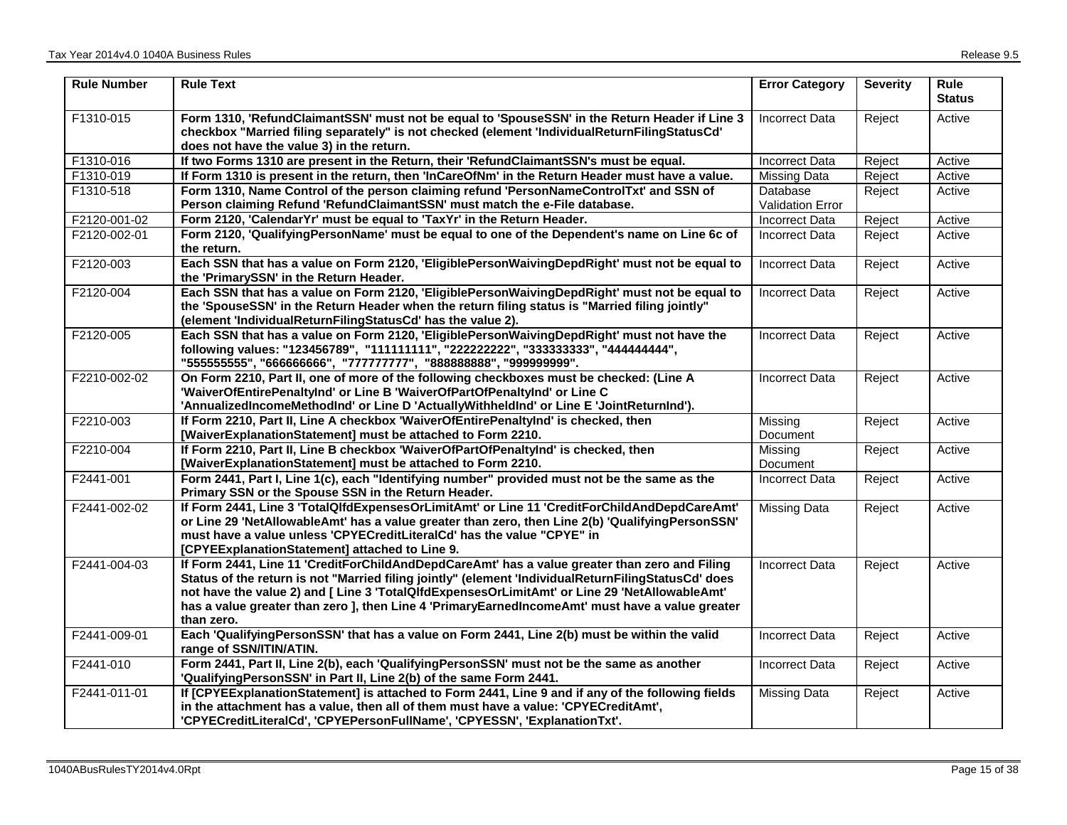| <b>Rule Number</b> | <b>Rule Text</b>                                                                                                                                                                                                                                                                                                                                                                                                       | <b>Error Category</b>               | <b>Severity</b> | Rule<br><b>Status</b> |
|--------------------|------------------------------------------------------------------------------------------------------------------------------------------------------------------------------------------------------------------------------------------------------------------------------------------------------------------------------------------------------------------------------------------------------------------------|-------------------------------------|-----------------|-----------------------|
| F1310-015          | Form 1310, 'RefundClaimantSSN' must not be equal to 'SpouseSSN' in the Return Header if Line 3<br>checkbox "Married filing separately" is not checked (element 'IndividualReturnFilingStatusCd'<br>does not have the value 3) in the return.                                                                                                                                                                           | <b>Incorrect Data</b>               | Reject          | Active                |
| F1310-016          | If two Forms 1310 are present in the Return, their 'RefundClaimantSSN's must be equal.                                                                                                                                                                                                                                                                                                                                 | <b>Incorrect Data</b>               | Reject          | Active                |
| F1310-019          | If Form 1310 is present in the return, then 'InCareOfNm' in the Return Header must have a value.                                                                                                                                                                                                                                                                                                                       | <b>Missing Data</b>                 | Reject          | Active                |
| F1310-518          | Form 1310, Name Control of the person claiming refund 'PersonNameControlTxt' and SSN of<br>Person claiming Refund 'RefundClaimantSSN' must match the e-File database.                                                                                                                                                                                                                                                  | Database<br><b>Validation Error</b> | Reject          | Active                |
| F2120-001-02       | Form 2120, 'CalendarYr' must be equal to 'TaxYr' in the Return Header.                                                                                                                                                                                                                                                                                                                                                 | <b>Incorrect Data</b>               | Reject          | Active                |
| F2120-002-01       | Form 2120, 'QualifyingPersonName' must be equal to one of the Dependent's name on Line 6c of<br>the return.                                                                                                                                                                                                                                                                                                            | <b>Incorrect Data</b>               | Reject          | Active                |
| F2120-003          | Each SSN that has a value on Form 2120, 'EligiblePersonWaivingDepdRight' must not be equal to<br>the 'PrimarySSN' in the Return Header.                                                                                                                                                                                                                                                                                | <b>Incorrect Data</b>               | Reject          | Active                |
| F2120-004          | Each SSN that has a value on Form 2120, 'EligiblePersonWaivingDepdRight' must not be equal to<br>the 'SpouseSSN' in the Return Header when the return filing status is "Married filing jointly"<br>(element 'IndividualReturnFilingStatusCd' has the value 2).                                                                                                                                                         | <b>Incorrect Data</b>               | Reject          | Active                |
| F2120-005          | Each SSN that has a value on Form 2120, 'EligiblePersonWaivingDepdRight' must not have the<br>following values: "123456789", "111111111", "222222222", "333333333", "44444444",<br>"555555555", "666666666", "777777777", "888888888", "999999999".                                                                                                                                                                    | <b>Incorrect Data</b>               | Reject          | Active                |
| F2210-002-02       | On Form 2210, Part II, one of more of the following checkboxes must be checked: (Line A<br>'WaiverOfEntirePenaltyInd' or Line B 'WaiverOfPartOfPenaltyInd' or Line C<br>'AnnualizedIncomeMethodInd' or Line D 'ActuallyWithheldInd' or Line E 'JointReturnInd').                                                                                                                                                       | <b>Incorrect Data</b>               | Reject          | Active                |
| F2210-003          | If Form 2210, Part II, Line A checkbox 'WaiverOfEntirePenaltyInd' is checked, then<br>[WaiverExplanationStatement] must be attached to Form 2210.                                                                                                                                                                                                                                                                      | Missing<br>Document                 | Reject          | Active                |
| F2210-004          | If Form 2210, Part II, Line B checkbox 'WaiverOfPartOfPenaltyInd' is checked, then<br>[WaiverExplanationStatement] must be attached to Form 2210.                                                                                                                                                                                                                                                                      | Missing<br>Document                 | Reject          | Active                |
| F2441-001          | Form 2441, Part I, Line 1(c), each "Identifying number" provided must not be the same as the<br>Primary SSN or the Spouse SSN in the Return Header.                                                                                                                                                                                                                                                                    | <b>Incorrect Data</b>               | Reject          | Active                |
| F2441-002-02       | If Form 2441, Line 3 'TotalQlfdExpensesOrLimitAmt' or Line 11 'CreditForChildAndDepdCareAmt'<br>or Line 29 'NetAllowableAmt' has a value greater than zero, then Line 2(b) 'QualifyingPersonSSN'<br>must have a value unless 'CPYECreditLiteralCd' has the value "CPYE" in<br>[CPYEExplanationStatement] attached to Line 9.                                                                                           | <b>Missing Data</b>                 | Reject          | Active                |
| F2441-004-03       | If Form 2441, Line 11 'CreditForChildAndDepdCareAmt' has a value greater than zero and Filing<br>Status of the return is not "Married filing jointly" (element 'IndividualReturnFilingStatusCd' does<br>not have the value 2) and [ Line 3 'TotalQlfdExpensesOrLimitAmt' or Line 29 'NetAllowableAmt'<br>has a value greater than zero ], then Line 4 'PrimaryEarnedIncomeAmt' must have a value greater<br>than zero. | <b>Incorrect Data</b>               | Reject          | Active                |
| F2441-009-01       | Each 'QualifyingPersonSSN' that has a value on Form 2441, Line 2(b) must be within the valid<br>range of SSN/ITIN/ATIN.                                                                                                                                                                                                                                                                                                | <b>Incorrect Data</b>               | Reject          | Active                |
| F2441-010          | Form 2441, Part II, Line 2(b), each 'QualifyingPersonSSN' must not be the same as another<br>'QualifyingPersonSSN' in Part II, Line 2(b) of the same Form 2441.                                                                                                                                                                                                                                                        | <b>Incorrect Data</b>               | Reject          | Active                |
| F2441-011-01       | If [CPYEExplanationStatement] is attached to Form 2441, Line 9 and if any of the following fields<br>in the attachment has a value, then all of them must have a value: 'CPYECreditAmt',<br>'CPYECreditLiteralCd', 'CPYEPersonFullName', 'CPYESSN', 'ExplanationTxt'.                                                                                                                                                  | <b>Missing Data</b>                 | Reject          | Active                |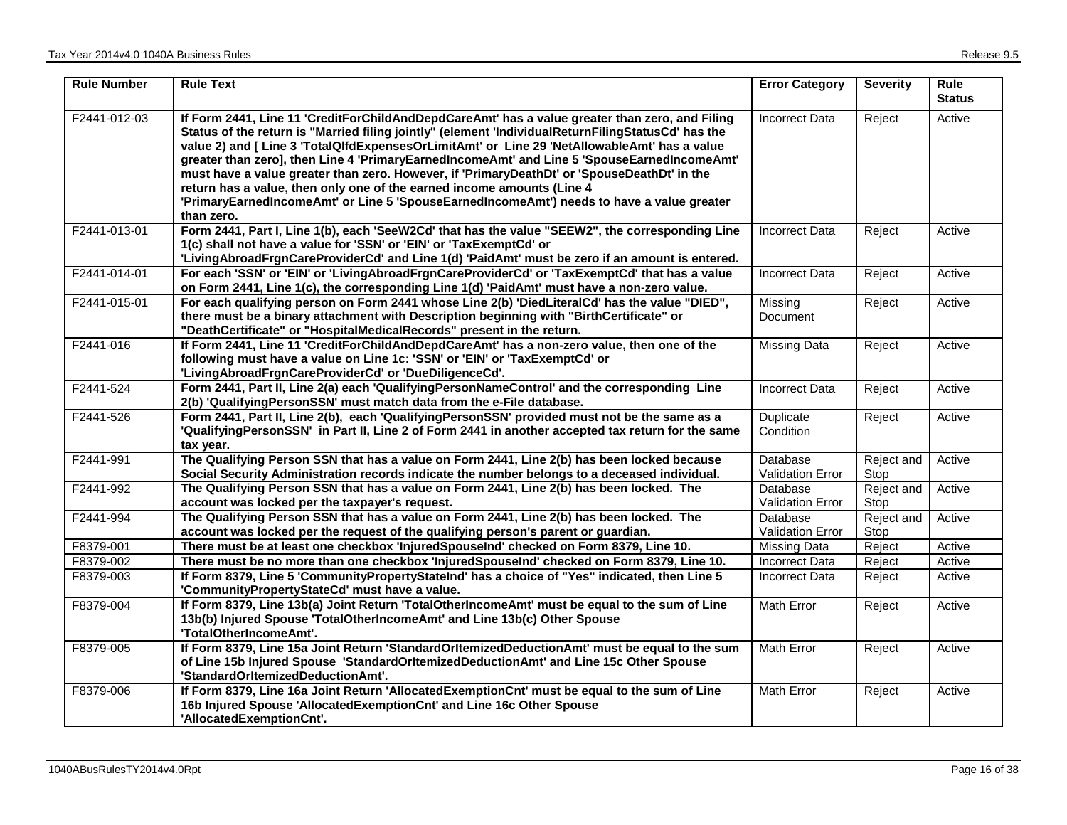| <b>Rule Number</b> | <b>Rule Text</b>                                                                                                                                                                                                                                                                                                                                                                                                                                                                                                                                                                                                                                                                        | <b>Error Category</b>               | <b>Severity</b>    | <b>Rule</b><br><b>Status</b> |
|--------------------|-----------------------------------------------------------------------------------------------------------------------------------------------------------------------------------------------------------------------------------------------------------------------------------------------------------------------------------------------------------------------------------------------------------------------------------------------------------------------------------------------------------------------------------------------------------------------------------------------------------------------------------------------------------------------------------------|-------------------------------------|--------------------|------------------------------|
| F2441-012-03       | If Form 2441, Line 11 'CreditForChildAndDepdCareAmt' has a value greater than zero, and Filing<br>Status of the return is "Married filing jointly" (element 'IndividualReturnFilingStatusCd' has the<br>value 2) and [ Line 3 'TotalQlfdExpensesOrLimitAmt' or Line 29 'NetAllowableAmt' has a value<br>greater than zero], then Line 4 'PrimaryEarnedIncomeAmt' and Line 5 'SpouseEarnedIncomeAmt'<br>must have a value greater than zero. However, if 'PrimaryDeathDt' or 'SpouseDeathDt' in the<br>return has a value, then only one of the earned income amounts (Line 4<br>'PrimaryEarnedIncomeAmt' or Line 5 'SpouseEarnedIncomeAmt') needs to have a value greater<br>than zero. | <b>Incorrect Data</b>               | Reject             | Active                       |
| F2441-013-01       | Form 2441, Part I, Line 1(b), each 'SeeW2Cd' that has the value "SEEW2", the corresponding Line<br>1(c) shall not have a value for 'SSN' or 'EIN' or 'TaxExemptCd' or<br>'LivingAbroadFrgnCareProviderCd' and Line 1(d) 'PaidAmt' must be zero if an amount is entered.                                                                                                                                                                                                                                                                                                                                                                                                                 | <b>Incorrect Data</b>               | Reject             | Active                       |
| F2441-014-01       | For each 'SSN' or 'EIN' or 'LivingAbroadFrgnCareProviderCd' or 'TaxExemptCd' that has a value<br>on Form 2441, Line 1(c), the corresponding Line 1(d) 'PaidAmt' must have a non-zero value.                                                                                                                                                                                                                                                                                                                                                                                                                                                                                             | <b>Incorrect Data</b>               | Reject             | Active                       |
| F2441-015-01       | For each qualifying person on Form 2441 whose Line 2(b) 'DiedLiteralCd' has the value "DIED",<br>there must be a binary attachment with Description beginning with "BirthCertificate" or<br>"DeathCertificate" or "HospitalMedicalRecords" present in the return.                                                                                                                                                                                                                                                                                                                                                                                                                       | Missing<br>Document                 | Reject             | Active                       |
| F2441-016          | If Form 2441, Line 11 'CreditForChildAndDepdCareAmt' has a non-zero value, then one of the<br>following must have a value on Line 1c: 'SSN' or 'EIN' or 'TaxExemptCd' or<br>'LivingAbroadFrgnCareProviderCd' or 'DueDiligenceCd'.                                                                                                                                                                                                                                                                                                                                                                                                                                                       | <b>Missing Data</b>                 | Reject             | Active                       |
| F2441-524          | Form 2441, Part II, Line 2(a) each 'Qualifying Person Name Control' and the corresponding Line<br>2(b) 'QualifyingPersonSSN' must match data from the e-File database.                                                                                                                                                                                                                                                                                                                                                                                                                                                                                                                  | <b>Incorrect Data</b>               | Reject             | Active                       |
| F2441-526          | Form 2441, Part II, Line 2(b), each 'QualifyingPersonSSN' provided must not be the same as a<br>'QualifyingPersonSSN' in Part II, Line 2 of Form 2441 in another accepted tax return for the same<br>tax year.                                                                                                                                                                                                                                                                                                                                                                                                                                                                          | Duplicate<br>Condition              | Reject             | Active                       |
| F2441-991          | The Qualifying Person SSN that has a value on Form 2441, Line 2(b) has been locked because<br>Social Security Administration records indicate the number belongs to a deceased individual.                                                                                                                                                                                                                                                                                                                                                                                                                                                                                              | Database<br><b>Validation Error</b> | Reject and<br>Stop | Active                       |
| F2441-992          | The Qualifying Person SSN that has a value on Form 2441, Line 2(b) has been locked. The<br>account was locked per the taxpayer's request.                                                                                                                                                                                                                                                                                                                                                                                                                                                                                                                                               | <b>Database</b><br>Validation Error | Reject and<br>Stop | Active                       |
| F2441-994          | The Qualifying Person SSN that has a value on Form 2441, Line 2(b) has been locked. The<br>account was locked per the request of the qualifying person's parent or guardian.                                                                                                                                                                                                                                                                                                                                                                                                                                                                                                            | Database<br><b>Validation Error</b> | Reject and<br>Stop | Active                       |
| F8379-001          | There must be at least one checkbox 'InjuredSpouseInd' checked on Form 8379, Line 10.                                                                                                                                                                                                                                                                                                                                                                                                                                                                                                                                                                                                   | Missing Data                        | Reject             | Active                       |
| F8379-002          | There must be no more than one checkbox 'InjuredSpouseInd' checked on Form 8379, Line 10.                                                                                                                                                                                                                                                                                                                                                                                                                                                                                                                                                                                               | <b>Incorrect Data</b>               | Reject             | Active                       |
| F8379-003          | If Form 8379, Line 5 'CommunityPropertyStateInd' has a choice of "Yes" indicated, then Line 5<br>'CommunityPropertyStateCd' must have a value.                                                                                                                                                                                                                                                                                                                                                                                                                                                                                                                                          | <b>Incorrect Data</b>               | Reject             | Active                       |
| F8379-004          | If Form 8379, Line 13b(a) Joint Return 'TotalOtherIncomeAmt' must be equal to the sum of Line<br>13b(b) Injured Spouse 'TotalOtherIncomeAmt' and Line 13b(c) Other Spouse<br>'TotalOtherIncomeAmt'.                                                                                                                                                                                                                                                                                                                                                                                                                                                                                     | <b>Math Error</b>                   | Reject             | Active                       |
| F8379-005          | If Form 8379, Line 15a Joint Return 'StandardOrItemizedDeductionAmt' must be equal to the sum<br>of Line 15b Injured Spouse 'StandardOrItemizedDeductionAmt' and Line 15c Other Spouse<br>'StandardOrItemizedDeductionAmt'.                                                                                                                                                                                                                                                                                                                                                                                                                                                             | Math Error                          | Reject             | Active                       |
| F8379-006          | If Form 8379, Line 16a Joint Return 'AllocatedExemptionCnt' must be equal to the sum of Line<br>16b Injured Spouse 'AllocatedExemptionCnt' and Line 16c Other Spouse<br>'AllocatedExemptionCnt'.                                                                                                                                                                                                                                                                                                                                                                                                                                                                                        | Math Error                          | Reject             | Active                       |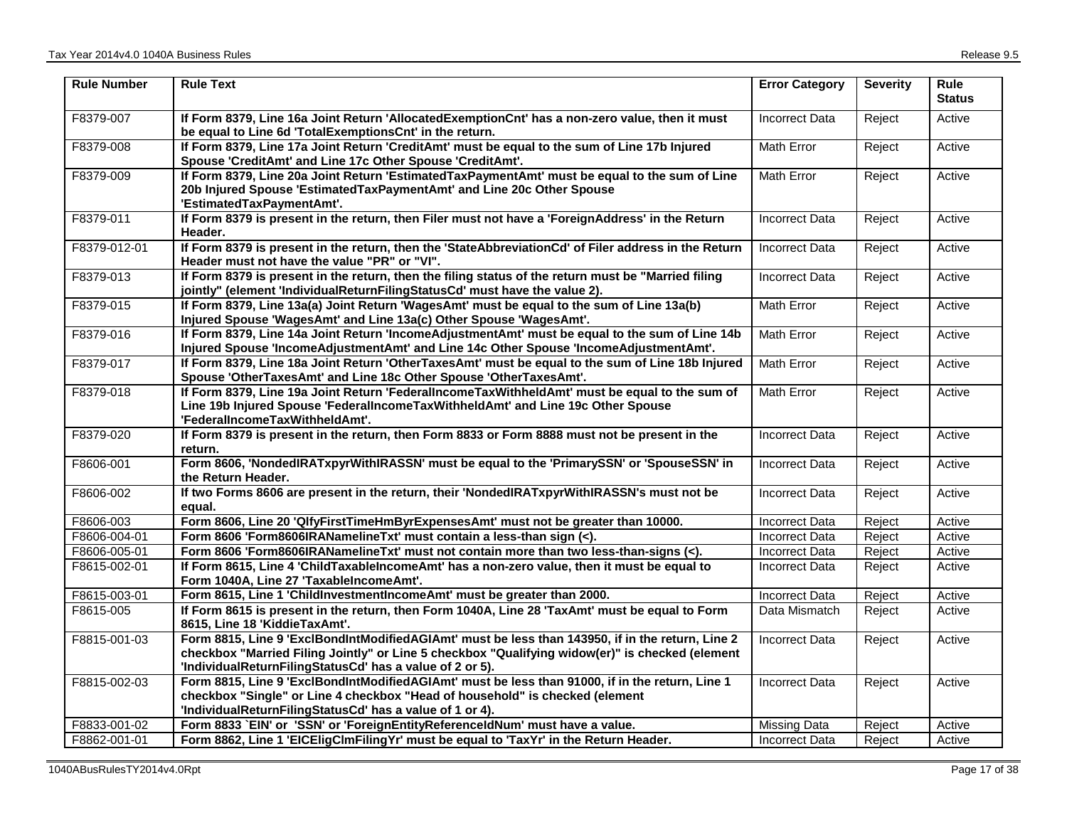| <b>Rule Number</b> | <b>Rule Text</b>                                                                                                                                                                                                                                                | <b>Error Category</b> | <b>Severity</b> | <b>Rule</b><br><b>Status</b> |
|--------------------|-----------------------------------------------------------------------------------------------------------------------------------------------------------------------------------------------------------------------------------------------------------------|-----------------------|-----------------|------------------------------|
| F8379-007          | If Form 8379, Line 16a Joint Return 'AllocatedExemptionCnt' has a non-zero value, then it must<br>be equal to Line 6d 'TotalExemptionsCnt' in the return.                                                                                                       | <b>Incorrect Data</b> | Reject          | Active                       |
| F8379-008          | If Form 8379, Line 17a Joint Return 'CreditAmt' must be equal to the sum of Line 17b Injured<br>Spouse 'CreditAmt' and Line 17c Other Spouse 'CreditAmt'.                                                                                                       | Math Error            | Reject          | Active                       |
| F8379-009          | If Form 8379, Line 20a Joint Return 'EstimatedTaxPaymentAmt' must be equal to the sum of Line<br>20b Injured Spouse 'EstimatedTaxPaymentAmt' and Line 20c Other Spouse<br>'EstimatedTaxPaymentAmt'.                                                             | <b>Math Error</b>     | Reject          | Active                       |
| F8379-011          | If Form 8379 is present in the return, then Filer must not have a 'ForeignAddress' in the Return<br>Header.                                                                                                                                                     | Incorrect Data        | Reject          | Active                       |
| F8379-012-01       | If Form 8379 is present in the return, then the 'StateAbbreviationCd' of Filer address in the Return<br>Header must not have the value "PR" or "VI".                                                                                                            | <b>Incorrect Data</b> | Reject          | Active                       |
| F8379-013          | If Form 8379 is present in the return, then the filing status of the return must be "Married filing<br>jointly" (element 'IndividualReturnFilingStatusCd' must have the value 2).                                                                               | <b>Incorrect Data</b> | Reject          | Active                       |
| F8379-015          | If Form 8379, Line 13a(a) Joint Return 'WagesAmt' must be equal to the sum of Line 13a(b)<br>Injured Spouse 'WagesAmt' and Line 13a(c) Other Spouse 'WagesAmt'.                                                                                                 | <b>Math Error</b>     | Reject          | Active                       |
| F8379-016          | If Form 8379, Line 14a Joint Return 'IncomeAdjustmentAmt' must be equal to the sum of Line 14b<br>Injured Spouse 'IncomeAdjustmentAmt' and Line 14c Other Spouse 'IncomeAdjustmentAmt'.                                                                         | Math Error            | Reject          | Active                       |
| F8379-017          | If Form 8379, Line 18a Joint Return 'OtherTaxesAmt' must be equal to the sum of Line 18b Injured<br>Spouse 'OtherTaxesAmt' and Line 18c Other Spouse 'OtherTaxesAmt'.                                                                                           | Math Error            | Reject          | Active                       |
| F8379-018          | If Form 8379, Line 19a Joint Return 'FederalIncomeTaxWithheldAmt' must be equal to the sum of<br>Line 19b Injured Spouse 'FederalIncomeTaxWithheldAmt' and Line 19c Other Spouse<br>'FederalIncomeTaxWithheldAmt'.                                              | <b>Math Error</b>     | Reject          | Active                       |
| F8379-020          | If Form 8379 is present in the return, then Form 8833 or Form 8888 must not be present in the<br>return.                                                                                                                                                        | <b>Incorrect Data</b> | Reject          | Active                       |
| F8606-001          | Form 8606, 'NondedIRATxpyrWithIRASSN' must be equal to the 'PrimarySSN' or 'SpouseSSN' in<br>the Return Header.                                                                                                                                                 | <b>Incorrect Data</b> | Reject          | Active                       |
| F8606-002          | If two Forms 8606 are present in the return, their 'NondedIRATxpyrWithIRASSN's must not be<br>equal.                                                                                                                                                            | <b>Incorrect Data</b> | Reject          | Active                       |
| F8606-003          | Form 8606, Line 20 'QlfyFirstTimeHmByrExpensesAmt' must not be greater than 10000.                                                                                                                                                                              | <b>Incorrect Data</b> | Reject          | Active                       |
| F8606-004-01       | Form 8606 'Form8606IRANamelineTxt' must contain a less-than sign (<).                                                                                                                                                                                           | <b>Incorrect Data</b> | Reject          | Active                       |
| F8606-005-01       | Form 8606 'Form8606IRANamelineTxt' must not contain more than two less-than-signs (<).                                                                                                                                                                          | <b>Incorrect Data</b> | Reject          | Active                       |
| F8615-002-01       | If Form 8615, Line 4 'ChildTaxableIncomeAmt' has a non-zero value, then it must be equal to<br>Form 1040A, Line 27 'TaxableIncomeAmt'.                                                                                                                          | <b>Incorrect Data</b> | Reject          | Active                       |
| F8615-003-01       | Form 8615, Line 1 'ChildInvestmentIncomeAmt' must be greater than 2000.                                                                                                                                                                                         | <b>Incorrect Data</b> | Reject          | Active                       |
| F8615-005          | If Form 8615 is present in the return, then Form 1040A, Line 28 'TaxAmt' must be equal to Form<br>8615, Line 18 'KiddieTaxAmt'.                                                                                                                                 | Data Mismatch         | Reject          | Active                       |
| F8815-001-03       | Form 8815, Line 9 'ExclBondIntModifiedAGIAmt' must be less than 143950, if in the return, Line 2<br>checkbox "Married Filing Jointly" or Line 5 checkbox "Qualifying widow(er)" is checked (element<br>'IndividualReturnFilingStatusCd' has a value of 2 or 5). | <b>Incorrect Data</b> | Reject          | Active                       |
| F8815-002-03       | Form 8815, Line 9 'ExclBondIntModifiedAGIAmt' must be less than 91000, if in the return, Line 1<br>checkbox "Single" or Line 4 checkbox "Head of household" is checked (element<br>'IndividualReturnFilingStatusCd' has a value of 1 or 4).                     | <b>Incorrect Data</b> | Reject          | Active                       |
| F8833-001-02       | Form 8833 `EIN' or 'SSN' or 'ForeignEntityReferenceIdNum' must have a value.                                                                                                                                                                                    | Missing Data          | Reject          | Active                       |
| F8862-001-01       | Form 8862, Line 1 'EICEligClmFilingYr' must be equal to 'TaxYr' in the Return Header.                                                                                                                                                                           | <b>Incorrect Data</b> | Reject          | Active                       |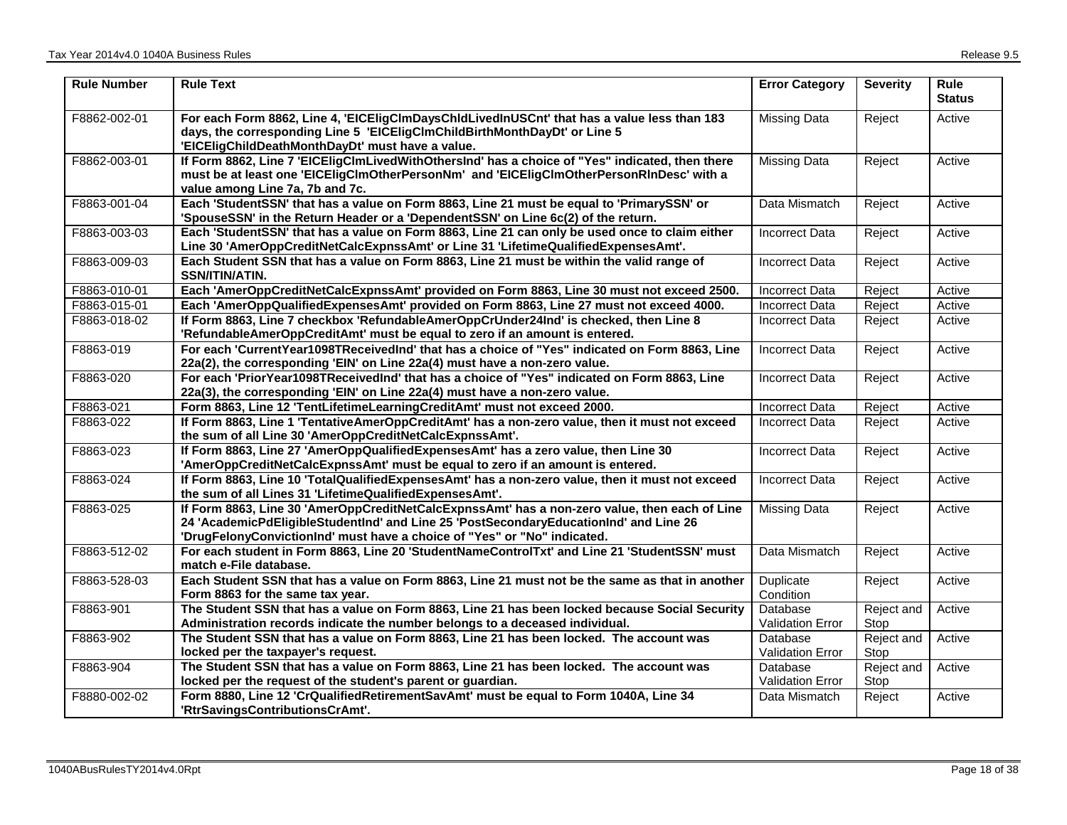| <b>Rule Number</b> | <b>Rule Text</b>                                                                                                                                                                                                                                                   | <b>Error Category</b>               | <b>Severity</b>    | <b>Rule</b><br><b>Status</b> |
|--------------------|--------------------------------------------------------------------------------------------------------------------------------------------------------------------------------------------------------------------------------------------------------------------|-------------------------------------|--------------------|------------------------------|
| F8862-002-01       | For each Form 8862, Line 4, 'EICEligClmDaysChIdLivedInUSCnt' that has a value less than 183<br>days, the corresponding Line 5 'EICEligClmChildBirthMonthDayDt' or Line 5<br>'EICEligChildDeathMonthDayDt' must have a value.                                       | <b>Missing Data</b>                 | Reject             | Active                       |
| F8862-003-01       | If Form 8862, Line 7 'EICEligClmLivedWithOthersInd' has a choice of "Yes" indicated, then there<br>must be at least one 'EICEIigCImOtherPersonNm' and 'EICEIigCImOtherPersonRInDesc' with a<br>value among Line 7a, 7b and 7c.                                     | <b>Missing Data</b>                 | Reject             | Active                       |
| F8863-001-04       | Each 'StudentSSN' that has a value on Form 8863, Line 21 must be equal to 'PrimarySSN' or<br>'SpouseSSN' in the Return Header or a 'DependentSSN' on Line 6c(2) of the return.                                                                                     | Data Mismatch                       | Reject             | Active                       |
| F8863-003-03       | Each 'StudentSSN' that has a value on Form 8863, Line 21 can only be used once to claim either<br>Line 30 'AmerOppCreditNetCalcExpnssAmt' or Line 31 'LifetimeQualifiedExpensesAmt'.                                                                               | <b>Incorrect Data</b>               | Reject             | Active                       |
| F8863-009-03       | Each Student SSN that has a value on Form 8863, Line 21 must be within the valid range of<br>SSN/ITIN/ATIN.                                                                                                                                                        | <b>Incorrect Data</b>               | Reject             | Active                       |
| F8863-010-01       | Each 'AmerOppCreditNetCalcExpnssAmt' provided on Form 8863, Line 30 must not exceed 2500.                                                                                                                                                                          | <b>Incorrect Data</b>               | Reject             | Active                       |
| F8863-015-01       | Each 'AmerOppQualifiedExpensesAmt' provided on Form 8863, Line 27 must not exceed 4000.                                                                                                                                                                            | <b>Incorrect Data</b>               | Reject             | Active                       |
| F8863-018-02       | If Form 8863, Line 7 checkbox 'RefundableAmerOppCrUnder24Ind' is checked, then Line 8<br>'RefundableAmerOppCreditAmt' must be equal to zero if an amount is entered.                                                                                               | Incorrect Data                      | Reject             | Active                       |
| F8863-019          | For each 'CurrentYear1098TReceivedInd' that has a choice of "Yes" indicated on Form 8863, Line<br>22a(2), the corresponding 'EIN' on Line 22a(4) must have a non-zero value.                                                                                       | <b>Incorrect Data</b>               | Reject             | Active                       |
| F8863-020          | For each 'PriorYear1098TReceivedInd' that has a choice of "Yes" indicated on Form 8863, Line<br>22a(3), the corresponding 'EIN' on Line 22a(4) must have a non-zero value.                                                                                         | <b>Incorrect Data</b>               | Reject             | Active                       |
| F8863-021          | Form 8863, Line 12 'TentLifetimeLearningCreditAmt' must not exceed 2000.                                                                                                                                                                                           | <b>Incorrect Data</b>               | Reject             | Active                       |
| F8863-022          | If Form 8863, Line 1 'TentativeAmerOppCreditAmt' has a non-zero value, then it must not exceed<br>the sum of all Line 30 'AmerOppCreditNetCalcExpnssAmt'.                                                                                                          | <b>Incorrect Data</b>               | Reject             | Active                       |
| F8863-023          | If Form 8863, Line 27 'AmerOppQualifiedExpensesAmt' has a zero value, then Line 30<br>'AmerOppCreditNetCalcExpnssAmt' must be equal to zero if an amount is entered.                                                                                               | <b>Incorrect Data</b>               | Reject             | Active                       |
| F8863-024          | If Form 8863, Line 10 'TotalQualifiedExpensesAmt' has a non-zero value, then it must not exceed<br>the sum of all Lines 31 'LifetimeQualifiedExpensesAmt'.                                                                                                         | <b>Incorrect Data</b>               | Reject             | Active                       |
| F8863-025          | If Form 8863, Line 30 'AmerOppCreditNetCalcExpnssAmt' has a non-zero value, then each of Line<br>24 'AcademicPdEligibleStudentInd' and Line 25 'PostSecondaryEducationInd' and Line 26<br>'DrugFelonyConvictionInd' must have a choice of "Yes" or "No" indicated. | Missing Data                        | Reject             | Active                       |
| F8863-512-02       | For each student in Form 8863, Line 20 'StudentNameControlTxt' and Line 21 'StudentSSN' must<br>match e-File database.                                                                                                                                             | Data Mismatch                       | Reject             | Active                       |
| F8863-528-03       | Each Student SSN that has a value on Form 8863, Line 21 must not be the same as that in another<br>Form 8863 for the same tax year.                                                                                                                                | Duplicate<br>Condition              | Reject             | Active                       |
| F8863-901          | The Student SSN that has a value on Form 8863, Line 21 has been locked because Social Security<br>Administration records indicate the number belongs to a deceased individual.                                                                                     | Database<br><b>Validation Error</b> | Reject and<br>Stop | Active                       |
| F8863-902          | The Student SSN that has a value on Form 8863, Line 21 has been locked. The account was<br>locked per the taxpayer's request.                                                                                                                                      | Database<br><b>Validation Error</b> | Reject and<br>Stop | Active                       |
| F8863-904          | The Student SSN that has a value on Form 8863, Line 21 has been locked. The account was<br>locked per the request of the student's parent or guardian.                                                                                                             | Database<br>Validation Error        | Reject and<br>Stop | Active                       |
| F8880-002-02       | Form 8880, Line 12 'CrQualifiedRetirementSavAmt' must be equal to Form 1040A, Line 34<br>'RtrSavingsContributionsCrAmt'.                                                                                                                                           | Data Mismatch                       | Reject             | Active                       |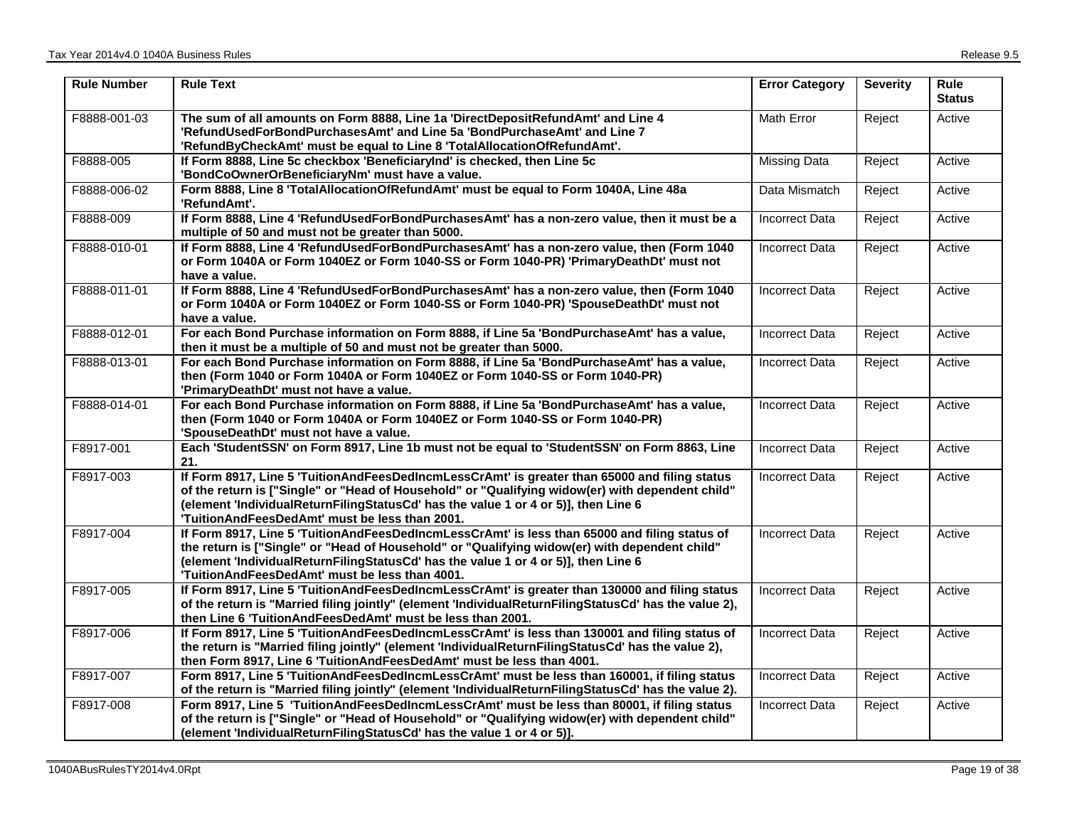| <b>Rule Number</b> | <b>Rule Text</b>                                                                                                                                                                                                                                                                                                                          | <b>Error Category</b> | <b>Severity</b> | Rule<br><b>Status</b> |
|--------------------|-------------------------------------------------------------------------------------------------------------------------------------------------------------------------------------------------------------------------------------------------------------------------------------------------------------------------------------------|-----------------------|-----------------|-----------------------|
| F8888-001-03       | The sum of all amounts on Form 8888, Line 1a 'DirectDepositRefundAmt' and Line 4<br>'RefundUsedForBondPurchasesAmt' and Line 5a 'BondPurchaseAmt' and Line 7<br>'RefundByCheckAmt' must be equal to Line 8 'TotalAllocationOfRefundAmt'.                                                                                                  | Math Error            | Reject          | Active                |
| F8888-005          | If Form 8888, Line 5c checkbox 'BeneficiaryInd' is checked, then Line 5c<br>'BondCoOwnerOrBeneficiaryNm' must have a value.                                                                                                                                                                                                               | Missing Data          | Reject          | Active                |
| F8888-006-02       | Form 8888, Line 8 'TotalAllocationOfRefundAmt' must be equal to Form 1040A, Line 48a<br>'RefundAmt'.                                                                                                                                                                                                                                      | Data Mismatch         | Reject          | Active                |
| F8888-009          | If Form 8888, Line 4 'RefundUsedForBondPurchasesAmt' has a non-zero value, then it must be a<br>multiple of 50 and must not be greater than 5000.                                                                                                                                                                                         | <b>Incorrect Data</b> | Reject          | Active                |
| F8888-010-01       | If Form 8888, Line 4 'RefundUsedForBondPurchasesAmt' has a non-zero value, then (Form 1040<br>or Form 1040A or Form 1040EZ or Form 1040-SS or Form 1040-PR) 'PrimaryDeathDt' must not<br>have a value.                                                                                                                                    | <b>Incorrect Data</b> | Reject          | Active                |
| F8888-011-01       | If Form 8888, Line 4 'RefundUsedForBondPurchasesAmt' has a non-zero value, then (Form 1040<br>or Form 1040A or Form 1040EZ or Form 1040-SS or Form 1040-PR) 'SpouseDeathDt' must not<br>have a value.                                                                                                                                     | <b>Incorrect Data</b> | Reject          | Active                |
| F8888-012-01       | For each Bond Purchase information on Form 8888, if Line 5a 'BondPurchaseAmt' has a value,<br>then it must be a multiple of 50 and must not be greater than 5000.                                                                                                                                                                         | <b>Incorrect Data</b> | Reject          | Active                |
| F8888-013-01       | For each Bond Purchase information on Form 8888, if Line 5a 'BondPurchaseAmt' has a value,<br>then (Form 1040 or Form 1040A or Form 1040EZ or Form 1040-SS or Form 1040-PR)<br>'PrimaryDeathDt' must not have a value.                                                                                                                    | <b>Incorrect Data</b> | Reject          | Active                |
| F8888-014-01       | For each Bond Purchase information on Form 8888, if Line 5a 'BondPurchaseAmt' has a value,<br>then (Form 1040 or Form 1040A or Form 1040EZ or Form 1040-SS or Form 1040-PR)<br>'SpouseDeathDt' must not have a value.                                                                                                                     | <b>Incorrect Data</b> | Reject          | Active                |
| F8917-001          | Each 'StudentSSN' on Form 8917, Line 1b must not be equal to 'StudentSSN' on Form 8863, Line<br>21.                                                                                                                                                                                                                                       | <b>Incorrect Data</b> | Reject          | Active                |
| F8917-003          | If Form 8917, Line 5 'TuitionAndFeesDedIncmLessCrAmt' is greater than 65000 and filing status<br>of the return is ["Single" or "Head of Household" or "Qualifying widow(er) with dependent child"<br>(element 'IndividualReturnFilingStatusCd' has the value 1 or 4 or 5)], then Line 6<br>'TuitionAndFeesDedAmt' must be less than 2001. | <b>Incorrect Data</b> | Reject          | Active                |
| F8917-004          | If Form 8917, Line 5 'TuitionAndFeesDedIncmLessCrAmt' is less than 65000 and filing status of<br>the return is ["Single" or "Head of Household" or "Qualifying widow(er) with dependent child"<br>(element 'IndividualReturnFilingStatusCd' has the value 1 or 4 or 5)], then Line 6<br>'TuitionAndFeesDedAmt' must be less than 4001.    | <b>Incorrect Data</b> | Reject          | Active                |
| F8917-005          | If Form 8917, Line 5 'TuitionAndFeesDedIncmLessCrAmt' is greater than 130000 and filing status<br>of the return is "Married filing jointly" (element 'IndividualReturnFilingStatusCd' has the value 2),<br>then Line 6 'TuitionAndFeesDedAmt' must be less than 2001.                                                                     | <b>Incorrect Data</b> | Reject          | Active                |
| F8917-006          | If Form 8917, Line 5 'TuitionAndFeesDedIncmLessCrAmt' is less than 130001 and filing status of<br>the return is "Married filing jointly" (element 'IndividualReturnFilingStatusCd' has the value 2),<br>then Form 8917, Line 6 'TuitionAndFeesDedAmt' must be less than 4001.                                                             | <b>Incorrect Data</b> | Reject          | Active                |
| F8917-007          | Form 8917, Line 5 'TuitionAndFeesDedIncmLessCrAmt' must be less than 160001, if filing status<br>of the return is "Married filing jointly" (element 'IndividualReturnFilingStatusCd' has the value 2).                                                                                                                                    | <b>Incorrect Data</b> | Reject          | Active                |
| F8917-008          | Form 8917, Line 5 'TuitionAndFeesDedIncmLessCrAmt' must be less than 80001, if filing status<br>of the return is ["Single" or "Head of Household" or "Qualifying widow(er) with dependent child"<br>(element 'IndividualReturnFilingStatusCd' has the value 1 or 4 or 5)].                                                                | <b>Incorrect Data</b> | Reject          | Active                |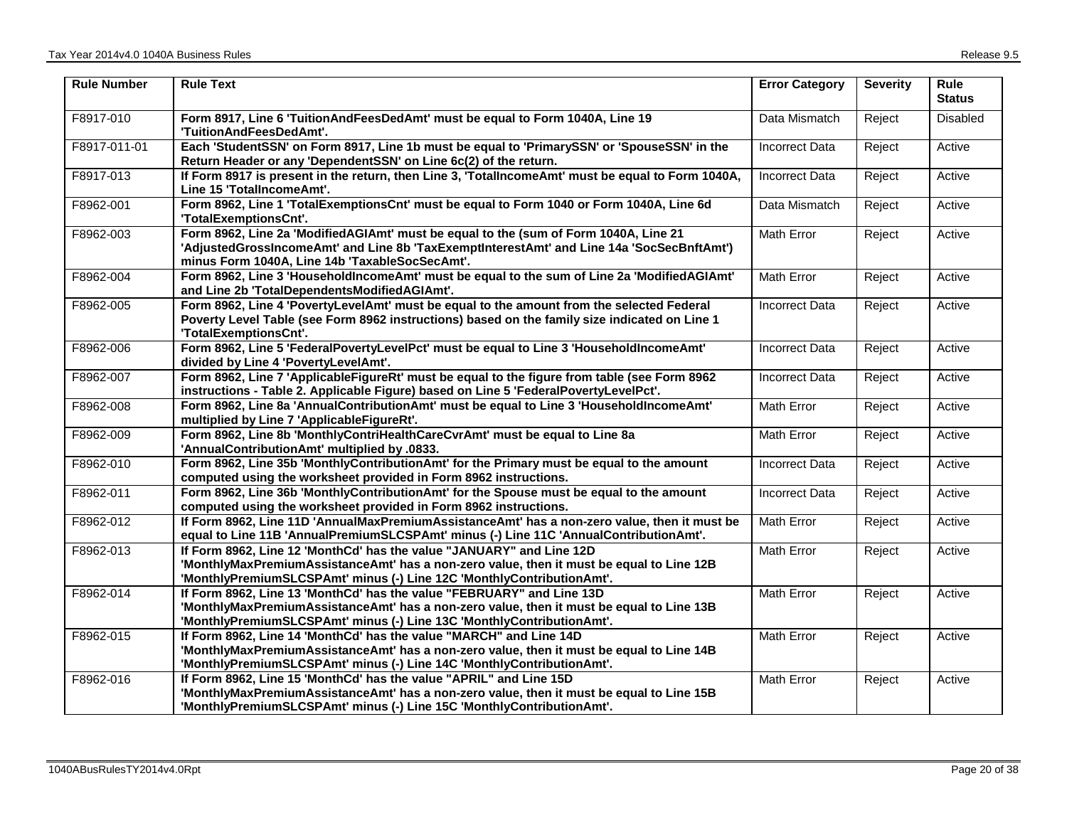| <b>Rule Number</b> | <b>Rule Text</b>                                                                                                                                                                                                                           | <b>Error Category</b> | <b>Severity</b> | Rule<br><b>Status</b> |
|--------------------|--------------------------------------------------------------------------------------------------------------------------------------------------------------------------------------------------------------------------------------------|-----------------------|-----------------|-----------------------|
| F8917-010          | Form 8917, Line 6 'TuitionAndFeesDedAmt' must be equal to Form 1040A, Line 19<br>'TuitionAndFeesDedAmt'.                                                                                                                                   | Data Mismatch         | Reject          | Disabled              |
| F8917-011-01       | Each 'StudentSSN' on Form 8917, Line 1b must be equal to 'PrimarySSN' or 'SpouseSSN' in the<br>Return Header or any 'DependentSSN' on Line 6c(2) of the return.                                                                            | Incorrect Data        | Reject          | Active                |
| F8917-013          | If Form 8917 is present in the return, then Line 3, 'TotalIncomeAmt' must be equal to Form 1040A,<br>Line 15 'TotalIncomeAmt'.                                                                                                             | <b>Incorrect Data</b> | Reject          | Active                |
| F8962-001          | Form 8962, Line 1 'TotalExemptionsCnt' must be equal to Form 1040 or Form 1040A, Line 6d<br>'TotalExemptionsCnt'.                                                                                                                          | Data Mismatch         | Reject          | Active                |
| F8962-003          | Form 8962, Line 2a 'ModifiedAGIAmt' must be equal to the (sum of Form 1040A, Line 21<br>'AdjustedGrossIncomeAmt' and Line 8b 'TaxExemptInterestAmt' and Line 14a 'SocSecBnftAmt')<br>minus Form 1040A, Line 14b 'TaxableSocSecAmt'.        | Math Error            | Reject          | Active                |
| F8962-004          | Form 8962, Line 3 'HouseholdIncomeAmt' must be equal to the sum of Line 2a 'ModifiedAGIAmt'<br>and Line 2b 'TotalDependentsModifiedAGIAmt'.                                                                                                | Math Error            | Reject          | Active                |
| F8962-005          | Form 8962, Line 4 'PovertyLevelAmt' must be equal to the amount from the selected Federal<br>Poverty Level Table (see Form 8962 instructions) based on the family size indicated on Line 1<br>'TotalExemptionsCnt'.                        | <b>Incorrect Data</b> | Reject          | Active                |
| F8962-006          | Form 8962, Line 5 'FederalPovertyLevelPct' must be equal to Line 3 'HouseholdIncomeAmt'<br>divided by Line 4 'PovertyLevelAmt'.                                                                                                            | <b>Incorrect Data</b> | Reject          | Active                |
| F8962-007          | Form 8962, Line 7 'ApplicableFigureRt' must be equal to the figure from table (see Form 8962<br>instructions - Table 2. Applicable Figure) based on Line 5 'FederalPovertyLevelPct'.                                                       | <b>Incorrect Data</b> | Reject          | Active                |
| F8962-008          | Form 8962, Line 8a 'AnnualContributionAmt' must be equal to Line 3 'HouseholdIncomeAmt'<br>multiplied by Line 7 'ApplicableFigureRt'.                                                                                                      | Math Error            | Reject          | Active                |
| F8962-009          | Form 8962, Line 8b 'MonthlyContriHealthCareCvrAmt' must be equal to Line 8a<br>'AnnualContributionAmt' multiplied by .0833.                                                                                                                | Math Error            | Reject          | Active                |
| F8962-010          | Form 8962, Line 35b 'MonthlyContributionAmt' for the Primary must be equal to the amount<br>computed using the worksheet provided in Form 8962 instructions.                                                                               | <b>Incorrect Data</b> | Reject          | Active                |
| F8962-011          | Form 8962, Line 36b 'MonthlyContributionAmt' for the Spouse must be equal to the amount<br>computed using the worksheet provided in Form 8962 instructions.                                                                                | <b>Incorrect Data</b> | Reject          | Active                |
| F8962-012          | If Form 8962, Line 11D 'AnnualMaxPremiumAssistanceAmt' has a non-zero value, then it must be<br>equal to Line 11B 'AnnualPremiumSLCSPAmt' minus (-) Line 11C 'AnnualContributionAmt'.                                                      | Math Error            | Reject          | Active                |
| F8962-013          | If Form 8962, Line 12 'MonthCd' has the value "JANUARY" and Line 12D<br>'MonthlyMaxPremiumAssistanceAmt' has a non-zero value, then it must be equal to Line 12B<br>'MonthlyPremiumSLCSPAmt' minus (-) Line 12C 'MonthlyContributionAmt'.  | Math Error            | Reject          | Active                |
| F8962-014          | If Form 8962, Line 13 'MonthCd' has the value "FEBRUARY" and Line 13D<br>'MonthlyMaxPremiumAssistanceAmt' has a non-zero value, then it must be equal to Line 13B<br>'MonthlyPremiumSLCSPAmt' minus (-) Line 13C 'MonthlyContributionAmt'. | Math Error            | Reject          | Active                |
| F8962-015          | If Form 8962, Line 14 'MonthCd' has the value "MARCH" and Line 14D<br>'MonthlyMaxPremiumAssistanceAmt' has a non-zero value, then it must be equal to Line 14B<br>'MonthlyPremiumSLCSPAmt' minus (-) Line 14C 'MonthlyContributionAmt'.    | <b>Math Error</b>     | Reject          | Active                |
| F8962-016          | If Form 8962, Line 15 'MonthCd' has the value "APRIL" and Line 15D<br>'MonthlyMaxPremiumAssistanceAmt' has a non-zero value, then it must be equal to Line 15B<br>'MonthlyPremiumSLCSPAmt' minus (-) Line 15C 'MonthlyContributionAmt'.    | <b>Math Error</b>     | Reject          | Active                |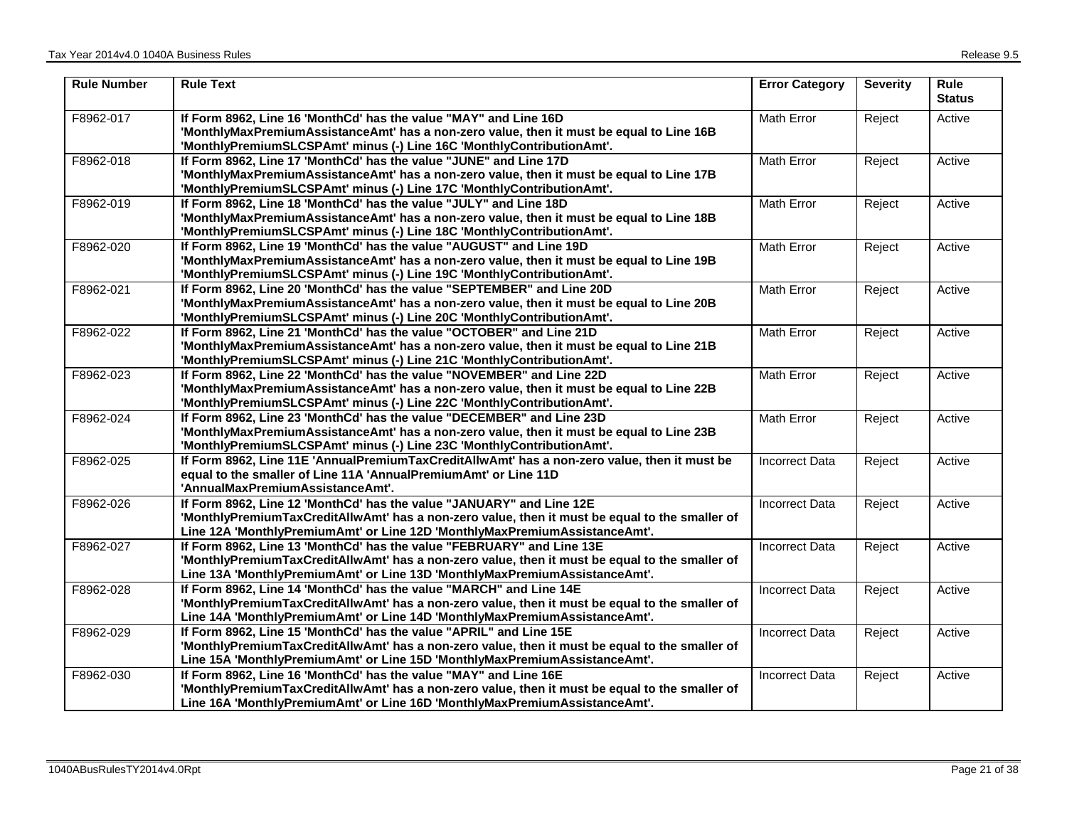| <b>Rule Number</b> | <b>Rule Text</b>                                                                                                                                                                                                                                      | <b>Error Category</b> | <b>Severity</b> | <b>Rule</b><br><b>Status</b> |
|--------------------|-------------------------------------------------------------------------------------------------------------------------------------------------------------------------------------------------------------------------------------------------------|-----------------------|-----------------|------------------------------|
| F8962-017          | If Form 8962, Line 16 'MonthCd' has the value "MAY" and Line 16D<br>'MonthlyMaxPremiumAssistanceAmt' has a non-zero value, then it must be equal to Line 16B<br>'MonthlyPremiumSLCSPAmt' minus (-) Line 16C 'MonthlyContributionAmt'.                 | Math Error            | Reject          | Active                       |
| F8962-018          | If Form 8962, Line 17 'MonthCd' has the value "JUNE" and Line 17D<br>'MonthlyMaxPremiumAssistanceAmt' has a non-zero value, then it must be equal to Line 17B<br>'MonthlyPremiumSLCSPAmt' minus (-) Line 17C 'MonthlyContributionAmt'.                | Math Error            | Reject          | Active                       |
| F8962-019          | If Form 8962, Line 18 'MonthCd' has the value "JULY" and Line 18D<br>'MonthlyMaxPremiumAssistanceAmt' has a non-zero value, then it must be equal to Line 18B<br>'MonthlyPremiumSLCSPAmt' minus (-) Line 18C 'MonthlyContributionAmt'.                | <b>Math Error</b>     | Reject          | Active                       |
| F8962-020          | If Form 8962, Line 19 'MonthCd' has the value "AUGUST" and Line 19D<br>'MonthlyMaxPremiumAssistanceAmt' has a non-zero value, then it must be equal to Line 19B<br>'MonthlyPremiumSLCSPAmt' minus (-) Line 19C 'MonthlyContributionAmt'.              | Math Error            | Reject          | Active                       |
| F8962-021          | If Form 8962, Line 20 'MonthCd' has the value "SEPTEMBER" and Line 20D<br>'MonthlyMaxPremiumAssistanceAmt' has a non-zero value, then it must be equal to Line 20B<br>'MonthlyPremiumSLCSPAmt' minus (-) Line 20C 'MonthlyContributionAmt'.           | Math Error            | Reject          | Active                       |
| F8962-022          | If Form 8962, Line 21 'MonthCd' has the value "OCTOBER" and Line 21D<br>'MonthlyMaxPremiumAssistanceAmt' has a non-zero value, then it must be equal to Line 21B<br>'MonthlyPremiumSLCSPAmt' minus (-) Line 21C 'MonthlyContributionAmt'.             | Math Error            | Reject          | Active                       |
| F8962-023          | If Form 8962, Line 22 'MonthCd' has the value "NOVEMBER" and Line 22D<br>'MonthlyMaxPremiumAssistanceAmt' has a non-zero value, then it must be equal to Line 22B<br>'MonthlyPremiumSLCSPAmt' minus (-) Line 22C 'MonthlyContributionAmt'.            | Math Error            | Reject          | Active                       |
| F8962-024          | If Form 8962, Line 23 'MonthCd' has the value "DECEMBER" and Line 23D<br>'MonthlyMaxPremiumAssistanceAmt' has a non-zero value, then it must be equal to Line 23B<br>'MonthlyPremiumSLCSPAmt' minus (-) Line 23C 'MonthlyContributionAmt'.            | <b>Math Error</b>     | Reject          | Active                       |
| F8962-025          | If Form 8962, Line 11E 'AnnualPremiumTaxCreditAllwAmt' has a non-zero value, then it must be<br>equal to the smaller of Line 11A 'AnnualPremiumAmt' or Line 11D<br>'AnnualMaxPremiumAssistanceAmt'.                                                   | <b>Incorrect Data</b> | Reject          | Active                       |
| F8962-026          | If Form 8962, Line 12 'MonthCd' has the value "JANUARY" and Line 12E<br>'MonthlyPremiumTaxCreditAllwAmt' has a non-zero value, then it must be equal to the smaller of<br>Line 12A 'MonthlyPremiumAmt' or Line 12D 'MonthlyMaxPremiumAssistanceAmt'.  | <b>Incorrect Data</b> | Reject          | Active                       |
| F8962-027          | If Form 8962, Line 13 'MonthCd' has the value "FEBRUARY" and Line 13E<br>'MonthlyPremiumTaxCreditAllwAmt' has a non-zero value, then it must be equal to the smaller of<br>Line 13A 'MonthlyPremiumAmt' or Line 13D 'MonthlyMaxPremiumAssistanceAmt'. | <b>Incorrect Data</b> | Reject          | Active                       |
| F8962-028          | If Form 8962, Line 14 'MonthCd' has the value "MARCH" and Line 14E<br>'MonthlyPremiumTaxCreditAllwAmt' has a non-zero value, then it must be equal to the smaller of<br>Line 14A 'MonthlyPremiumAmt' or Line 14D 'MonthlyMaxPremiumAssistanceAmt'.    | <b>Incorrect Data</b> | Reject          | Active                       |
| F8962-029          | If Form 8962, Line 15 'MonthCd' has the value "APRIL" and Line 15E<br>'MonthlyPremiumTaxCreditAllwAmt' has a non-zero value, then it must be equal to the smaller of<br>Line 15A 'MonthlyPremiumAmt' or Line 15D 'MonthlyMaxPremiumAssistanceAmt'.    | <b>Incorrect Data</b> | Reject          | Active                       |
| F8962-030          | If Form 8962, Line 16 'MonthCd' has the value "MAY" and Line 16E<br>'MonthlyPremiumTaxCreditAllwAmt' has a non-zero value, then it must be equal to the smaller of<br>Line 16A 'MonthlyPremiumAmt' or Line 16D 'MonthlyMaxPremiumAssistanceAmt'.      | Incorrect Data        | Reject          | Active                       |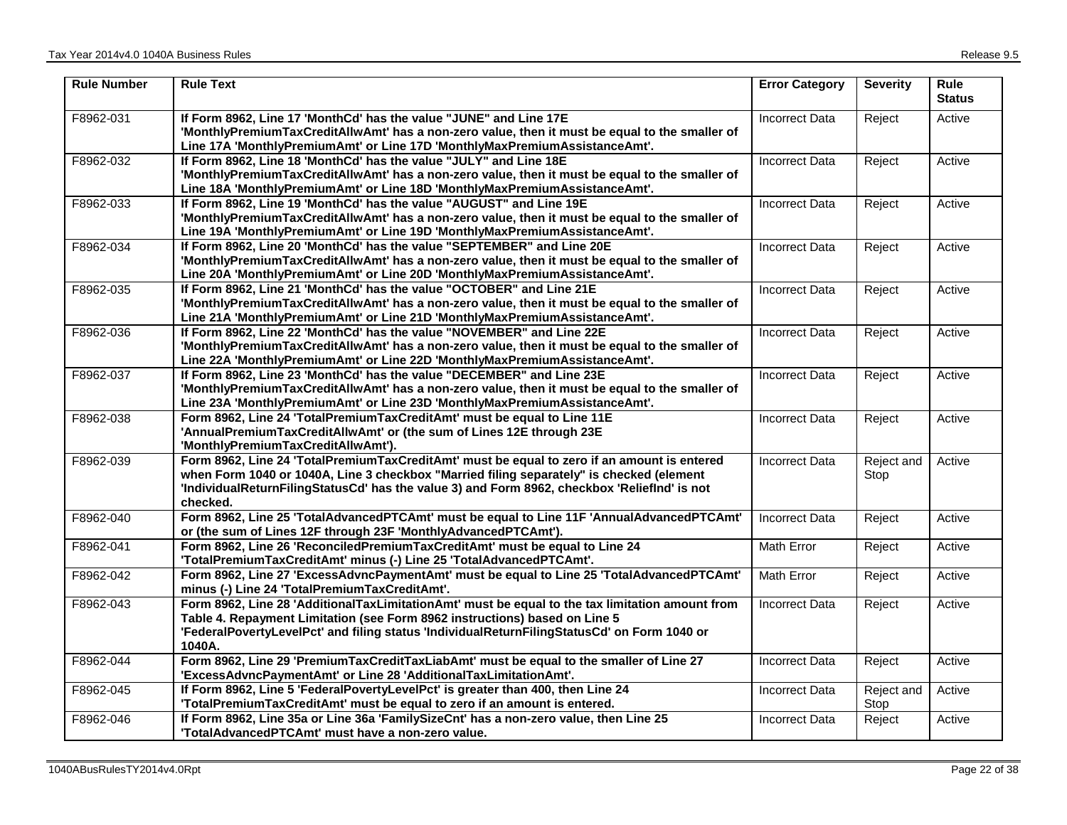| <b>Rule Number</b> | <b>Rule Text</b>                                                                                                                                                                                                                                                                                    | <b>Error Category</b> | <b>Severity</b>    | <b>Rule</b><br><b>Status</b> |
|--------------------|-----------------------------------------------------------------------------------------------------------------------------------------------------------------------------------------------------------------------------------------------------------------------------------------------------|-----------------------|--------------------|------------------------------|
| F8962-031          | If Form 8962, Line 17 'MonthCd' has the value "JUNE" and Line 17E<br>'MonthlyPremiumTaxCreditAllwAmt' has a non-zero value, then it must be equal to the smaller of<br>Line 17A 'MonthlyPremiumAmt' or Line 17D 'MonthlyMaxPremiumAssistanceAmt'.                                                   | <b>Incorrect Data</b> | Reject             | Active                       |
| F8962-032          | If Form 8962, Line 18 'MonthCd' has the value "JULY" and Line 18E<br>'MonthlyPremiumTaxCreditAllwAmt' has a non-zero value, then it must be equal to the smaller of<br>Line 18A 'MonthlyPremiumAmt' or Line 18D 'MonthlyMaxPremiumAssistanceAmt'.                                                   | <b>Incorrect Data</b> | Reject             | Active                       |
| F8962-033          | If Form 8962, Line 19 'MonthCd' has the value "AUGUST" and Line 19E<br>'MonthlyPremiumTaxCreditAllwAmt' has a non-zero value, then it must be equal to the smaller of<br>Line 19A 'MonthlyPremiumAmt' or Line 19D 'MonthlyMaxPremiumAssistanceAmt'.                                                 | <b>Incorrect Data</b> | Reject             | Active                       |
| F8962-034          | If Form 8962, Line 20 'MonthCd' has the value "SEPTEMBER" and Line 20E<br>'MonthlyPremiumTaxCreditAllwAmt' has a non-zero value, then it must be equal to the smaller of<br>Line 20A 'MonthlyPremiumAmt' or Line 20D 'MonthlyMaxPremiumAssistanceAmt'.                                              | <b>Incorrect Data</b> | Reject             | Active                       |
| F8962-035          | If Form 8962, Line 21 'MonthCd' has the value "OCTOBER" and Line 21E<br>'MonthlyPremiumTaxCreditAllwAmt' has a non-zero value, then it must be equal to the smaller of<br>Line 21A 'MonthlyPremiumAmt' or Line 21D 'MonthlyMaxPremiumAssistanceAmt'.                                                | <b>Incorrect Data</b> | Reject             | Active                       |
| F8962-036          | If Form 8962, Line 22 'MonthCd' has the value "NOVEMBER" and Line 22E<br>'MonthlyPremiumTaxCreditAllwAmt' has a non-zero value, then it must be equal to the smaller of<br>Line 22A 'MonthlyPremiumAmt' or Line 22D 'MonthlyMaxPremiumAssistanceAmt'.                                               | <b>Incorrect Data</b> | Reject             | Active                       |
| F8962-037          | If Form 8962, Line 23 'MonthCd' has the value "DECEMBER" and Line 23E<br>'MonthlyPremiumTaxCreditAllwAmt' has a non-zero value, then it must be equal to the smaller of<br>Line 23A 'MonthlyPremiumAmt' or Line 23D 'MonthlyMaxPremiumAssistanceAmt'.                                               | <b>Incorrect Data</b> | Reject             | Active                       |
| F8962-038          | Form 8962, Line 24 'TotalPremiumTaxCreditAmt' must be equal to Line 11E<br>'AnnualPremiumTaxCreditAllwAmt' or (the sum of Lines 12E through 23E<br>'MonthlyPremiumTaxCreditAllwAmt').                                                                                                               | <b>Incorrect Data</b> | Reject             | Active                       |
| F8962-039          | Form 8962, Line 24 'TotalPremiumTaxCreditAmt' must be equal to zero if an amount is entered<br>when Form 1040 or 1040A, Line 3 checkbox "Married filing separately" is checked (element<br>'IndividualReturnFilingStatusCd' has the value 3) and Form 8962, checkbox 'Relieflnd' is not<br>checked. | <b>Incorrect Data</b> | Reject and<br>Stop | Active                       |
| F8962-040          | Form 8962, Line 25 'TotalAdvancedPTCAmt' must be equal to Line 11F 'AnnualAdvancedPTCAmt'<br>or (the sum of Lines 12F through 23F 'MonthlyAdvancedPTCAmt').                                                                                                                                         | <b>Incorrect Data</b> | Reject             | Active                       |
| F8962-041          | Form 8962, Line 26 'ReconciledPremiumTaxCreditAmt' must be equal to Line 24<br>'TotalPremiumTaxCreditAmt' minus (-) Line 25 'TotalAdvancedPTCAmt'.                                                                                                                                                  | Math Error            | Reject             | Active                       |
| F8962-042          | Form 8962, Line 27 'ExcessAdvncPaymentAmt' must be equal to Line 25 'TotalAdvancedPTCAmt'<br>minus (-) Line 24 'TotalPremiumTaxCreditAmt'.                                                                                                                                                          | Math Error            | Reject             | Active                       |
| F8962-043          | Form 8962, Line 28 'AdditionalTaxLimitationAmt' must be equal to the tax limitation amount from<br>Table 4. Repayment Limitation (see Form 8962 instructions) based on Line 5<br>'FederalPovertyLevelPct' and filing status 'IndividualReturnFilingStatusCd' on Form 1040 or<br>1040A.              | <b>Incorrect Data</b> | Reject             | Active                       |
| F8962-044          | Form 8962, Line 29 'PremiumTaxCreditTaxLiabAmt' must be equal to the smaller of Line 27<br>'ExcessAdvncPaymentAmt' or Line 28 'AdditionalTaxLimitationAmt'.                                                                                                                                         | <b>Incorrect Data</b> | Reject             | Active                       |
| F8962-045          | If Form 8962, Line 5 'FederalPovertyLevelPct' is greater than 400, then Line 24<br>'TotalPremiumTaxCreditAmt' must be equal to zero if an amount is entered.                                                                                                                                        | <b>Incorrect Data</b> | Reject and<br>Stop | Active                       |
| F8962-046          | If Form 8962, Line 35a or Line 36a 'FamilySizeCnt' has a non-zero value, then Line 25<br>'TotalAdvancedPTCAmt' must have a non-zero value.                                                                                                                                                          | <b>Incorrect Data</b> | Reject             | Active                       |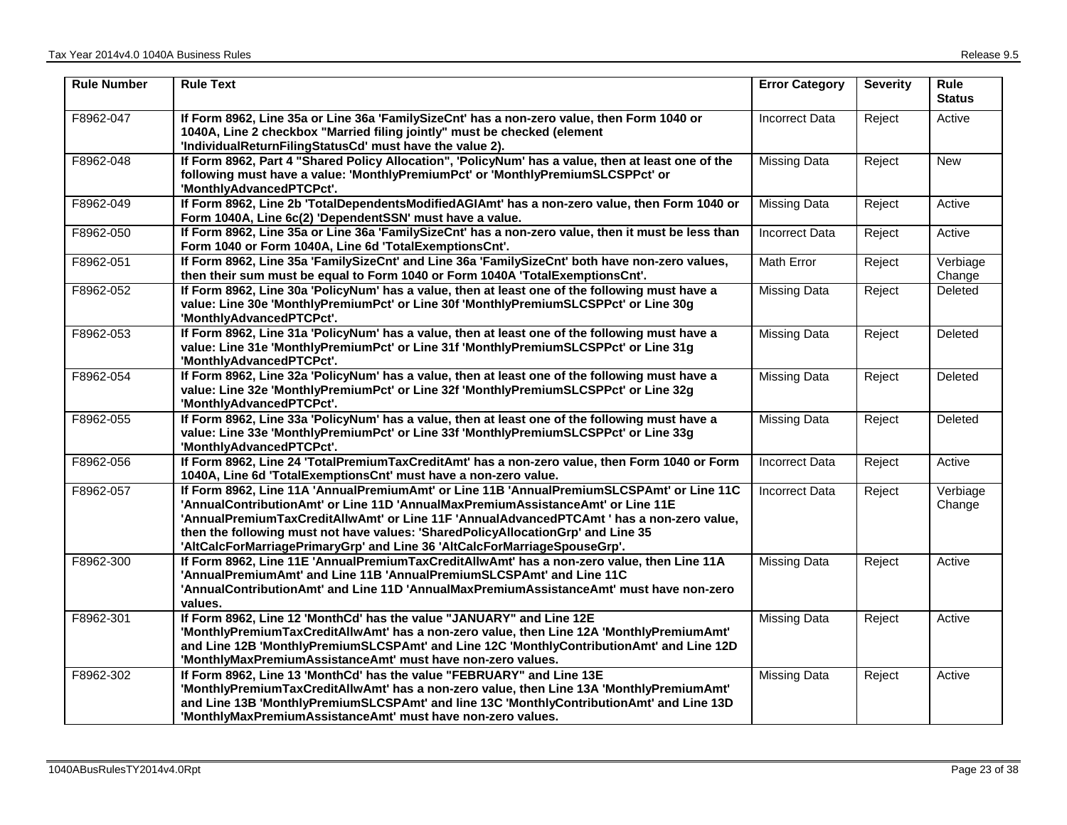| <b>Rule Number</b> | <b>Rule Text</b>                                                                                                                                                                                                                                                                                                                                                                                                                           | <b>Error Category</b> | <b>Severity</b> | Rule<br><b>Status</b> |
|--------------------|--------------------------------------------------------------------------------------------------------------------------------------------------------------------------------------------------------------------------------------------------------------------------------------------------------------------------------------------------------------------------------------------------------------------------------------------|-----------------------|-----------------|-----------------------|
| F8962-047          | If Form 8962, Line 35a or Line 36a 'FamilySizeCnt' has a non-zero value, then Form 1040 or<br>1040A, Line 2 checkbox "Married filing jointly" must be checked (element<br>'IndividualReturnFilingStatusCd' must have the value 2).                                                                                                                                                                                                         | <b>Incorrect Data</b> | Reject          | Active                |
| F8962-048          | If Form 8962, Part 4 "Shared Policy Allocation", 'PolicyNum' has a value, then at least one of the<br>following must have a value: 'MonthlyPremiumPct' or 'MonthlyPremiumSLCSPPct' or<br>'MonthlyAdvancedPTCPct'.                                                                                                                                                                                                                          | <b>Missing Data</b>   | Reject          | <b>New</b>            |
| F8962-049          | If Form 8962, Line 2b 'TotalDependentsModifiedAGIAmt' has a non-zero value, then Form 1040 or<br>Form 1040A, Line 6c(2) 'DependentSSN' must have a value.                                                                                                                                                                                                                                                                                  | <b>Missing Data</b>   | Reject          | Active                |
| F8962-050          | If Form 8962, Line 35a or Line 36a 'FamilySizeCnt' has a non-zero value, then it must be less than<br>Form 1040 or Form 1040A, Line 6d 'TotalExemptionsCnt'.                                                                                                                                                                                                                                                                               | <b>Incorrect Data</b> | Reject          | Active                |
| F8962-051          | If Form 8962, Line 35a 'FamilySizeCnt' and Line 36a 'FamilySizeCnt' both have non-zero values,<br>then their sum must be equal to Form 1040 or Form 1040A 'TotalExemptionsCnt'.                                                                                                                                                                                                                                                            | Math Error            | Reject          | Verbiage<br>Change    |
| F8962-052          | If Form 8962, Line 30a 'PolicyNum' has a value, then at least one of the following must have a<br>value: Line 30e 'MonthlyPremiumPct' or Line 30f 'MonthlyPremiumSLCSPPct' or Line 30g<br>'MonthlyAdvancedPTCPct'.                                                                                                                                                                                                                         | <b>Missing Data</b>   | Reject          | Deleted               |
| F8962-053          | If Form 8962, Line 31a 'PolicyNum' has a value, then at least one of the following must have a<br>value: Line 31e 'MonthlyPremiumPct' or Line 31f 'MonthlyPremiumSLCSPPct' or Line 31g<br>'MonthlyAdvancedPTCPct'.                                                                                                                                                                                                                         | <b>Missing Data</b>   | Reject          | Deleted               |
| F8962-054          | If Form 8962, Line 32a 'PolicyNum' has a value, then at least one of the following must have a<br>value: Line 32e 'MonthlyPremiumPct' or Line 32f 'MonthlyPremiumSLCSPPct' or Line 32g<br>'MonthlyAdvancedPTCPct'.                                                                                                                                                                                                                         | <b>Missing Data</b>   | Reject          | Deleted               |
| F8962-055          | If Form 8962, Line 33a 'PolicyNum' has a value, then at least one of the following must have a<br>value: Line 33e 'MonthlyPremiumPct' or Line 33f 'MonthlyPremiumSLCSPPct' or Line 33g<br>'MonthlyAdvancedPTCPct'.                                                                                                                                                                                                                         | <b>Missing Data</b>   | Reject          | Deleted               |
| F8962-056          | If Form 8962, Line 24 'TotalPremiumTaxCreditAmt' has a non-zero value, then Form 1040 or Form<br>1040A, Line 6d 'TotalExemptionsCnt' must have a non-zero value.                                                                                                                                                                                                                                                                           | <b>Incorrect Data</b> | Reject          | Active                |
| F8962-057          | If Form 8962, Line 11A 'AnnualPremiumAmt' or Line 11B 'AnnualPremiumSLCSPAmt' or Line 11C<br>'AnnualContributionAmt' or Line 11D 'AnnualMaxPremiumAssistanceAmt' or Line 11E<br>'AnnualPremiumTaxCreditAllwAmt' or Line 11F 'AnnualAdvancedPTCAmt ' has a non-zero value,<br>then the following must not have values: 'SharedPolicyAllocationGrp' and Line 35<br>'AltCalcForMarriagePrimaryGrp' and Line 36 'AltCalcForMarriageSpouseGrp'. | Incorrect Data        | Reject          | Verbiage<br>Change    |
| F8962-300          | If Form 8962, Line 11E 'AnnualPremiumTaxCreditAllwAmt' has a non-zero value, then Line 11A<br>'AnnualPremiumAmt' and Line 11B 'AnnualPremiumSLCSPAmt' and Line 11C<br>'AnnualContributionAmt' and Line 11D 'AnnualMaxPremiumAssistanceAmt' must have non-zero<br>values.                                                                                                                                                                   | <b>Missing Data</b>   | Reject          | Active                |
| F8962-301          | If Form 8962, Line 12 'MonthCd' has the value "JANUARY" and Line 12E<br>'MonthlyPremiumTaxCreditAllwAmt' has a non-zero value, then Line 12A 'MonthlyPremiumAmt'<br>and Line 12B 'MonthlyPremiumSLCSPAmt' and Line 12C 'MonthlyContributionAmt' and Line 12D<br>'MonthlyMaxPremiumAssistanceAmt' must have non-zero values.                                                                                                                | <b>Missing Data</b>   | Reject          | Active                |
| F8962-302          | If Form 8962, Line 13 'MonthCd' has the value "FEBRUARY" and Line 13E<br>'MonthlyPremiumTaxCreditAllwAmt' has a non-zero value, then Line 13A 'MonthlyPremiumAmt'<br>and Line 13B 'MonthlyPremiumSLCSPAmt' and line 13C 'MonthlyContributionAmt' and Line 13D<br>'MonthlyMaxPremiumAssistanceAmt' must have non-zero values.                                                                                                               | <b>Missing Data</b>   | Reject          | Active                |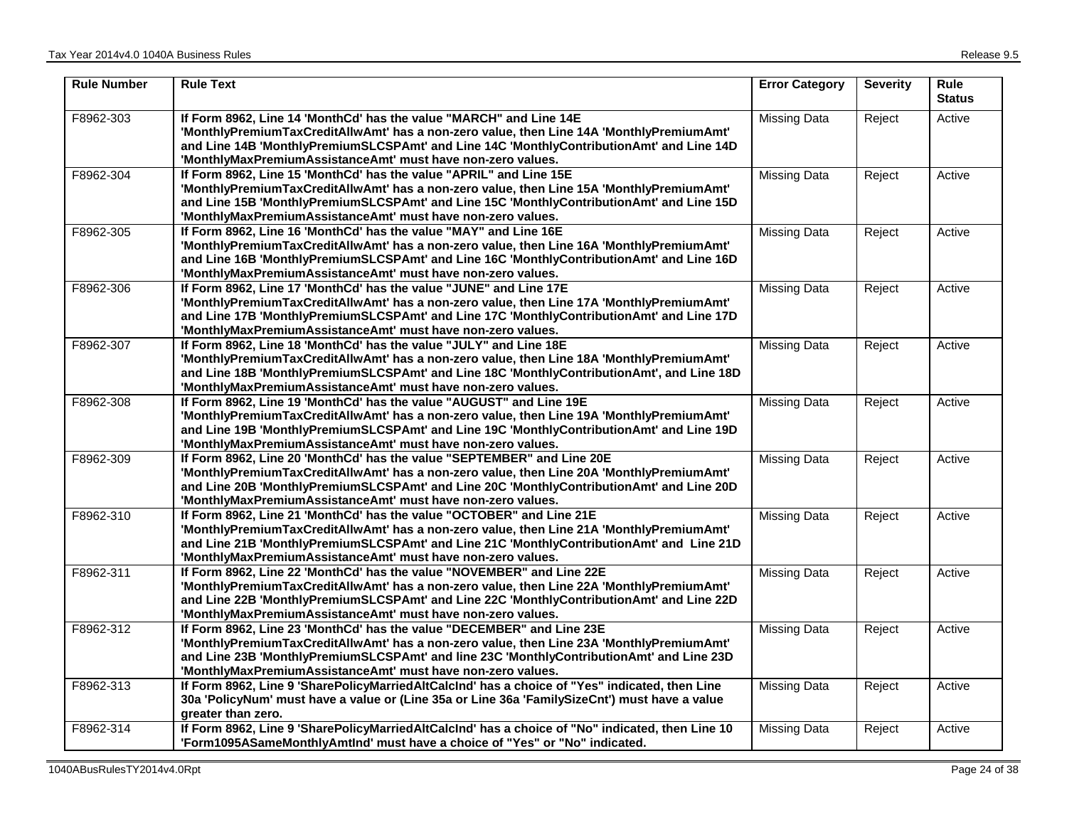| <b>Rule Number</b> | <b>Rule Text</b>                                                                                                                                                                                                                                                                                                              | <b>Error Category</b> | <b>Severity</b> | <b>Rule</b><br><b>Status</b> |
|--------------------|-------------------------------------------------------------------------------------------------------------------------------------------------------------------------------------------------------------------------------------------------------------------------------------------------------------------------------|-----------------------|-----------------|------------------------------|
| F8962-303          | If Form 8962, Line 14 'MonthCd' has the value "MARCH" and Line 14E<br>'MonthlyPremiumTaxCreditAllwAmt' has a non-zero value, then Line 14A 'MonthlyPremiumAmt'<br>and Line 14B 'MonthlyPremiumSLCSPAmt' and Line 14C 'MonthlyContributionAmt' and Line 14D<br>'MonthlyMaxPremiumAssistanceAmt' must have non-zero values.     | <b>Missing Data</b>   | Reject          | Active                       |
| F8962-304          | If Form 8962, Line 15 'MonthCd' has the value "APRIL" and Line 15E<br>'MonthlyPremiumTaxCreditAllwAmt' has a non-zero value, then Line 15A 'MonthlyPremiumAmt'<br>and Line 15B 'MonthlyPremiumSLCSPAmt' and Line 15C 'MonthlyContributionAmt' and Line 15D<br>'MonthlyMaxPremiumAssistanceAmt' must have non-zero values.     | <b>Missing Data</b>   | Reject          | Active                       |
| F8962-305          | If Form 8962, Line 16 'MonthCd' has the value "MAY" and Line 16E<br>'MonthlyPremiumTaxCreditAllwAmt' has a non-zero value, then Line 16A 'MonthlyPremiumAmt'<br>and Line 16B 'MonthlyPremiumSLCSPAmt' and Line 16C 'MonthlyContributionAmt' and Line 16D<br>'MonthlyMaxPremiumAssistanceAmt' must have non-zero values.       | <b>Missing Data</b>   | Reject          | Active                       |
| F8962-306          | If Form 8962, Line 17 'MonthCd' has the value "JUNE" and Line 17E<br>'MonthlyPremiumTaxCreditAllwAmt' has a non-zero value, then Line 17A 'MonthlyPremiumAmt'<br>and Line 17B 'MonthlyPremiumSLCSPAmt' and Line 17C 'MonthlyContributionAmt' and Line 17D<br>'MonthlyMaxPremiumAssistanceAmt' must have non-zero values.      | <b>Missing Data</b>   | Reject          | Active                       |
| F8962-307          | If Form 8962, Line 18 'MonthCd' has the value "JULY" and Line 18E<br>'MonthlyPremiumTaxCreditAllwAmt' has a non-zero value, then Line 18A 'MonthlyPremiumAmt'<br>and Line 18B 'MonthlyPremiumSLCSPAmt' and Line 18C 'MonthlyContributionAmt', and Line 18D<br>'MonthlyMaxPremiumAssistanceAmt' must have non-zero values.     | <b>Missing Data</b>   | Reject          | Active                       |
| F8962-308          | If Form 8962, Line 19 'MonthCd' has the value "AUGUST" and Line 19E<br>'MonthlyPremiumTaxCreditAllwAmt' has a non-zero value, then Line 19A 'MonthlyPremiumAmt'<br>and Line 19B 'MonthlyPremiumSLCSPAmt' and Line 19C 'MonthlyContributionAmt' and Line 19D<br>'MonthlyMaxPremiumAssistanceAmt' must have non-zero values.    | <b>Missing Data</b>   | Reject          | Active                       |
| F8962-309          | If Form 8962, Line 20 'MonthCd' has the value "SEPTEMBER" and Line 20E<br>'MonthlyPremiumTaxCreditAllwAmt' has a non-zero value, then Line 20A 'MonthlyPremiumAmt'<br>and Line 20B 'MonthlyPremiumSLCSPAmt' and Line 20C 'MonthlyContributionAmt' and Line 20D<br>'MonthlyMaxPremiumAssistanceAmt' must have non-zero values. | <b>Missing Data</b>   | Reject          | Active                       |
| F8962-310          | If Form 8962, Line 21 'MonthCd' has the value "OCTOBER" and Line 21E<br>'MonthlyPremiumTaxCreditAllwAmt' has a non-zero value, then Line 21A 'MonthlyPremiumAmt'<br>and Line 21B 'MonthlyPremiumSLCSPAmt' and Line 21C 'MonthlyContributionAmt' and Line 21D<br>'MonthlyMaxPremiumAssistanceAmt' must have non-zero values.   | <b>Missing Data</b>   | Reject          | Active                       |
| F8962-311          | If Form 8962, Line 22 'MonthCd' has the value "NOVEMBER" and Line 22E<br>'MonthlyPremiumTaxCreditAllwAmt' has a non-zero value, then Line 22A 'MonthlyPremiumAmt'<br>and Line 22B 'MonthlyPremiumSLCSPAmt' and Line 22C 'MonthlyContributionAmt' and Line 22D<br>'MonthlyMaxPremiumAssistanceAmt' must have non-zero values.  | <b>Missing Data</b>   | Reject          | Active                       |
| F8962-312          | If Form 8962, Line 23 'MonthCd' has the value "DECEMBER" and Line 23E<br>'MonthlyPremiumTaxCreditAllwAmt' has a non-zero value, then Line 23A 'MonthlyPremiumAmt'<br>and Line 23B 'MonthlyPremiumSLCSPAmt' and line 23C 'MonthlyContributionAmt' and Line 23D<br>'MonthlyMaxPremiumAssistanceAmt' must have non-zero values.  | <b>Missing Data</b>   | Reject          | Active                       |
| F8962-313          | If Form 8962, Line 9 'SharePolicyMarriedAltCalcInd' has a choice of "Yes" indicated, then Line<br>30a 'PolicyNum' must have a value or (Line 35a or Line 36a 'FamilySizeCnt') must have a value<br>greater than zero.                                                                                                         | <b>Missing Data</b>   | Reject          | Active                       |
| F8962-314          | If Form 8962, Line 9 'SharePolicyMarriedAltCalcInd' has a choice of "No" indicated, then Line 10<br>'Form1095ASameMonthlyAmtInd' must have a choice of "Yes" or "No" indicated.                                                                                                                                               | <b>Missing Data</b>   | Reject          | Active                       |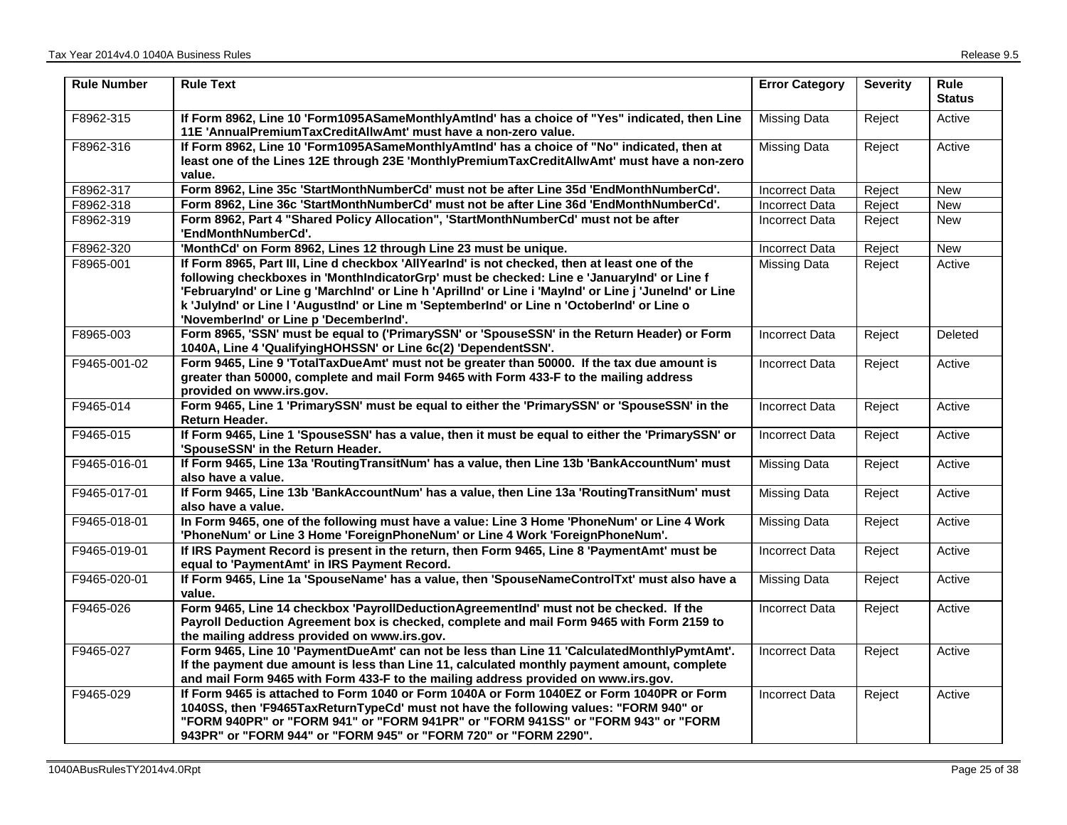| <b>Rule Number</b> | <b>Rule Text</b>                                                                                                                                                                                                                                                                                                                                                                                                                               | <b>Error Category</b> | <b>Severity</b> | <b>Rule</b><br><b>Status</b> |
|--------------------|------------------------------------------------------------------------------------------------------------------------------------------------------------------------------------------------------------------------------------------------------------------------------------------------------------------------------------------------------------------------------------------------------------------------------------------------|-----------------------|-----------------|------------------------------|
| F8962-315          | If Form 8962, Line 10 'Form1095ASameMonthlyAmtInd' has a choice of "Yes" indicated, then Line<br>11E 'AnnualPremiumTaxCreditAllwAmt' must have a non-zero value.                                                                                                                                                                                                                                                                               | <b>Missing Data</b>   | Reject          | Active                       |
| F8962-316          | If Form 8962, Line 10 'Form1095ASameMonthlyAmtInd' has a choice of "No" indicated, then at<br>least one of the Lines 12E through 23E 'MonthlyPremiumTaxCreditAllwAmt' must have a non-zero<br>value.                                                                                                                                                                                                                                           | <b>Missing Data</b>   | Reject          | Active                       |
| F8962-317          | Form 8962, Line 35c 'StartMonthNumberCd' must not be after Line 35d 'EndMonthNumberCd'.                                                                                                                                                                                                                                                                                                                                                        | <b>Incorrect Data</b> | Reject          | New                          |
| F8962-318          | Form 8962, Line 36c 'StartMonthNumberCd' must not be after Line 36d 'EndMonthNumberCd'.                                                                                                                                                                                                                                                                                                                                                        | <b>Incorrect Data</b> | Reject          | <b>New</b>                   |
| F8962-319          | Form 8962, Part 4 "Shared Policy Allocation", 'StartMonthNumberCd' must not be after<br>'EndMonthNumberCd'.                                                                                                                                                                                                                                                                                                                                    | <b>Incorrect Data</b> | Reject          | <b>New</b>                   |
| F8962-320          | 'MonthCd' on Form 8962, Lines 12 through Line 23 must be unique.                                                                                                                                                                                                                                                                                                                                                                               | <b>Incorrect Data</b> | Reject          | <b>New</b>                   |
| F8965-001          | If Form 8965, Part III, Line d checkbox 'AllYearInd' is not checked, then at least one of the<br>following checkboxes in 'MonthIndicatorGrp' must be checked: Line e 'JanuaryInd' or Line f<br>'FebruaryInd' or Line g 'MarchInd' or Line h 'Aprillnd' or Line i 'MayInd' or Line j 'JuneInd' or Line<br>k 'JulyInd' or Line I 'AugustInd' or Line m 'SeptemberInd' or Line n 'OctoberInd' or Line o<br>'NovemberInd' or Line p 'DecemberInd'. | Missing Data          | Reject          | Active                       |
| F8965-003          | Form 8965, 'SSN' must be equal to ('PrimarySSN' or 'SpouseSSN' in the Return Header) or Form<br>1040A, Line 4 'QualifyingHOHSSN' or Line 6c(2) 'DependentSSN'.                                                                                                                                                                                                                                                                                 | <b>Incorrect Data</b> | Reject          | Deleted                      |
| F9465-001-02       | Form 9465, Line 9 'TotalTaxDueAmt' must not be greater than 50000. If the tax due amount is<br>greater than 50000, complete and mail Form 9465 with Form 433-F to the mailing address<br>provided on www.irs.gov.                                                                                                                                                                                                                              | Incorrect Data        | Reject          | Active                       |
| F9465-014          | Form 9465, Line 1 'PrimarySSN' must be equal to either the 'PrimarySSN' or 'SpouseSSN' in the<br><b>Return Header.</b>                                                                                                                                                                                                                                                                                                                         | <b>Incorrect Data</b> | Reject          | Active                       |
| F9465-015          | If Form 9465, Line 1 'SpouseSSN' has a value, then it must be equal to either the 'PrimarySSN' or<br>'SpouseSSN' in the Return Header.                                                                                                                                                                                                                                                                                                         | <b>Incorrect Data</b> | Reject          | Active                       |
| F9465-016-01       | If Form 9465, Line 13a 'RoutingTransitNum' has a value, then Line 13b 'BankAccountNum' must<br>also have a value.                                                                                                                                                                                                                                                                                                                              | Missing Data          | Reject          | Active                       |
| F9465-017-01       | If Form 9465, Line 13b 'BankAccountNum' has a value, then Line 13a 'RoutingTransitNum' must<br>also have a value.                                                                                                                                                                                                                                                                                                                              | <b>Missing Data</b>   | Reject          | Active                       |
| F9465-018-01       | In Form 9465, one of the following must have a value: Line 3 Home 'PhoneNum' or Line 4 Work<br>'PhoneNum' or Line 3 Home 'ForeignPhoneNum' or Line 4 Work 'ForeignPhoneNum'.                                                                                                                                                                                                                                                                   | <b>Missing Data</b>   | Reject          | Active                       |
| F9465-019-01       | If IRS Payment Record is present in the return, then Form 9465, Line 8 'PaymentAmt' must be<br>equal to 'PaymentAmt' in IRS Payment Record.                                                                                                                                                                                                                                                                                                    | <b>Incorrect Data</b> | Reject          | Active                       |
| F9465-020-01       | If Form 9465, Line 1a 'SpouseName' has a value, then 'SpouseNameControlTxt' must also have a<br>value.                                                                                                                                                                                                                                                                                                                                         | <b>Missing Data</b>   | Reject          | Active                       |
| F9465-026          | Form 9465, Line 14 checkbox 'PayrollDeductionAgreementInd' must not be checked. If the<br>Payroll Deduction Agreement box is checked, complete and mail Form 9465 with Form 2159 to<br>the mailing address provided on www.irs.gov.                                                                                                                                                                                                            | <b>Incorrect Data</b> | Reject          | Active                       |
| F9465-027          | Form 9465, Line 10 'PaymentDueAmt' can not be less than Line 11 'CalculatedMonthlyPymtAmt'.<br>If the payment due amount is less than Line 11, calculated monthly payment amount, complete<br>and mail Form 9465 with Form 433-F to the mailing address provided on www.irs.gov.                                                                                                                                                               | <b>Incorrect Data</b> | Reject          | Active                       |
| F9465-029          | If Form 9465 is attached to Form 1040 or Form 1040A or Form 1040EZ or Form 1040PR or Form<br>1040SS, then 'F9465TaxReturnTypeCd' must not have the following values: "FORM 940" or<br>"FORM 940PR" or "FORM 941" or "FORM 941PR" or "FORM 941SS" or "FORM 943" or "FORM<br>943PR" or "FORM 944" or "FORM 945" or "FORM 720" or "FORM 2290".                                                                                                    | <b>Incorrect Data</b> | Reject          | Active                       |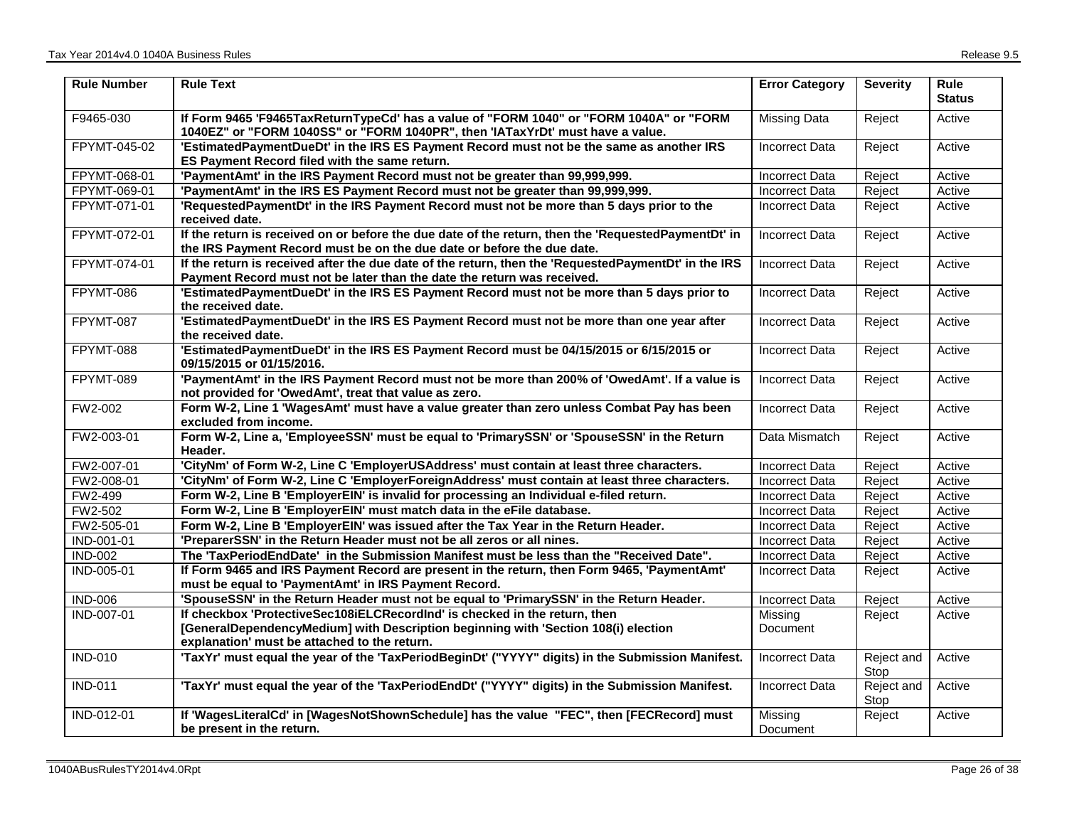| <b>Rule Number</b> | <b>Rule Text</b>                                                                                                                                                                | <b>Error Category</b> | <b>Severity</b>    | <b>Rule</b><br><b>Status</b> |
|--------------------|---------------------------------------------------------------------------------------------------------------------------------------------------------------------------------|-----------------------|--------------------|------------------------------|
| F9465-030          | If Form 9465 'F9465TaxReturnTypeCd' has a value of "FORM 1040" or "FORM 1040A" or "FORM<br>1040EZ" or "FORM 1040SS" or "FORM 1040PR", then 'IATaxYrDt' must have a value.       | <b>Missing Data</b>   | Reject             | Active                       |
| FPYMT-045-02       | 'EstimatedPaymentDueDt' in the IRS ES Payment Record must not be the same as another IRS<br>ES Payment Record filed with the same return.                                       | <b>Incorrect Data</b> | Reject             | Active                       |
| FPYMT-068-01       | 'PaymentAmt' in the IRS Payment Record must not be greater than 99,999,999.                                                                                                     | <b>Incorrect Data</b> | Reject             | Active                       |
| FPYMT-069-01       | 'PaymentAmt' in the IRS ES Payment Record must not be greater than 99,999,999.                                                                                                  | <b>Incorrect Data</b> | Reject             | Active                       |
| FPYMT-071-01       | 'RequestedPaymentDt' in the IRS Payment Record must not be more than 5 days prior to the<br>received date.                                                                      | Incorrect Data        | Reject             | Active                       |
| FPYMT-072-01       | If the return is received on or before the due date of the return, then the 'RequestedPaymentDt' in<br>the IRS Payment Record must be on the due date or before the due date.   | <b>Incorrect Data</b> | Reject             | Active                       |
| FPYMT-074-01       | If the return is received after the due date of the return, then the 'RequestedPaymentDt' in the IRS<br>Payment Record must not be later than the date the return was received. | <b>Incorrect Data</b> | Reject             | Active                       |
| FPYMT-086          | 'EstimatedPaymentDueDt' in the IRS ES Payment Record must not be more than 5 days prior to<br>the received date.                                                                | <b>Incorrect Data</b> | Reject             | Active                       |
| FPYMT-087          | 'EstimatedPaymentDueDt' in the IRS ES Payment Record must not be more than one year after<br>the received date.                                                                 | <b>Incorrect Data</b> | Reject             | Active                       |
| FPYMT-088          | 'EstimatedPaymentDueDt' in the IRS ES Payment Record must be 04/15/2015 or 6/15/2015 or<br>09/15/2015 or 01/15/2016.                                                            | <b>Incorrect Data</b> | Reject             | Active                       |
| FPYMT-089          | 'PaymentAmt' in the IRS Payment Record must not be more than 200% of 'OwedAmt'. If a value is<br>not provided for 'OwedAmt', treat that value as zero.                          | <b>Incorrect Data</b> | Reject             | Active                       |
| FW2-002            | Form W-2, Line 1 'WagesAmt' must have a value greater than zero unless Combat Pay has been<br>excluded from income.                                                             | Incorrect Data        | Reject             | Active                       |
| FW2-003-01         | Form W-2, Line a, 'EmployeeSSN' must be equal to 'PrimarySSN' or 'SpouseSSN' in the Return<br>Header.                                                                           | Data Mismatch         | Reject             | Active                       |
| FW2-007-01         | 'CityNm' of Form W-2, Line C 'EmployerUSAddress' must contain at least three characters.                                                                                        | <b>Incorrect Data</b> | Reject             | Active                       |
| FW2-008-01         | 'CityNm' of Form W-2, Line C 'EmployerForeignAddress' must contain at least three characters.                                                                                   | <b>Incorrect Data</b> | Reject             | Active                       |
| FW2-499            | Form W-2, Line B 'EmployerEIN' is invalid for processing an Individual e-filed return.                                                                                          | <b>Incorrect Data</b> | Reject             | Active                       |
| FW2-502            | Form W-2, Line B 'EmployerEIN' must match data in the eFile database.                                                                                                           | <b>Incorrect Data</b> | Reject             | Active                       |
| FW2-505-01         | Form W-2, Line B 'EmployerEIN' was issued after the Tax Year in the Return Header.                                                                                              | <b>Incorrect Data</b> | Reject             | Active                       |
| <b>IND-001-01</b>  | 'PreparerSSN' in the Return Header must not be all zeros or all nines.                                                                                                          | Incorrect Data        | Reject             | Active                       |
| <b>IND-002</b>     | The 'TaxPeriodEndDate' in the Submission Manifest must be less than the "Received Date".                                                                                        | <b>Incorrect Data</b> | Reject             | Active                       |
| IND-005-01         | If Form 9465 and IRS Payment Record are present in the return, then Form 9465, 'PaymentAmt'<br>must be equal to 'PaymentAmt' in IRS Payment Record.                             | <b>Incorrect Data</b> | Reject             | Active                       |
| <b>IND-006</b>     | 'SpouseSSN' in the Return Header must not be equal to 'PrimarySSN' in the Return Header.                                                                                        | <b>Incorrect Data</b> | Reject             | Active                       |
| IND-007-01         | If checkbox 'ProtectiveSec108iELCRecordInd' is checked in the return, then                                                                                                      | Missing               | Reject             | Active                       |
|                    | [GeneralDependencyMedium] with Description beginning with 'Section 108(i) election<br>explanation' must be attached to the return.                                              | Document              |                    |                              |
| <b>IND-010</b>     | 'TaxYr' must equal the year of the 'TaxPeriodBeginDt' ("YYYY" digits) in the Submission Manifest.                                                                               | <b>Incorrect Data</b> | Reject and<br>Stop | Active                       |
| <b>IND-011</b>     | 'TaxYr' must equal the year of the 'TaxPeriodEndDt' ("YYYY" digits) in the Submission Manifest.                                                                                 | <b>Incorrect Data</b> | Reject and<br>Stop | Active                       |
| <b>IND-012-01</b>  | If 'WagesLiteralCd' in [WagesNotShownSchedule] has the value "FEC", then [FECRecord] must<br>be present in the return.                                                          | Missing<br>Document   | Reject             | Active                       |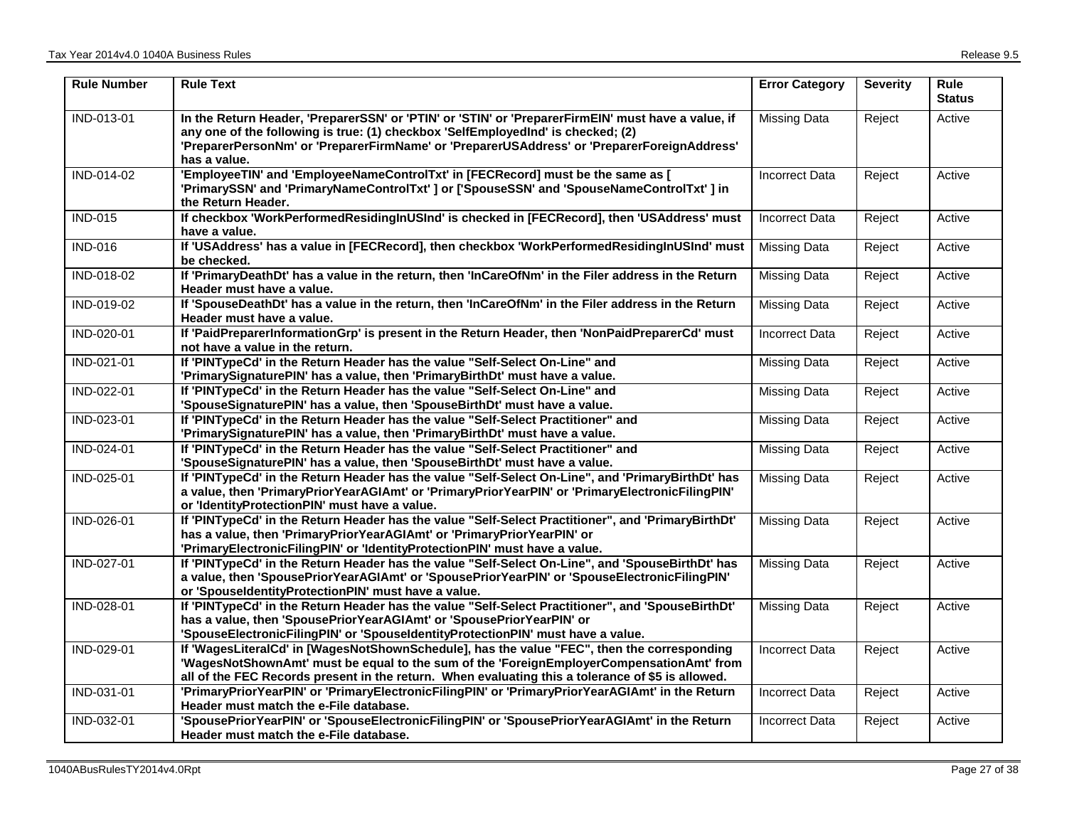| <b>Rule Number</b> | <b>Rule Text</b>                                                                                                                                                                                                                                                                                      | <b>Error Category</b> | <b>Severity</b> | <b>Rule</b><br><b>Status</b> |
|--------------------|-------------------------------------------------------------------------------------------------------------------------------------------------------------------------------------------------------------------------------------------------------------------------------------------------------|-----------------------|-----------------|------------------------------|
| IND-013-01         | In the Return Header, 'PreparerSSN' or 'PTIN' or 'STIN' or 'PreparerFirmEIN' must have a value, if<br>any one of the following is true: (1) checkbox 'SelfEmployedInd' is checked; (2)<br>'PreparerPersonNm' or 'PreparerFirmName' or 'PreparerUSAddress' or 'PreparerForeignAddress'<br>has a value. | <b>Missing Data</b>   | Reject          | Active                       |
| IND-014-02         | 'EmployeeTIN' and 'EmployeeNameControlTxt' in [FECRecord] must be the same as [<br>'PrimarySSN' and 'PrimaryNameControlTxt' ] or ['SpouseSSN' and 'SpouseNameControlTxt' ] in<br>the Return Header.                                                                                                   | <b>Incorrect Data</b> | Reject          | Active                       |
| <b>IND-015</b>     | If checkbox 'WorkPerformedResidingInUSInd' is checked in [FECRecord], then 'USAddress' must<br>have a value.                                                                                                                                                                                          | <b>Incorrect Data</b> | Reject          | Active                       |
| <b>IND-016</b>     | If 'USAddress' has a value in [FECRecord], then checkbox 'WorkPerformedResidingInUSInd' must<br>be checked.                                                                                                                                                                                           | <b>Missing Data</b>   | Reject          | Active                       |
| IND-018-02         | If 'PrimaryDeathDt' has a value in the return, then 'InCareOfNm' in the Filer address in the Return<br>Header must have a value.                                                                                                                                                                      | <b>Missing Data</b>   | Reject          | Active                       |
| IND-019-02         | If 'SpouseDeathDt' has a value in the return, then 'InCareOfNm' in the Filer address in the Return<br>Header must have a value.                                                                                                                                                                       | <b>Missing Data</b>   | Reject          | Active                       |
| IND-020-01         | If 'PaidPreparerInformationGrp' is present in the Return Header, then 'NonPaidPreparerCd' must<br>not have a value in the return.                                                                                                                                                                     | <b>Incorrect Data</b> | Reject          | Active                       |
| IND-021-01         | If 'PINTypeCa' in the Return Header has the value "Self-Select On-Line" and<br>'PrimarySignaturePIN' has a value, then 'PrimaryBirthDt' must have a value.                                                                                                                                            | <b>Missing Data</b>   | Reject          | Active                       |
| IND-022-01         | If 'PINTypeCd' in the Return Header has the value "Self-Select On-Line" and<br>'SpouseSignaturePIN' has a value, then 'SpouseBirthDt' must have a value.                                                                                                                                              | <b>Missing Data</b>   | Reject          | Active                       |
| IND-023-01         | If 'PINTypeCd' in the Return Header has the value "Self-Select Practitioner" and<br>'PrimarySignaturePIN' has a value, then 'PrimaryBirthDt' must have a value.                                                                                                                                       | <b>Missing Data</b>   | Reject          | Active                       |
| IND-024-01         | If 'PINTypeCd' in the Return Header has the value "Self-Select Practitioner" and<br>'SpouseSignaturePIN' has a value, then 'SpouseBirthDt' must have a value.                                                                                                                                         | <b>Missing Data</b>   | Reject          | Active                       |
| IND-025-01         | If 'PINTypeCd' in the Return Header has the value "Self-Select On-Line", and 'PrimaryBirthDt' has<br>a value, then 'PrimaryPriorYearAGIAmt' or 'PrimaryPriorYearPIN' or 'PrimaryElectronicFilingPIN'<br>or 'IdentityProtectionPIN' must have a value.                                                 | <b>Missing Data</b>   | Reject          | Active                       |
| IND-026-01         | If 'PINTypeCd' in the Return Header has the value "Self-Select Practitioner", and 'PrimaryBirthDt'<br>has a value, then 'PrimaryPriorYearAGIAmt' or 'PrimaryPriorYearPIN' or<br>'PrimaryElectronicFilingPIN' or 'IdentityProtectionPIN' must have a value.                                            | <b>Missing Data</b>   | Reject          | Active                       |
| IND-027-01         | If 'PINTypeCd' in the Return Header has the value "Self-Select On-Line", and 'SpouseBirthDt' has<br>a value, then 'SpousePriorYearAGIAmt' or 'SpousePriorYearPIN' or 'SpouseElectronicFilingPIN'<br>or 'SpouseIdentityProtectionPIN' must have a value.                                               | <b>Missing Data</b>   | Reject          | Active                       |
| IND-028-01         | If 'PINTypeCd' in the Return Header has the value "Self-Select Practitioner", and 'SpouseBirthDt'<br>has a value, then 'SpousePriorYearAGIAmt' or 'SpousePriorYearPIN' or<br>'SpouseElectronicFilingPIN' or 'SpouseIdentityProtectionPIN' must have a value.                                          | <b>Missing Data</b>   | Reject          | Active                       |
| IND-029-01         | If 'WagesLiteralCd' in [WagesNotShownSchedule], has the value "FEC", then the corresponding<br>'WagesNotShownAmt' must be equal to the sum of the 'ForeignEmployerCompensationAmt' from<br>all of the FEC Records present in the return. When evaluating this a tolerance of \$5 is allowed.          | <b>Incorrect Data</b> | Reject          | Active                       |
| IND-031-01         | 'PrimaryPriorYearPIN' or 'PrimaryElectronicFilingPIN' or 'PrimaryPriorYearAGIAmt' in the Return<br>Header must match the e-File database.                                                                                                                                                             | <b>Incorrect Data</b> | Reject          | Active                       |
| IND-032-01         | 'SpousePriorYearPIN' or 'SpouseElectronicFilingPIN' or 'SpousePriorYearAGIAmt' in the Return<br>Header must match the e-File database.                                                                                                                                                                | <b>Incorrect Data</b> | Reject          | Active                       |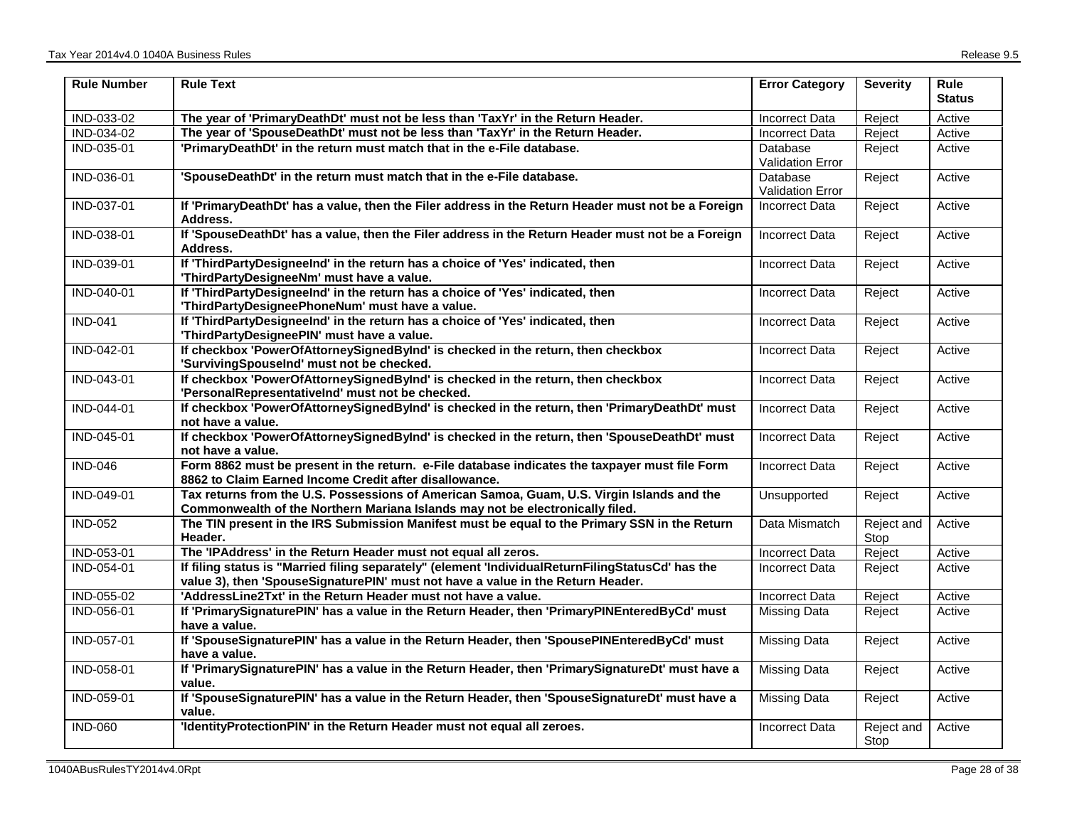| <b>Rule Number</b> | <b>Rule Text</b>                                                                                                                                                                     | <b>Error Category</b>               | <b>Severity</b>    | <b>Rule</b><br><b>Status</b> |
|--------------------|--------------------------------------------------------------------------------------------------------------------------------------------------------------------------------------|-------------------------------------|--------------------|------------------------------|
| IND-033-02         | The year of 'PrimaryDeathDt' must not be less than 'TaxYr' in the Return Header.                                                                                                     | Incorrect Data                      | Reject             | Active                       |
| IND-034-02         | The year of 'SpouseDeathDt' must not be less than 'TaxYr' in the Return Header.                                                                                                      | <b>Incorrect Data</b>               | Reject             | Active                       |
| IND-035-01         | 'PrimaryDeathDt' in the return must match that in the e-File database.                                                                                                               | Database<br><b>Validation Error</b> | Reject             | Active                       |
| IND-036-01         | 'SpouseDeathDt' in the return must match that in the e-File database.                                                                                                                | Database<br><b>Validation Error</b> | Reject             | Active                       |
| IND-037-01         | If 'PrimaryDeathDt' has a value, then the Filer address in the Return Header must not be a Foreign<br>Address.                                                                       | <b>Incorrect Data</b>               | Reject             | Active                       |
| IND-038-01         | If 'SpouseDeathDt' has a value, then the Filer address in the Return Header must not be a Foreign<br>Address.                                                                        | <b>Incorrect Data</b>               | Reject             | Active                       |
| IND-039-01         | If 'ThirdPartyDesigneeInd' in the return has a choice of 'Yes' indicated, then<br>'ThirdPartyDesigneeNm' must have a value.                                                          | <b>Incorrect Data</b>               | Reject             | Active                       |
| IND-040-01         | If 'ThirdPartyDesigneeInd' in the return has a choice of 'Yes' indicated, then<br>'ThirdPartyDesigneePhoneNum' must have a value.                                                    | <b>Incorrect Data</b>               | Reject             | Active                       |
| <b>IND-041</b>     | If 'ThirdPartyDesigneeInd' in the return has a choice of 'Yes' indicated, then<br>'ThirdPartyDesigneePIN' must have a value.                                                         | <b>Incorrect Data</b>               | Reject             | Active                       |
| IND-042-01         | If checkbox 'PowerOfAttorneySignedByInd' is checked in the return, then checkbox<br>'SurvivingSpouseInd' must not be checked.                                                        | <b>Incorrect Data</b>               | Reject             | Active                       |
| IND-043-01         | If checkbox 'PowerOfAttorneySignedByInd' is checked in the return, then checkbox<br>'PersonalRepresentativelnd' must not be checked.                                                 | Incorrect Data                      | Reject             | Active                       |
| IND-044-01         | If checkbox 'PowerOfAttorneySignedByInd' is checked in the return, then 'PrimaryDeathDt' must<br>not have a value.                                                                   | <b>Incorrect Data</b>               | Reject             | Active                       |
| IND-045-01         | If checkbox 'PowerOfAttorneySignedByInd' is checked in the return, then 'SpouseDeathDt' must<br>not have a value.                                                                    | <b>Incorrect Data</b>               | Reject             | Active                       |
| <b>IND-046</b>     | Form 8862 must be present in the return. e-File database indicates the taxpayer must file Form<br>8862 to Claim Earned Income Credit after disallowance.                             | <b>Incorrect Data</b>               | Reject             | Active                       |
| IND-049-01         | Tax returns from the U.S. Possessions of American Samoa, Guam, U.S. Virgin Islands and the<br>Commonwealth of the Northern Mariana Islands may not be electronically filed.          | Unsupported                         | Reject             | Active                       |
| $IND-052$          | The TIN present in the IRS Submission Manifest must be equal to the Primary SSN in the Return<br>Header.                                                                             | Data Mismatch                       | Reject and<br>Stop | Active                       |
| IND-053-01         | The 'IPAddress' in the Return Header must not equal all zeros.                                                                                                                       | <b>Incorrect Data</b>               | Reject             | Active                       |
| IND-054-01         | If filing status is "Married filing separately" (element 'IndividualReturnFilingStatusCd' has the<br>value 3), then 'SpouseSignaturePIN' must not have a value in the Return Header. | <b>Incorrect Data</b>               | Reject             | Active                       |
| IND-055-02         | 'AddressLine2Txt' in the Return Header must not have a value.                                                                                                                        | <b>Incorrect Data</b>               | Reject             | Active                       |
| <b>IND-056-01</b>  | If 'PrimarySignaturePIN' has a value in the Return Header, then 'PrimaryPINEnteredByCd' must<br>have a value.                                                                        | Missing Data                        | Reject             | Active                       |
| IND-057-01         | If 'SpouseSignaturePIN' has a value in the Return Header, then 'SpousePINEnteredByCd' must<br>have a value.                                                                          | <b>Missing Data</b>                 | Reject             | Active                       |
| IND-058-01         | If 'PrimarySignaturePIN' has a value in the Return Header, then 'PrimarySignatureDt' must have a<br>value.                                                                           | <b>Missing Data</b>                 | Reject             | Active                       |
| IND-059-01         | If 'SpouseSignaturePIN' has a value in the Return Header, then 'SpouseSignatureDt' must have a<br>value.                                                                             | <b>Missing Data</b>                 | Reject             | Active                       |
| <b>IND-060</b>     | 'IdentityProtectionPIN' in the Return Header must not equal all zeroes.                                                                                                              | <b>Incorrect Data</b>               | Reject and<br>Stop | Active                       |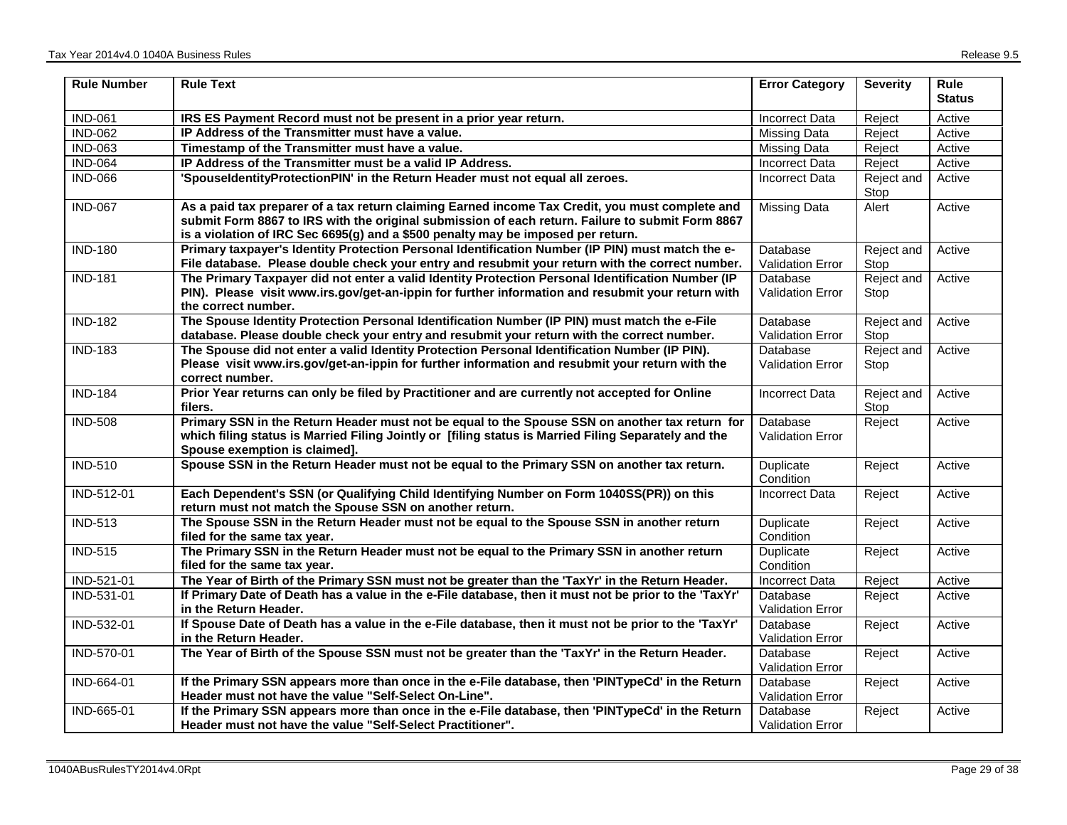| <b>Rule Number</b> | <b>Rule Text</b>                                                                                                                                                                                                                                                                        | <b>Error Category</b>                      | <b>Severity</b>    | <b>Rule</b><br><b>Status</b> |
|--------------------|-----------------------------------------------------------------------------------------------------------------------------------------------------------------------------------------------------------------------------------------------------------------------------------------|--------------------------------------------|--------------------|------------------------------|
| <b>IND-061</b>     | IRS ES Payment Record must not be present in a prior year return.                                                                                                                                                                                                                       | Incorrect Data                             | Reject             | Active                       |
| $IND-062$          | IP Address of the Transmitter must have a value.                                                                                                                                                                                                                                        | <b>Missing Data</b>                        | Reject             | Active                       |
| <b>IND-063</b>     | Timestamp of the Transmitter must have a value.                                                                                                                                                                                                                                         | Missing Data                               | Reject             | Active                       |
| <b>IND-064</b>     | IP Address of the Transmitter must be a valid IP Address.                                                                                                                                                                                                                               | <b>Incorrect Data</b>                      | Reject             | Active                       |
| <b>IND-066</b>     | 'SpouseldentityProtectionPIN' in the Return Header must not equal all zeroes.                                                                                                                                                                                                           | <b>Incorrect Data</b>                      | Reject and<br>Stop | Active                       |
| <b>IND-067</b>     | As a paid tax preparer of a tax return claiming Earned income Tax Credit, you must complete and<br>submit Form 8867 to IRS with the original submission of each return. Failure to submit Form 8867<br>is a violation of IRC Sec 6695(g) and a \$500 penalty may be imposed per return. | <b>Missing Data</b>                        | Alert              | Active                       |
| <b>IND-180</b>     | Primary taxpayer's Identity Protection Personal Identification Number (IP PIN) must match the e-<br>File database. Please double check your entry and resubmit your return with the correct number.                                                                                     | Database<br><b>Validation Error</b>        | Reject and<br>Stop | Active                       |
| <b>IND-181</b>     | The Primary Taxpayer did not enter a valid Identity Protection Personal Identification Number (IP<br>PIN). Please visit www.irs.gov/get-an-ippin for further information and resubmit your return with<br>the correct number.                                                           | <b>Database</b><br><b>Validation Error</b> | Reject and<br>Stop | Active                       |
| <b>IND-182</b>     | The Spouse Identity Protection Personal Identification Number (IP PIN) must match the e-File<br>database. Please double check your entry and resubmit your return with the correct number.                                                                                              | Database<br><b>Validation Error</b>        | Reject and<br>Stop | Active                       |
| <b>IND-183</b>     | The Spouse did not enter a valid Identity Protection Personal Identification Number (IP PIN).<br>Please visit www.irs.gov/get-an-ippin for further information and resubmit your return with the<br>correct number.                                                                     | Database<br><b>Validation Error</b>        | Reject and<br>Stop | Active                       |
| <b>IND-184</b>     | Prior Year returns can only be filed by Practitioner and are currently not accepted for Online<br>filers.                                                                                                                                                                               | Incorrect Data                             | Reject and<br>Stop | Active                       |
| <b>IND-508</b>     | Primary SSN in the Return Header must not be equal to the Spouse SSN on another tax return for<br>which filing status is Married Filing Jointly or [filing status is Married Filing Separately and the<br>Spouse exemption is claimed].                                                 | Database<br><b>Validation Error</b>        | Reject             | Active                       |
| <b>IND-510</b>     | Spouse SSN in the Return Header must not be equal to the Primary SSN on another tax return.                                                                                                                                                                                             | Duplicate<br>Condition                     | Reject             | Active                       |
| IND-512-01         | Each Dependent's SSN (or Qualifying Child Identifying Number on Form 1040SS(PR)) on this<br>return must not match the Spouse SSN on another return.                                                                                                                                     | <b>Incorrect Data</b>                      | Reject             | Active                       |
| <b>IND-513</b>     | The Spouse SSN in the Return Header must not be equal to the Spouse SSN in another return<br>filed for the same tax year.                                                                                                                                                               | Duplicate<br>Condition                     | Reject             | Active                       |
| <b>IND-515</b>     | The Primary SSN in the Return Header must not be equal to the Primary SSN in another return<br>filed for the same tax year.                                                                                                                                                             | Duplicate<br>Condition                     | Reject             | Active                       |
| IND-521-01         | The Year of Birth of the Primary SSN must not be greater than the 'TaxYr' in the Return Header.                                                                                                                                                                                         | <b>Incorrect Data</b>                      | Reject             | Active                       |
| IND-531-01         | If Primary Date of Death has a value in the e-File database, then it must not be prior to the 'TaxYr'<br>in the Return Header.                                                                                                                                                          | Database<br><b>Validation Error</b>        | Reject             | Active                       |
| IND-532-01         | If Spouse Date of Death has a value in the e-File database, then it must not be prior to the 'TaxYr'<br>in the Return Header.                                                                                                                                                           | Database<br><b>Validation Error</b>        | Reject             | Active                       |
| IND-570-01         | The Year of Birth of the Spouse SSN must not be greater than the 'TaxYr' in the Return Header.                                                                                                                                                                                          | Database<br>Validation Error               | Reject             | Active                       |
| IND-664-01         | If the Primary SSN appears more than once in the e-File database, then 'PINTypeCd' in the Return<br>Header must not have the value "Self-Select On-Line".                                                                                                                               | Database<br>Validation Error               | Reject             | Active                       |
| IND-665-01         | If the Primary SSN appears more than once in the e-File database, then 'PINTypeCd' in the Return<br>Header must not have the value "Self-Select Practitioner".                                                                                                                          | Database<br><b>Validation Error</b>        | Reject             | Active                       |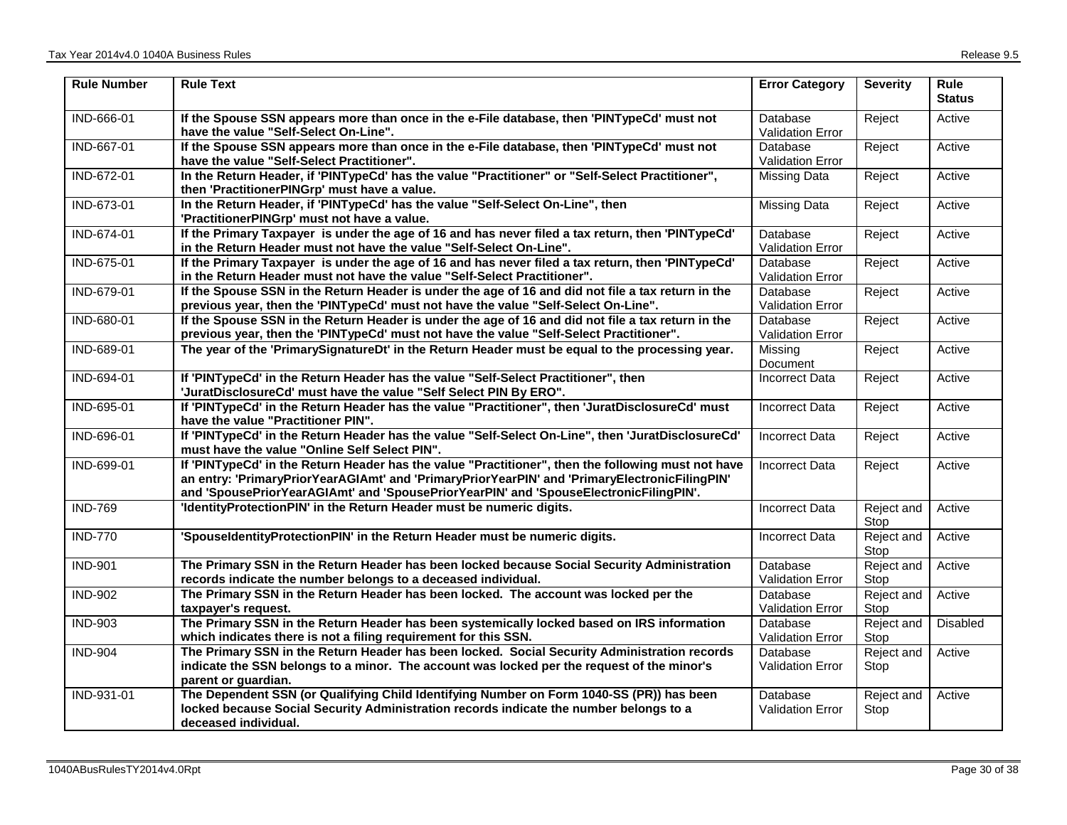| <b>Rule Number</b> | <b>Rule Text</b>                                                                                                                                                                                                                                                                             | <b>Error Category</b>               | <b>Severity</b>    | Rule<br><b>Status</b> |
|--------------------|----------------------------------------------------------------------------------------------------------------------------------------------------------------------------------------------------------------------------------------------------------------------------------------------|-------------------------------------|--------------------|-----------------------|
| IND-666-01         | If the Spouse SSN appears more than once in the e-File database, then 'PINTypeCd' must not<br>have the value "Self-Select On-Line".                                                                                                                                                          | Database<br><b>Validation Error</b> | Reject             | Active                |
| IND-667-01         | If the Spouse SSN appears more than once in the e-File database, then 'PINTypeCd' must not<br>have the value "Self-Select Practitioner".                                                                                                                                                     | Database<br><b>Validation Error</b> | Reject             | Active                |
| IND-672-01         | In the Return Header, if 'PINTypeCd' has the value "Practitioner" or "Self-Select Practitioner",<br>then 'PractitionerPINGrp' must have a value.                                                                                                                                             | <b>Missing Data</b>                 | Reject             | Active                |
| IND-673-01         | In the Return Header, if 'PINTypeCd' has the value "Self-Select On-Line", then<br>'PractitionerPINGrp' must not have a value.                                                                                                                                                                | <b>Missing Data</b>                 | Reject             | Active                |
| IND-674-01         | If the Primary Taxpayer is under the age of 16 and has never filed a tax return, then 'PINTypeCd'<br>in the Return Header must not have the value "Self-Select On-Line".                                                                                                                     | Database<br><b>Validation Error</b> | Reject             | Active                |
| IND-675-01         | If the Primary Taxpayer is under the age of 16 and has never filed a tax return, then 'PINTypeCd'<br>in the Return Header must not have the value "Self-Select Practitioner".                                                                                                                | Database<br>Validation Error        | Reject             | Active                |
| IND-679-01         | If the Spouse SSN in the Return Header is under the age of 16 and did not file a tax return in the<br>previous year, then the 'PINTypeCd' must not have the value "Self-Select On-Line".                                                                                                     | Database<br>Validation Error        | Reject             | Active                |
| IND-680-01         | If the Spouse SSN in the Return Header is under the age of 16 and did not file a tax return in the<br>previous year, then the 'PINTypeCd' must not have the value "Self-Select Practitioner".                                                                                                | Database<br><b>Validation Error</b> | Reject             | Active                |
| IND-689-01         | The year of the 'PrimarySignatureDt' in the Return Header must be equal to the processing year.                                                                                                                                                                                              | Missing<br>Document                 | Reject             | Active                |
| IND-694-01         | If 'PINTypeCd' in the Return Header has the value "Self-Select Practitioner", then<br>'JuratDisclosureCd' must have the value "Self Select PIN By ERO".                                                                                                                                      | <b>Incorrect Data</b>               | Reject             | Active                |
| IND-695-01         | If 'PINTypeCd' in the Return Header has the value "Practitioner", then 'JuratDisclosureCd' must<br>have the value "Practitioner PIN".                                                                                                                                                        | <b>Incorrect Data</b>               | Reject             | Active                |
| IND-696-01         | If 'PINTypeCd' in the Return Header has the value "Self-Select On-Line", then 'JuratDisclosureCd'<br>must have the value "Online Self Select PIN".                                                                                                                                           | <b>Incorrect Data</b>               | Reject             | Active                |
| IND-699-01         | If 'PINTypeCd' in the Return Header has the value "Practitioner", then the following must not have<br>an entry: 'PrimaryPriorYearAGIAmt' and 'PrimaryPriorYearPIN' and 'PrimaryElectronicFilingPIN'<br>and 'SpousePriorYearAGIAmt' and 'SpousePriorYearPIN' and 'SpouseElectronicFilingPIN'. | <b>Incorrect Data</b>               | Reject             | Active                |
| <b>IND-769</b>     | 'IdentityProtectionPIN' in the Return Header must be numeric digits.                                                                                                                                                                                                                         | <b>Incorrect Data</b>               | Reject and<br>Stop | Active                |
| <b>IND-770</b>     | 'SpouseldentityProtectionPIN' in the Return Header must be numeric digits.                                                                                                                                                                                                                   | <b>Incorrect Data</b>               | Reject and<br>Stop | Active                |
| <b>IND-901</b>     | The Primary SSN in the Return Header has been locked because Social Security Administration<br>records indicate the number belongs to a deceased individual.                                                                                                                                 | Database<br><b>Validation Error</b> | Reject and<br>Stop | Active                |
| <b>IND-902</b>     | The Primary SSN in the Return Header has been locked. The account was locked per the<br>taxpayer's request.                                                                                                                                                                                  | Database<br>Validation Error        | Reject and<br>Stop | Active                |
| <b>IND-903</b>     | The Primary SSN in the Return Header has been systemically locked based on IRS information<br>which indicates there is not a filing requirement for this SSN.                                                                                                                                | Database<br><b>Validation Error</b> | Reject and<br>Stop | <b>Disabled</b>       |
| <b>IND-904</b>     | The Primary SSN in the Return Header has been locked. Social Security Administration records<br>indicate the SSN belongs to a minor. The account was locked per the request of the minor's<br>parent or guardian.                                                                            | Database<br><b>Validation Error</b> | Reject and<br>Stop | Active                |
| IND-931-01         | The Dependent SSN (or Qualifying Child Identifying Number on Form 1040-SS (PR)) has been<br>locked because Social Security Administration records indicate the number belongs to a<br>deceased individual.                                                                                   | Database<br><b>Validation Error</b> | Reject and<br>Stop | Active                |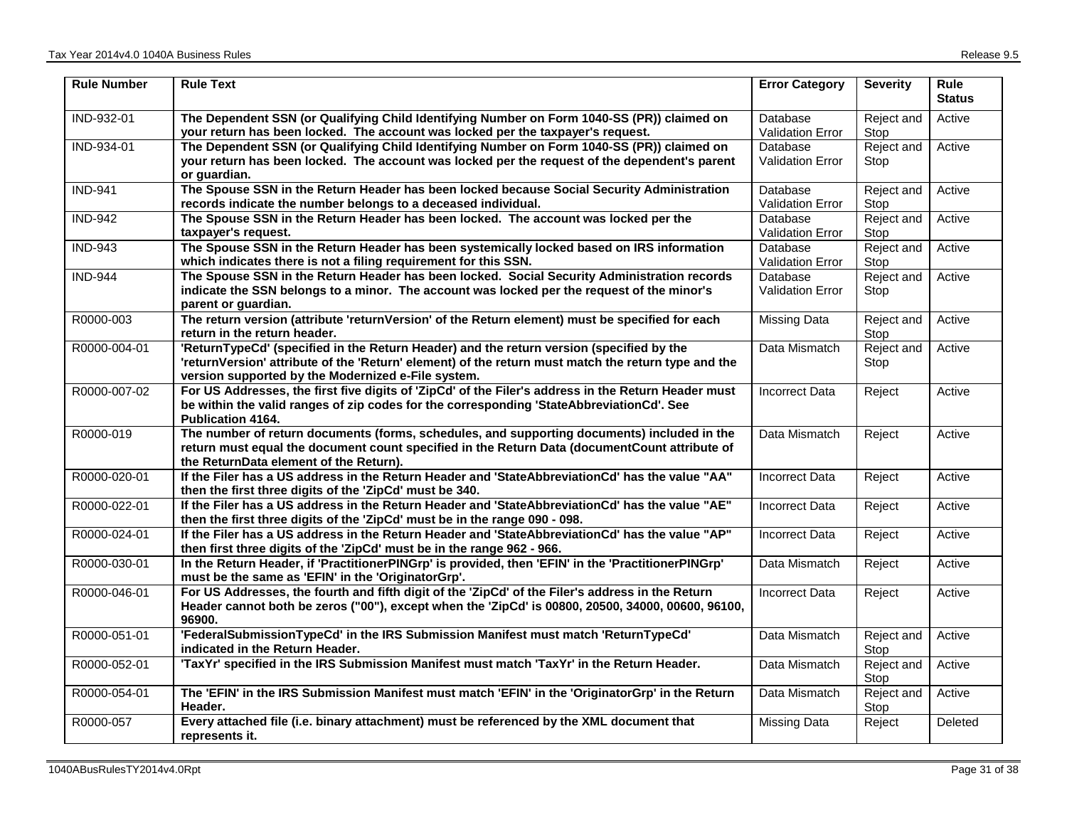| <b>Rule Number</b> | <b>Rule Text</b>                                                                                                                                                                                                                                      | <b>Error Category</b>               | <b>Severity</b>    | <b>Rule</b><br><b>Status</b> |
|--------------------|-------------------------------------------------------------------------------------------------------------------------------------------------------------------------------------------------------------------------------------------------------|-------------------------------------|--------------------|------------------------------|
| IND-932-01         | The Dependent SSN (or Qualifying Child Identifying Number on Form 1040-SS (PR)) claimed on<br>your return has been locked. The account was locked per the taxpayer's request.                                                                         | Database<br>Validation Error        | Reject and<br>Stop | Active                       |
| IND-934-01         | The Dependent SSN (or Qualifying Child Identifying Number on Form 1040-SS (PR)) claimed on<br>your return has been locked. The account was locked per the request of the dependent's parent<br>or quardian.                                           | Database<br>Validation Error        | Reject and<br>Stop | Active                       |
| <b>IND-941</b>     | The Spouse SSN in the Return Header has been locked because Social Security Administration<br>records indicate the number belongs to a deceased individual.                                                                                           | Database<br><b>Validation Error</b> | Reject and<br>Stop | Active                       |
| <b>IND-942</b>     | The Spouse SSN in the Return Header has been locked. The account was locked per the<br>taxpayer's request.                                                                                                                                            | Database<br>Validation Error        | Reject and<br>Stop | Active                       |
| <b>IND-943</b>     | The Spouse SSN in the Return Header has been systemically locked based on IRS information<br>which indicates there is not a filing requirement for this SSN.                                                                                          | Database<br>Validation Error        | Reject and<br>Stop | Active                       |
| <b>IND-944</b>     | The Spouse SSN in the Return Header has been locked. Social Security Administration records<br>indicate the SSN belongs to a minor. The account was locked per the request of the minor's<br>parent or guardian.                                      | Database<br><b>Validation Error</b> | Reject and<br>Stop | Active                       |
| R0000-003          | The return version (attribute 'returnVersion' of the Return element) must be specified for each<br>return in the return header.                                                                                                                       | Missing Data                        | Reject and<br>Stop | Active                       |
| R0000-004-01       | 'ReturnTypeCd' (specified in the Return Header) and the return version (specified by the<br>'returnVersion' attribute of the 'Return' element) of the return must match the return type and the<br>version supported by the Modernized e-File system. | Data Mismatch                       | Reject and<br>Stop | Active                       |
| R0000-007-02       | For US Addresses, the first five digits of 'ZipCd' of the Filer's address in the Return Header must<br>be within the valid ranges of zip codes for the corresponding 'StateAbbreviationCd'. See<br>Publication 4164.                                  | <b>Incorrect Data</b>               | Reject             | Active                       |
| R0000-019          | The number of return documents (forms, schedules, and supporting documents) included in the<br>return must equal the document count specified in the Return Data (documentCount attribute of<br>the ReturnData element of the Return).                | Data Mismatch                       | Reject             | Active                       |
| R0000-020-01       | If the Filer has a US address in the Return Header and 'StateAbbreviationCd' has the value "AA"<br>then the first three digits of the 'ZipCd' must be 340.                                                                                            | Incorrect Data                      | Reject             | Active                       |
| R0000-022-01       | If the Filer has a US address in the Return Header and 'StateAbbreviationCd' has the value "AE"<br>then the first three digits of the 'ZipCd' must be in the range 090 - 098.                                                                         | <b>Incorrect Data</b>               | Reject             | Active                       |
| R0000-024-01       | If the Filer has a US address in the Return Header and 'StateAbbreviationCd' has the value "AP"<br>then first three digits of the 'ZipCd' must be in the range 962 - 966.                                                                             | <b>Incorrect Data</b>               | Reject             | Active                       |
| R0000-030-01       | In the Return Header, if 'PractitionerPINGrp' is provided, then 'EFIN' in the 'PractitionerPINGrp'<br>must be the same as 'EFIN' in the 'OriginatorGrp'.                                                                                              | Data Mismatch                       | Reject             | Active                       |
| R0000-046-01       | For US Addresses, the fourth and fifth digit of the 'ZipCd' of the Filer's address in the Return<br>Header cannot both be zeros ("00"), except when the 'ZipCd' is 00800, 20500, 34000, 00600, 96100,<br>96900.                                       | <b>Incorrect Data</b>               | Reject             | Active                       |
| R0000-051-01       | 'FederalSubmissionTypeCd' in the IRS Submission Manifest must match 'ReturnTypeCd'<br>indicated in the Return Header.                                                                                                                                 | Data Mismatch                       | Reject and<br>Stop | Active                       |
| R0000-052-01       | 'TaxYr' specified in the IRS Submission Manifest must match 'TaxYr' in the Return Header.                                                                                                                                                             | Data Mismatch                       | Reject and<br>Stop | Active                       |
| R0000-054-01       | The 'EFIN' in the IRS Submission Manifest must match 'EFIN' in the 'OriginatorGrp' in the Return<br>Header.                                                                                                                                           | Data Mismatch                       | Reject and<br>Stop | Active                       |
| R0000-057          | Every attached file (i.e. binary attachment) must be referenced by the XML document that<br>represents it.                                                                                                                                            | Missing Data                        | Reject             | Deleted                      |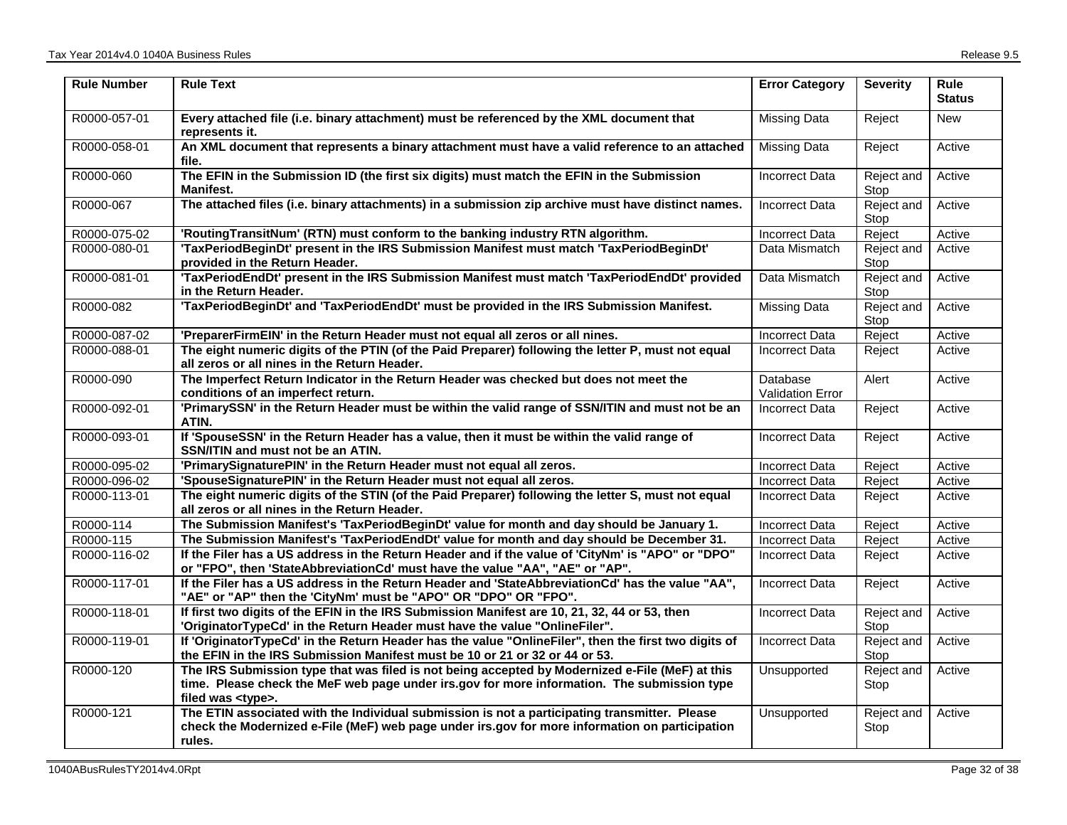| <b>Rule Number</b> | <b>Rule Text</b>                                                                                                                                                                                                           | <b>Error Category</b>               | <b>Severity</b>           | <b>Rule</b><br><b>Status</b> |
|--------------------|----------------------------------------------------------------------------------------------------------------------------------------------------------------------------------------------------------------------------|-------------------------------------|---------------------------|------------------------------|
| R0000-057-01       | Every attached file (i.e. binary attachment) must be referenced by the XML document that<br>represents it.                                                                                                                 | <b>Missing Data</b>                 | Reject                    | <b>New</b>                   |
| R0000-058-01       | An XML document that represents a binary attachment must have a valid reference to an attached<br>file.                                                                                                                    | <b>Missing Data</b>                 | Reject                    | Active                       |
| R0000-060          | The EFIN in the Submission ID (the first six digits) must match the EFIN in the Submission<br>Manifest.                                                                                                                    | <b>Incorrect Data</b>               | Reject and<br>Stop        | Active                       |
| R0000-067          | The attached files (i.e. binary attachments) in a submission zip archive must have distinct names.                                                                                                                         | <b>Incorrect Data</b>               | <b>Reject and</b><br>Stop | Active                       |
| R0000-075-02       | 'RoutingTransitNum' (RTN) must conform to the banking industry RTN algorithm.                                                                                                                                              | Incorrect Data                      | Reject                    | Active                       |
| R0000-080-01       | 'TaxPeriodBeginDt' present in the IRS Submission Manifest must match 'TaxPeriodBeginDt'<br>provided in the Return Header.                                                                                                  | Data Mismatch                       | Reject and<br>Stop        | Active                       |
| R0000-081-01       | 'TaxPeriodEndDt' present in the IRS Submission Manifest must match 'TaxPeriodEndDt' provided<br>in the Return Header.                                                                                                      | Data Mismatch                       | Reject and<br>Stop        | Active                       |
| R0000-082          | 'TaxPeriodBeginDt' and 'TaxPeriodEndDt' must be provided in the IRS Submission Manifest.                                                                                                                                   | <b>Missing Data</b>                 | Reject and<br>Stop        | Active                       |
| R0000-087-02       | 'PreparerFirmEIN' in the Return Header must not equal all zeros or all nines.                                                                                                                                              | <b>Incorrect Data</b>               | Reject                    | Active                       |
| R0000-088-01       | The eight numeric digits of the PTIN (of the Paid Preparer) following the letter P, must not equal<br>all zeros or all nines in the Return Header.                                                                         | <b>Incorrect Data</b>               | Reject                    | Active                       |
| R0000-090          | The Imperfect Return Indicator in the Return Header was checked but does not meet the<br>conditions of an imperfect return.                                                                                                | Database<br><b>Validation Error</b> | Alert                     | Active                       |
| R0000-092-01       | 'PrimarySSN' in the Return Header must be within the valid range of SSN/ITIN and must not be an<br>ATIN.                                                                                                                   | <b>Incorrect Data</b>               | Reject                    | Active                       |
| R0000-093-01       | If 'SpouseSSN' in the Return Header has a value, then it must be within the valid range of<br>SSN/ITIN and must not be an ATIN.                                                                                            | <b>Incorrect Data</b>               | Reject                    | Active                       |
| R0000-095-02       | 'PrimarySignaturePIN' in the Return Header must not equal all zeros.                                                                                                                                                       | <b>Incorrect Data</b>               | Reject                    | Active                       |
| R0000-096-02       | 'SpouseSignaturePIN' in the Return Header must not equal all zeros.                                                                                                                                                        | Incorrect Data                      | Reject                    | Active                       |
| R0000-113-01       | The eight numeric digits of the STIN (of the Paid Preparer) following the letter S, must not equal<br>all zeros or all nines in the Return Header.                                                                         | <b>Incorrect Data</b>               | Reject                    | Active                       |
| R0000-114          | The Submission Manifest's 'TaxPeriodBeginDt' value for month and day should be January 1.                                                                                                                                  | <b>Incorrect Data</b>               | Reject                    | Active                       |
| R0000-115          | The Submission Manifest's 'TaxPeriodEndDt' value for month and day should be December 31.                                                                                                                                  | <b>Incorrect Data</b>               | Reject                    | Active                       |
| R0000-116-02       | If the Filer has a US address in the Return Header and if the value of 'CityNm' is "APO" or "DPO"<br>or "FPO", then 'StateAbbreviationCd' must have the value "AA", "AE" or "AP".                                          | <b>Incorrect Data</b>               | Reject                    | Active                       |
| R0000-117-01       | If the Filer has a US address in the Return Header and 'StateAbbreviationCd' has the value "AA",<br>"AE" or "AP" then the 'CityNm' must be "APO" OR "DPO" OR "FPO".                                                        | <b>Incorrect Data</b>               | Reject                    | Active                       |
| R0000-118-01       | If first two digits of the EFIN in the IRS Submission Manifest are 10, 21, 32, 44 or 53, then<br>'OriginatorTypeCd' in the Return Header must have the value "OnlineFiler".                                                | <b>Incorrect Data</b>               | Reject and<br>Stop        | Active                       |
| R0000-119-01       | If 'OriginatorTypeCd' in the Return Header has the value "OnlineFiler", then the first two digits of<br>the EFIN in the IRS Submission Manifest must be 10 or 21 or 32 or 44 or 53.                                        | <b>Incorrect Data</b>               | Reject and<br>Stop        | Active                       |
| R0000-120          | The IRS Submission type that was filed is not being accepted by Modernized e-File (MeF) at this<br>time. Please check the MeF web page under irs.gov for more information. The submission type<br>filed was <type>.</type> | Unsupported                         | Reject and<br>Stop        | Active                       |
| R0000-121          | The ETIN associated with the Individual submission is not a participating transmitter. Please<br>check the Modernized e-File (MeF) web page under irs.gov for more information on participation<br>rules.                  | Unsupported                         | Reject and<br>Stop        | Active                       |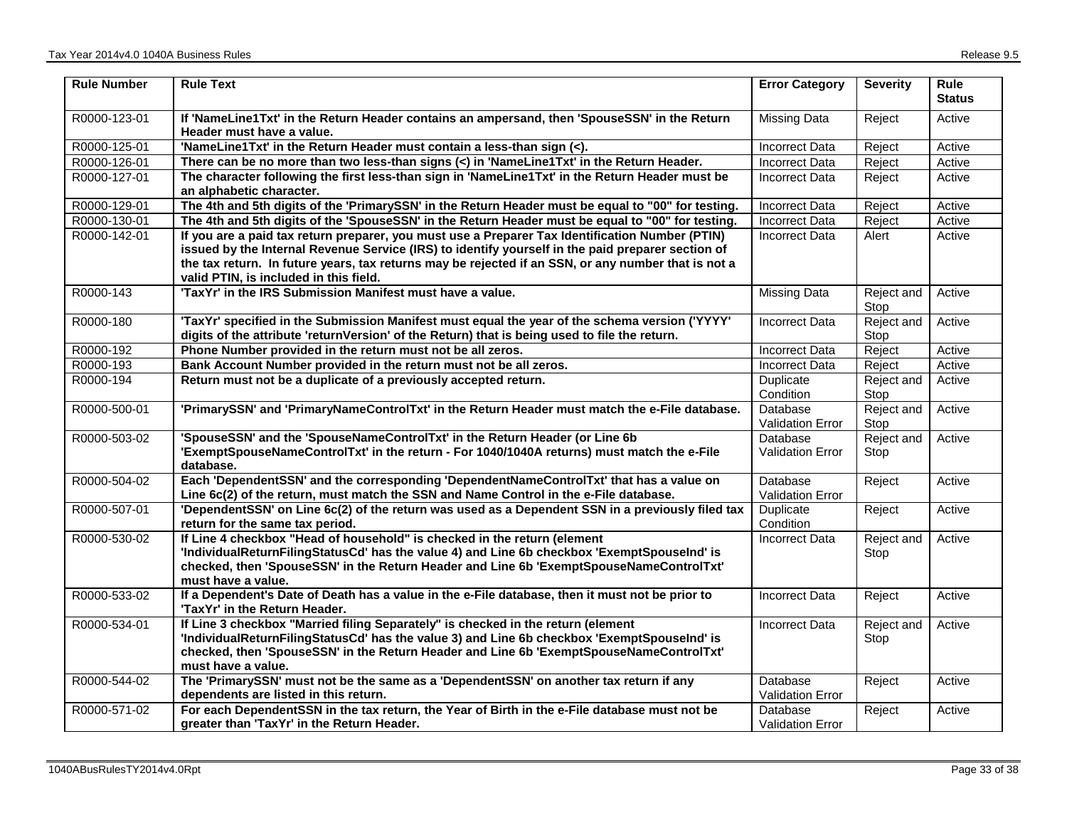| <b>Rule Number</b> | <b>Rule Text</b>                                                                                                                                                                                                                                                                                                                                      | <b>Error Category</b>               | <b>Severity</b>    | <b>Rule</b><br><b>Status</b> |
|--------------------|-------------------------------------------------------------------------------------------------------------------------------------------------------------------------------------------------------------------------------------------------------------------------------------------------------------------------------------------------------|-------------------------------------|--------------------|------------------------------|
| R0000-123-01       | If 'NameLine1Txt' in the Return Header contains an ampersand, then 'SpouseSSN' in the Return<br>Header must have a value.                                                                                                                                                                                                                             | Missing Data                        | Reject             | Active                       |
| R0000-125-01       | 'NameLine1Txt' in the Return Header must contain a less-than sign (<).                                                                                                                                                                                                                                                                                | <b>Incorrect Data</b>               | Reject             | Active                       |
| R0000-126-01       | There can be no more than two less-than signs (<) in 'NameLine1Txt' in the Return Header.                                                                                                                                                                                                                                                             | <b>Incorrect Data</b>               | Reject             | Active                       |
| R0000-127-01       | The character following the first less-than sign in 'NameLine1Txt' in the Return Header must be<br>an alphabetic character.                                                                                                                                                                                                                           | <b>Incorrect Data</b>               | Reject             | Active                       |
| R0000-129-01       | The 4th and 5th digits of the 'PrimarySSN' in the Return Header must be equal to "00" for testing.                                                                                                                                                                                                                                                    | <b>Incorrect Data</b>               | Reject             | Active                       |
| R0000-130-01       | The 4th and 5th digits of the 'SpouseSSN' in the Return Header must be equal to "00" for testing.                                                                                                                                                                                                                                                     | <b>Incorrect Data</b>               | Reject             | Active                       |
| R0000-142-01       | If you are a paid tax return preparer, you must use a Preparer Tax Identification Number (PTIN)<br>issued by the Internal Revenue Service (IRS) to identify yourself in the paid preparer section of<br>the tax return. In future years, tax returns may be rejected if an SSN, or any number that is not a<br>valid PTIN, is included in this field. | Incorrect Data                      | Alert              | Active                       |
| R0000-143          | 'TaxYr' in the IRS Submission Manifest must have a value.                                                                                                                                                                                                                                                                                             | <b>Missing Data</b>                 | Reject and<br>Stop | Active                       |
| R0000-180          | 'TaxYr' specified in the Submission Manifest must equal the year of the schema version ('YYYY'<br>digits of the attribute 'returnVersion' of the Return) that is being used to file the return.                                                                                                                                                       | <b>Incorrect Data</b>               | Reject and<br>Stop | Active                       |
| R0000-192          | Phone Number provided in the return must not be all zeros.                                                                                                                                                                                                                                                                                            | <b>Incorrect Data</b>               | Reject             | Active                       |
| R0000-193          | Bank Account Number provided in the return must not be all zeros.                                                                                                                                                                                                                                                                                     | <b>Incorrect Data</b>               | Reject             | Active                       |
| R0000-194          | Return must not be a duplicate of a previously accepted return.                                                                                                                                                                                                                                                                                       | Duplicate<br>Condition              | Reject and<br>Stop | Active                       |
| R0000-500-01       | 'PrimarySSN' and 'PrimaryNameControlTxt' in the Return Header must match the e-File database.                                                                                                                                                                                                                                                         | Database<br><b>Validation Error</b> | Reject and<br>Stop | Active                       |
| R0000-503-02       | 'SpouseSSN' and the 'SpouseNameControlTxt' in the Return Header (or Line 6b<br>'ExemptSpouseNameControlTxt' in the return - For 1040/1040A returns) must match the e-File<br>database.                                                                                                                                                                | Database<br><b>Validation Error</b> | Reject and<br>Stop | Active                       |
| R0000-504-02       | Each 'DependentSSN' and the corresponding 'DependentNameControlTxt' that has a value on<br>Line 6c(2) of the return, must match the SSN and Name Control in the e-File database.                                                                                                                                                                      | Database<br><b>Validation Error</b> | Reject             | Active                       |
| R0000-507-01       | 'DependentSSN' on Line 6c(2) of the return was used as a Dependent SSN in a previously filed tax<br>return for the same tax period.                                                                                                                                                                                                                   | Duplicate<br>Condition              | Reject             | Active                       |
| R0000-530-02       | If Line 4 checkbox "Head of household" is checked in the return (element<br>'IndividualReturnFilingStatusCd' has the value 4) and Line 6b checkbox 'ExemptSpouseInd' is<br>checked, then 'SpouseSSN' in the Return Header and Line 6b 'ExemptSpouseNameControlTxt'<br>must have a value.                                                              | <b>Incorrect Data</b>               | Reject and<br>Stop | Active                       |
| R0000-533-02       | If a Dependent's Date of Death has a value in the e-File database, then it must not be prior to<br>'TaxYr' in the Return Header.                                                                                                                                                                                                                      | <b>Incorrect Data</b>               | Reject             | Active                       |
| R0000-534-01       | If Line 3 checkbox "Married filing Separately" is checked in the return (element<br>'IndividualReturnFilingStatusCd' has the value 3) and Line 6b checkbox 'ExemptSpouseInd' is<br>checked, then 'SpouseSSN' in the Return Header and Line 6b 'ExemptSpouseNameControlTxt'<br>must have a value.                                                      | <b>Incorrect Data</b>               | Reject and<br>Stop | Active                       |
| R0000-544-02       | The 'PrimarySSN' must not be the same as a 'DependentSSN' on another tax return if any<br>dependents are listed in this return.                                                                                                                                                                                                                       | Database<br><b>Validation Error</b> | Reject             | Active                       |
| R0000-571-02       | For each DependentSSN in the tax return, the Year of Birth in the e-File database must not be<br>greater than 'TaxYr' in the Return Header.                                                                                                                                                                                                           | Database<br><b>Validation Error</b> | Reject             | Active                       |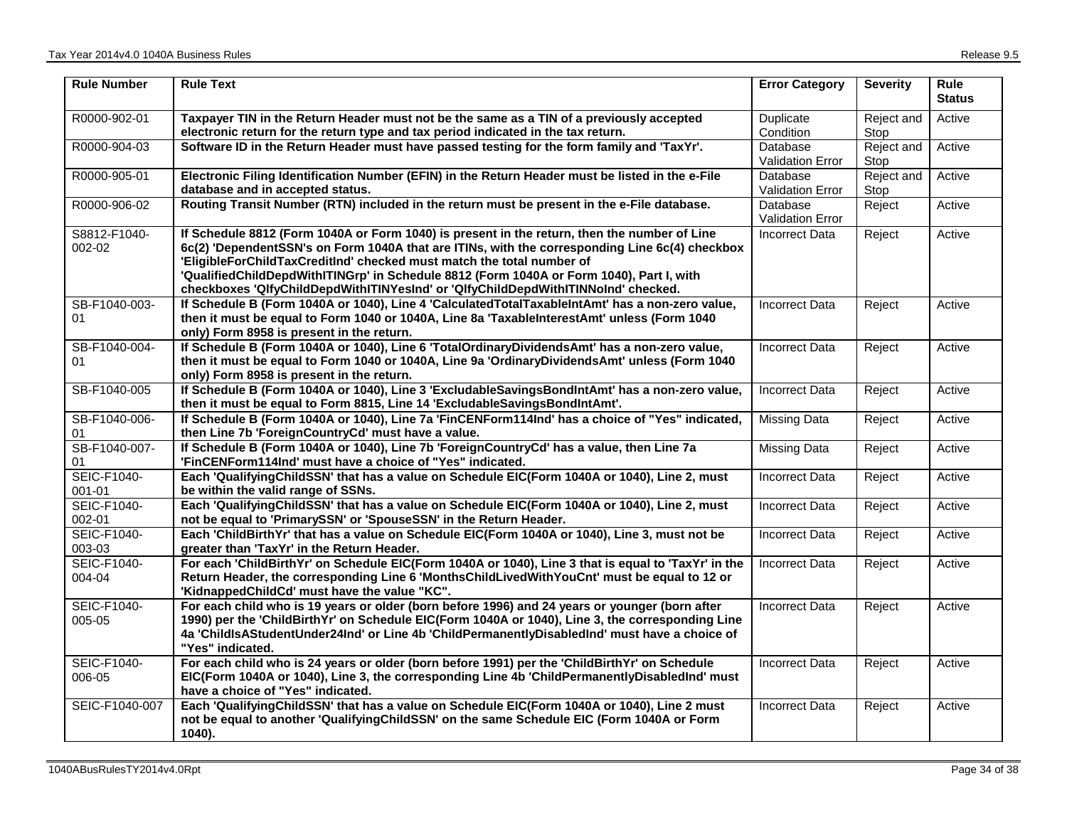| <b>Rule Number</b>               | <b>Rule Text</b>                                                                                                                                                                                                                                                                                                                                                                                                                                         | <b>Error Category</b>               | <b>Severity</b>    | <b>Rule</b><br><b>Status</b> |
|----------------------------------|----------------------------------------------------------------------------------------------------------------------------------------------------------------------------------------------------------------------------------------------------------------------------------------------------------------------------------------------------------------------------------------------------------------------------------------------------------|-------------------------------------|--------------------|------------------------------|
| R0000-902-01                     | Taxpayer TIN in the Return Header must not be the same as a TIN of a previously accepted<br>electronic return for the return type and tax period indicated in the tax return.                                                                                                                                                                                                                                                                            | Duplicate<br>Condition              | Reject and<br>Stop | Active                       |
| R0000-904-03                     | Software ID in the Return Header must have passed testing for the form family and 'TaxYr'.                                                                                                                                                                                                                                                                                                                                                               | Database<br><b>Validation Error</b> | Reject and<br>Stop | Active                       |
| R0000-905-01                     | Electronic Filing Identification Number (EFIN) in the Return Header must be listed in the e-File<br>database and in accepted status.                                                                                                                                                                                                                                                                                                                     | Database<br><b>Validation Error</b> | Reject and<br>Stop | Active                       |
| R0000-906-02                     | Routing Transit Number (RTN) included in the return must be present in the e-File database.                                                                                                                                                                                                                                                                                                                                                              | Database<br>Validation Error        | Reject             | Active                       |
| S8812-F1040-<br>002-02           | If Schedule 8812 (Form 1040A or Form 1040) is present in the return, then the number of Line<br>6c(2) 'DependentSSN's on Form 1040A that are ITINs, with the corresponding Line 6c(4) checkbox<br>'EligibleForChildTaxCreditInd' checked must match the total number of<br>'QualifiedChildDepdWithITINGrp' in Schedule 8812 (Form 1040A or Form 1040), Part I, with<br>checkboxes 'QlfyChildDepdWithITINYesInd' or 'QlfyChildDepdWithITINNoInd' checked. | Incorrect Data                      | Reject             | Active                       |
| SB-F1040-003-<br>01              | If Schedule B (Form 1040A or 1040), Line 4 'CalculatedTotalTaxableIntAmt' has a non-zero value,<br>then it must be equal to Form 1040 or 1040A, Line 8a 'TaxableInterestAmt' unless (Form 1040<br>only) Form 8958 is present in the return.                                                                                                                                                                                                              | <b>Incorrect Data</b>               | Reject             | Active                       |
| SB-F1040-004-<br>01              | If Schedule B (Form 1040A or 1040), Line 6 'TotalOrdinaryDividendsAmt' has a non-zero value,<br>then it must be equal to Form 1040 or 1040A, Line 9a 'OrdinaryDividendsAmt' unless (Form 1040<br>only) Form 8958 is present in the return.                                                                                                                                                                                                               | <b>Incorrect Data</b>               | Reject             | Active                       |
| SB-F1040-005                     | If Schedule B (Form 1040A or 1040), Line 3 'ExcludableSavingsBondIntAmt' has a non-zero value,<br>then it must be equal to Form 8815, Line 14 'ExcludableSavingsBondIntAmt'.                                                                                                                                                                                                                                                                             | <b>Incorrect Data</b>               | Reject             | Active                       |
| SB-F1040-006-<br>01              | If Schedule B (Form 1040A or 1040), Line 7a 'FinCENForm114Ind' has a choice of "Yes" indicated,<br>then Line 7b 'ForeignCountryCd' must have a value.                                                                                                                                                                                                                                                                                                    | <b>Missing Data</b>                 | Reject             | Active                       |
| SB-F1040-007-<br>01              | If Schedule B (Form 1040A or 1040), Line 7b 'ForeignCountryCd' has a value, then Line 7a<br>'FinCENForm114Ind' must have a choice of "Yes" indicated.                                                                                                                                                                                                                                                                                                    | Missing Data                        | Reject             | Active                       |
| <b>SEIC-F1040-</b><br>$001 - 01$ | Each 'QualifyingChildSSN' that has a value on Schedule EIC(Form 1040A or 1040), Line 2, must<br>be within the valid range of SSNs.                                                                                                                                                                                                                                                                                                                       | <b>Incorrect Data</b>               | Reject             | Active                       |
| <b>SEIC-F1040-</b><br>002-01     | Each 'QualifyingChildSSN' that has a value on Schedule EIC(Form 1040A or 1040), Line 2, must<br>not be equal to 'PrimarySSN' or 'SpouseSSN' in the Return Header.                                                                                                                                                                                                                                                                                        | Incorrect Data                      | Reject             | Active                       |
| <b>SEIC-F1040-</b><br>003-03     | Each 'ChildBirthYr' that has a value on Schedule EIC(Form 1040A or 1040), Line 3, must not be<br>greater than 'TaxYr' in the Return Header.                                                                                                                                                                                                                                                                                                              | <b>Incorrect Data</b>               | Reject             | Active                       |
| <b>SEIC-F1040-</b><br>004-04     | For each 'ChildBirthYr' on Schedule EIC(Form 1040A or 1040), Line 3 that is equal to 'TaxYr' in the<br>Return Header, the corresponding Line 6 'MonthsChildLivedWithYouCnt' must be equal to 12 or<br>'KidnappedChildCd' must have the value "KC".                                                                                                                                                                                                       | <b>Incorrect Data</b>               | Reject             | Active                       |
| <b>SEIC-F1040-</b><br>005-05     | For each child who is 19 years or older (born before 1996) and 24 years or younger (born after<br>1990) per the 'ChildBirthYr' on Schedule EIC(Form 1040A or 1040), Line 3, the corresponding Line<br>4a 'ChildlsAStudentUnder24Ind' or Line 4b 'ChildPermanentlyDisabledInd' must have a choice of<br>"Yes" indicated.                                                                                                                                  | <b>Incorrect Data</b>               | Reject             | Active                       |
| SEIC-F1040-<br>006-05            | For each child who is 24 years or older (born before 1991) per the 'ChildBirthYr' on Schedule<br>EIC(Form 1040A or 1040), Line 3, the corresponding Line 4b 'ChildPermanentlyDisabledInd' must<br>have a choice of "Yes" indicated.                                                                                                                                                                                                                      | <b>Incorrect Data</b>               | Reject             | Active                       |
| SEIC-F1040-007                   | Each 'QualifyingChildSSN' that has a value on Schedule EIC(Form 1040A or 1040), Line 2 must<br>not be equal to another 'QualifyingChildSSN' on the same Schedule EIC (Form 1040A or Form<br>1040).                                                                                                                                                                                                                                                       | <b>Incorrect Data</b>               | Reject             | Active                       |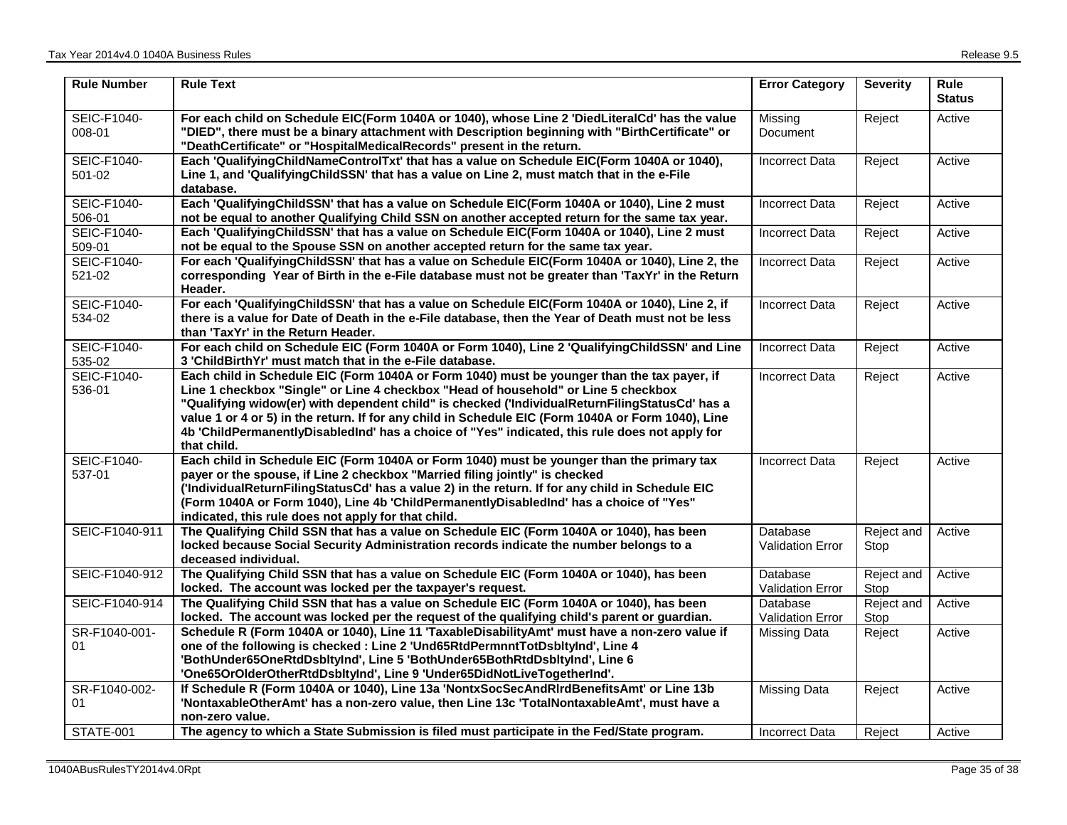| <b>Rule Number</b>    | <b>Rule Text</b>                                                                                                                                                                                                                                                                                                                                                                                                                                                                                           | <b>Error Category</b>               | <b>Severity</b>    | <b>Rule</b><br><b>Status</b> |
|-----------------------|------------------------------------------------------------------------------------------------------------------------------------------------------------------------------------------------------------------------------------------------------------------------------------------------------------------------------------------------------------------------------------------------------------------------------------------------------------------------------------------------------------|-------------------------------------|--------------------|------------------------------|
| SEIC-F1040-<br>008-01 | For each child on Schedule EIC(Form 1040A or 1040), whose Line 2 'DiedLiteralCd' has the value<br>"DIED", there must be a binary attachment with Description beginning with "BirthCertificate" or<br>"DeathCertificate" or "HospitalMedicalRecords" present in the return.                                                                                                                                                                                                                                 | Missing<br>Document                 | Reject             | Active                       |
| SEIC-F1040-<br>501-02 | Each 'QualifyingChildNameControlTxt' that has a value on Schedule EIC(Form 1040A or 1040),<br>Line 1, and 'QualifyingChildSSN' that has a value on Line 2, must match that in the e-File<br>database.                                                                                                                                                                                                                                                                                                      | <b>Incorrect Data</b>               | Reject             | Active                       |
| SEIC-F1040-<br>506-01 | Each 'QualifyingChildSSN' that has a value on Schedule EIC(Form 1040A or 1040), Line 2 must<br>not be equal to another Qualifying Child SSN on another accepted return for the same tax year.                                                                                                                                                                                                                                                                                                              | Incorrect Data                      | Reject             | Active                       |
| SEIC-F1040-<br>509-01 | Each 'QualifyingChildSSN' that has a value on Schedule EIC(Form 1040A or 1040), Line 2 must<br>not be equal to the Spouse SSN on another accepted return for the same tax year.                                                                                                                                                                                                                                                                                                                            | <b>Incorrect Data</b>               | Reject             | Active                       |
| SEIC-F1040-<br>521-02 | For each 'QualifyingChildSSN' that has a value on Schedule EIC(Form 1040A or 1040), Line 2, the<br>corresponding Year of Birth in the e-File database must not be greater than 'TaxYr' in the Return<br>Header.                                                                                                                                                                                                                                                                                            | <b>Incorrect Data</b>               | Reject             | Active                       |
| SEIC-F1040-<br>534-02 | For each 'QualifyingChildSSN' that has a value on Schedule EIC(Form 1040A or 1040), Line 2, if<br>there is a value for Date of Death in the e-File database, then the Year of Death must not be less<br>than 'TaxYr' in the Return Header.                                                                                                                                                                                                                                                                 | <b>Incorrect Data</b>               | Reject             | Active                       |
| SEIC-F1040-<br>535-02 | For each child on Schedule EIC (Form 1040A or Form 1040), Line 2 'QualifyingChildSSN' and Line<br>3 'ChildBirthYr' must match that in the e-File database.                                                                                                                                                                                                                                                                                                                                                 | <b>Incorrect Data</b>               | Reject             | Active                       |
| SEIC-F1040-<br>536-01 | Each child in Schedule EIC (Form 1040A or Form 1040) must be younger than the tax payer, if<br>Line 1 checkbox "Single" or Line 4 checkbox "Head of household" or Line 5 checkbox<br>"Qualifying widow(er) with dependent child" is checked ('IndividualReturnFilingStatusCd' has a<br>value 1 or 4 or 5) in the return. If for any child in Schedule EIC (Form 1040A or Form 1040), Line<br>4b 'ChildPermanentlyDisabledInd' has a choice of "Yes" indicated, this rule does not apply for<br>that child. | <b>Incorrect Data</b>               | Reject             | Active                       |
| SEIC-F1040-<br>537-01 | Each child in Schedule EIC (Form 1040A or Form 1040) must be younger than the primary tax<br>payer or the spouse, if Line 2 checkbox "Married filing jointly" is checked<br>('IndividualReturnFilingStatusCd' has a value 2) in the return. If for any child in Schedule EIC<br>(Form 1040A or Form 1040), Line 4b 'ChildPermanentlyDisabledInd' has a choice of "Yes"<br>indicated, this rule does not apply for that child.                                                                              | <b>Incorrect Data</b>               | Reject             | Active                       |
| SEIC-F1040-911        | The Qualifying Child SSN that has a value on Schedule EIC (Form 1040A or 1040), has been<br>locked because Social Security Administration records indicate the number belongs to a<br>deceased individual.                                                                                                                                                                                                                                                                                                 | Database<br>Validation Error        | Reject and<br>Stop | Active                       |
| SEIC-F1040-912        | The Qualifying Child SSN that has a value on Schedule EIC (Form 1040A or 1040), has been<br>locked. The account was locked per the taxpayer's request.                                                                                                                                                                                                                                                                                                                                                     | Database<br><b>Validation Error</b> | Reject and<br>Stop | Active                       |
| SEIC-F1040-914        | The Qualifying Child SSN that has a value on Schedule EIC (Form 1040A or 1040), has been<br>locked. The account was locked per the request of the qualifying child's parent or guardian.                                                                                                                                                                                                                                                                                                                   | Database<br><b>Validation Error</b> | Reject and<br>Stop | Active                       |
| SR-F1040-001-<br>01   | Schedule R (Form 1040A or 1040), Line 11 'TaxableDisabilityAmt' must have a non-zero value if<br>one of the following is checked : Line 2 'Und65RtdPermnntTotDsbltyInd', Line 4<br>'BothUnder65OneRtdDsbltyInd', Line 5 'BothUnder65BothRtdDsbltyInd', Line 6<br>'One65OrOlderOtherRtdDsbltyInd', Line 9 'Under65DidNotLiveTogetherInd'.                                                                                                                                                                   | <b>Missing Data</b>                 | Reject             | Active                       |
| SR-F1040-002-<br>01   | If Schedule R (Form 1040A or 1040), Line 13a 'NontxSocSecAndRIrdBenefitsAmt' or Line 13b<br>'NontaxableOtherAmt' has a non-zero value, then Line 13c 'TotalNontaxableAmt', must have a<br>non-zero value.                                                                                                                                                                                                                                                                                                  | <b>Missing Data</b>                 | Reject             | Active                       |
| STATE-001             | The agency to which a State Submission is filed must participate in the Fed/State program.                                                                                                                                                                                                                                                                                                                                                                                                                 | Incorrect Data                      | Reject             | Active                       |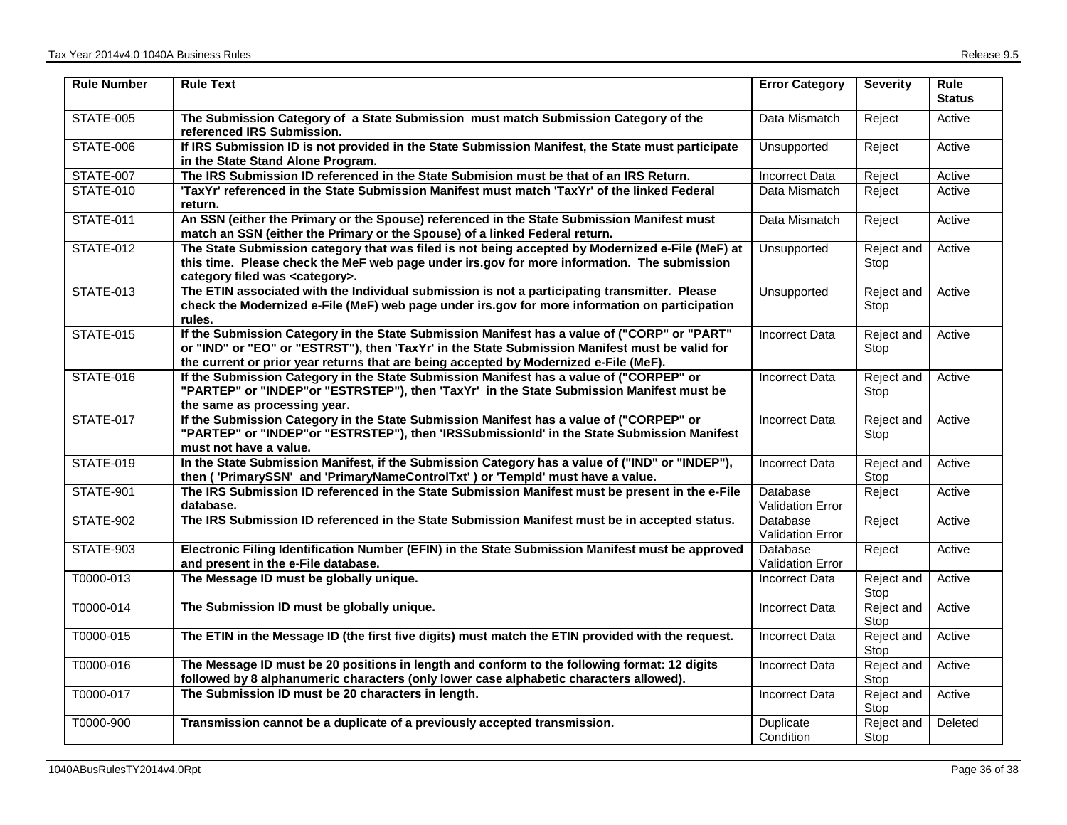| <b>Rule Number</b> | <b>Rule Text</b>                                                                                                                                                                                                                                                                        | <b>Error Category</b>               | <b>Severity</b>    | <b>Rule</b><br><b>Status</b> |
|--------------------|-----------------------------------------------------------------------------------------------------------------------------------------------------------------------------------------------------------------------------------------------------------------------------------------|-------------------------------------|--------------------|------------------------------|
| STATE-005          | The Submission Category of a State Submission must match Submission Category of the<br>referenced IRS Submission.                                                                                                                                                                       | Data Mismatch                       | Reject             | Active                       |
| STATE-006          | If IRS Submission ID is not provided in the State Submission Manifest, the State must participate<br>in the State Stand Alone Program.                                                                                                                                                  | Unsupported                         | Reject             | Active                       |
| <b>STATE-007</b>   | The IRS Submission ID referenced in the State Submision must be that of an IRS Return.                                                                                                                                                                                                  | <b>Incorrect Data</b>               | Reject             | Active                       |
| <b>STATE-010</b>   | 'TaxYr' referenced in the State Submission Manifest must match 'TaxYr' of the linked Federal<br>return.                                                                                                                                                                                 | Data Mismatch                       | Reject             | Active                       |
| <b>STATE-011</b>   | An SSN (either the Primary or the Spouse) referenced in the State Submission Manifest must<br>match an SSN (either the Primary or the Spouse) of a linked Federal return.                                                                                                               | Data Mismatch                       | Reject             | Active                       |
| <b>STATE-012</b>   | The State Submission category that was filed is not being accepted by Modernized e-File (MeF) at<br>this time. Please check the MeF web page under irs.gov for more information. The submission<br>category filed was <category>.</category>                                            | <b>Unsupported</b>                  | Reject and<br>Stop | Active                       |
| <b>STATE-013</b>   | The ETIN associated with the Individual submission is not a participating transmitter. Please<br>check the Modernized e-File (MeF) web page under irs.gov for more information on participation<br>rules.                                                                               | Unsupported                         | Reject and<br>Stop | Active                       |
| <b>STATE-015</b>   | If the Submission Category in the State Submission Manifest has a value of ("CORP" or "PART"<br>or "IND" or "EO" or "ESTRST"), then 'TaxYr' in the State Submission Manifest must be valid for<br>the current or prior year returns that are being accepted by Modernized e-File (MeF). | <b>Incorrect Data</b>               | Reject and<br>Stop | Active                       |
| <b>STATE-016</b>   | If the Submission Category in the State Submission Manifest has a value of ("CORPEP" or<br>"PARTEP" or "INDEP"or "ESTRSTEP"), then 'TaxYr' in the State Submission Manifest must be<br>the same as processing year.                                                                     | <b>Incorrect Data</b>               | Reject and<br>Stop | Active                       |
| <b>STATE-017</b>   | If the Submission Category in the State Submission Manifest has a value of ("CORPEP" or<br>"PARTEP" or "INDEP"or "ESTRSTEP"), then 'IRSSubmissionId' in the State Submission Manifest<br>must not have a value.                                                                         | <b>Incorrect Data</b>               | Reject and<br>Stop | Active                       |
| <b>STATE-019</b>   | In the State Submission Manifest, if the Submission Category has a value of ("IND" or "INDEP"),<br>then ('PrimarySSN' and 'PrimaryNameControlTxt') or 'Templd' must have a value.                                                                                                       | <b>Incorrect Data</b>               | Reject and<br>Stop | Active                       |
| <b>STATE-901</b>   | The IRS Submission ID referenced in the State Submission Manifest must be present in the e-File<br>database.                                                                                                                                                                            | Database<br><b>Validation Error</b> | Reject             | Active                       |
| STATE-902          | The IRS Submission ID referenced in the State Submission Manifest must be in accepted status.                                                                                                                                                                                           | Database<br><b>Validation Error</b> | Reject             | Active                       |
| STATE-903          | Electronic Filing Identification Number (EFIN) in the State Submission Manifest must be approved<br>and present in the e-File database.                                                                                                                                                 | Database<br><b>Validation Error</b> | Reject             | Active                       |
| T0000-013          | The Message ID must be globally unique.                                                                                                                                                                                                                                                 | <b>Incorrect Data</b>               | Reject and<br>Stop | Active                       |
| T0000-014          | The Submission ID must be globally unique.                                                                                                                                                                                                                                              | Incorrect Data                      | Reject and<br>Stop | Active                       |
| T0000-015          | The ETIN in the Message ID (the first five digits) must match the ETIN provided with the request.                                                                                                                                                                                       | <b>Incorrect Data</b>               | Reject and<br>Stop | Active                       |
| T0000-016          | The Message ID must be 20 positions in length and conform to the following format: 12 digits<br>followed by 8 alphanumeric characters (only lower case alphabetic characters allowed).                                                                                                  | <b>Incorrect Data</b>               | Reject and<br>Stop | Active                       |
| T0000-017          | The Submission ID must be 20 characters in length.                                                                                                                                                                                                                                      | <b>Incorrect Data</b>               | Reject and<br>Stop | Active                       |
| T0000-900          | Transmission cannot be a duplicate of a previously accepted transmission.                                                                                                                                                                                                               | Duplicate<br>Condition              | Reject and<br>Stop | Deleted                      |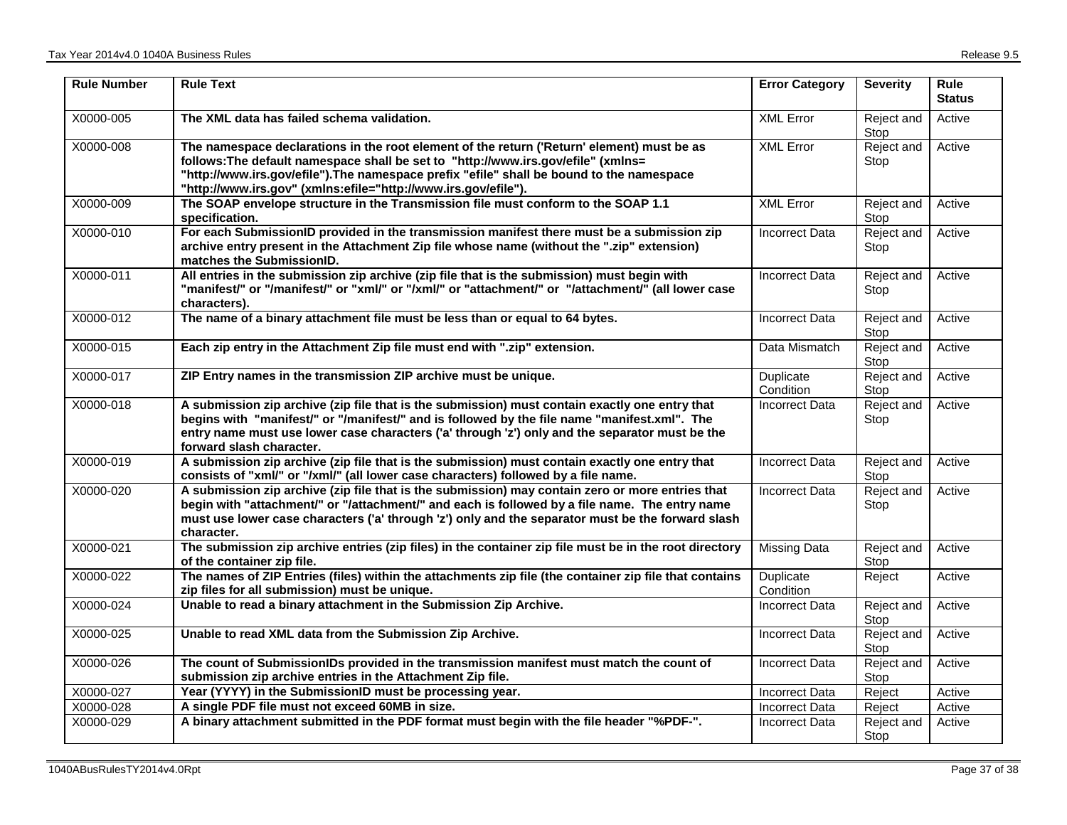| <b>Rule Number</b> | <b>Rule Text</b>                                                                                                                                                                                                                                                                                                                              | <b>Error Category</b>  | <b>Severity</b>    | <b>Rule</b><br><b>Status</b> |
|--------------------|-----------------------------------------------------------------------------------------------------------------------------------------------------------------------------------------------------------------------------------------------------------------------------------------------------------------------------------------------|------------------------|--------------------|------------------------------|
| X0000-005          | The XML data has failed schema validation.                                                                                                                                                                                                                                                                                                    | <b>XML Error</b>       | Reject and<br>Stop | Active                       |
| X0000-008          | The namespace declarations in the root element of the return ('Return' element) must be as<br>follows: The default namespace shall be set to "http://www.irs.gov/efile" (xmlns=<br>"http://www.irs.gov/efile").The namespace prefix "efile" shall be bound to the namespace<br>"http://www.irs.gov" (xmlns:efile="http://www.irs.gov/efile"). | <b>XML Error</b>       | Reject and<br>Stop | Active                       |
| X0000-009          | The SOAP envelope structure in the Transmission file must conform to the SOAP 1.1<br>specification.                                                                                                                                                                                                                                           | <b>XML Error</b>       | Reject and<br>Stop | Active                       |
| X0000-010          | For each SubmissionID provided in the transmission manifest there must be a submission zip<br>archive entry present in the Attachment Zip file whose name (without the ".zip" extension)<br>matches the SubmissionID.                                                                                                                         | <b>Incorrect Data</b>  | Reject and<br>Stop | Active                       |
| X0000-011          | All entries in the submission zip archive (zip file that is the submission) must begin with<br>"manifest/" or "/manifest/" or "xml/" or "/xml/" or "attachment/" or "/attachment/" (all lower case<br>characters).                                                                                                                            | <b>Incorrect Data</b>  | Reject and<br>Stop | Active                       |
| X0000-012          | The name of a binary attachment file must be less than or equal to 64 bytes.                                                                                                                                                                                                                                                                  | <b>Incorrect Data</b>  | Reject and<br>Stop | Active                       |
| X0000-015          | Each zip entry in the Attachment Zip file must end with ".zip" extension.                                                                                                                                                                                                                                                                     | Data Mismatch          | Reject and<br>Stop | Active                       |
| X0000-017          | ZIP Entry names in the transmission ZIP archive must be unique.                                                                                                                                                                                                                                                                               | Duplicate<br>Condition | Reject and<br>Stop | Active                       |
| X0000-018          | A submission zip archive (zip file that is the submission) must contain exactly one entry that<br>begins with "manifest/" or "/manifest/" and is followed by the file name "manifest.xml". The<br>entry name must use lower case characters ('a' through 'z') only and the separator must be the<br>forward slash character.                  | <b>Incorrect Data</b>  | Reject and<br>Stop | Active                       |
| X0000-019          | A submission zip archive (zip file that is the submission) must contain exactly one entry that<br>consists of "xml/" or "/xml/" (all lower case characters) followed by a file name.                                                                                                                                                          | <b>Incorrect Data</b>  | Reject and<br>Stop | Active                       |
| X0000-020          | A submission zip archive (zip file that is the submission) may contain zero or more entries that<br>begin with "attachment/" or "/attachment/" and each is followed by a file name. The entry name<br>must use lower case characters ('a' through 'z') only and the separator must be the forward slash<br>character.                         | <b>Incorrect Data</b>  | Reject and<br>Stop | Active                       |
| X0000-021          | The submission zip archive entries (zip files) in the container zip file must be in the root directory<br>of the container zip file.                                                                                                                                                                                                          | Missing Data           | Reject and<br>Stop | Active                       |
| X0000-022          | The names of ZIP Entries (files) within the attachments zip file (the container zip file that contains<br>zip files for all submission) must be unique.                                                                                                                                                                                       | Duplicate<br>Condition | Reject             | Active                       |
| X0000-024          | Unable to read a binary attachment in the Submission Zip Archive.                                                                                                                                                                                                                                                                             | <b>Incorrect Data</b>  | Reject and<br>Stop | Active                       |
| X0000-025          | Unable to read XML data from the Submission Zip Archive.                                                                                                                                                                                                                                                                                      | <b>Incorrect Data</b>  | Reject and<br>Stop | Active                       |
| X0000-026          | The count of SubmissionIDs provided in the transmission manifest must match the count of<br>submission zip archive entries in the Attachment Zip file.                                                                                                                                                                                        | <b>Incorrect Data</b>  | Reject and<br>Stop | Active                       |
| X0000-027          | Year (YYYY) in the SubmissionID must be processing year.                                                                                                                                                                                                                                                                                      | <b>Incorrect Data</b>  | Reject             | Active                       |
| X0000-028          | A single PDF file must not exceed 60MB in size.                                                                                                                                                                                                                                                                                               | <b>Incorrect Data</b>  | Reject             | Active                       |
| X0000-029          | A binary attachment submitted in the PDF format must begin with the file header "%PDF-".                                                                                                                                                                                                                                                      | Incorrect Data         | Reject and<br>Stop | Active                       |